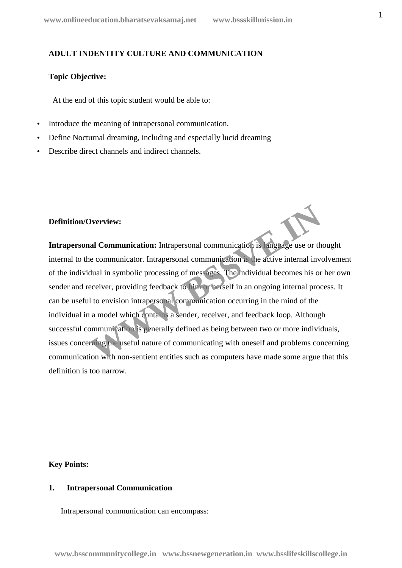# **ADULT INDENTITY CULTURE AND COMMUNICATION**

## **Topic Objective:**

At the end of this topic student would be able to:

- Introduce the meaning of intrapersonal communication.
- Define Nocturnal dreaming, including and especially lucid dreaming
- Describe direct channels and indirect channels.

## **Definition/Overview:**

**Intrapersonal Communication:** Intrapersonal communication is language use or thought internal to the communicator. Intrapersonal communication is the active internal involvement of the individual in symbolic processing of messages. The individual becomes his or her own sender and receiver, providing feedback to him or herself in an ongoing internal process. It can be useful to envision intrapersonal communication occurring in the mind of the individual in a model which contains a sender, receiver, and feedback loop. Although successful communication is generally defined as being between two or more individuals, issues concerning the useful nature of communicating with oneself and problems concerning communication with non-sentient entities such as computers have made some argue that this definition is too narrow. **Example 18 Communication:** Intrapersonal communication is language use or the communicator. Intrapersonal communication is language use or the communicator. Intrapersonal communication is the active internal involudual in

**Key Points:**

## **1. Intrapersonal Communication**

Intrapersonal communication can encompass: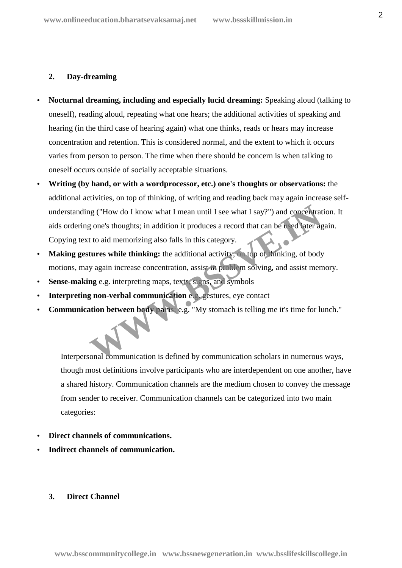## **2. Day-dreaming**

- **Nocturnal dreaming, including and especially lucid dreaming:** Speaking aloud (talking to oneself), reading aloud, repeating what one hears; the additional activities of speaking and hearing (in the third case of hearing again) what one thinks, reads or hears may increase concentration and retention. This is considered normal, and the extent to which it occurs varies from person to person. The time when there should be concern is when talking to oneself occurs outside of socially acceptable situations.
- **Writing (by hand, or with a wordprocessor, etc.) one's thoughts or observations:** the additional activities, on top of thinking, of writing and reading back may again increase self understanding ("How do I know what I mean until I see what I say?") and concentration. It aids ordering one's thoughts; in addition it produces a record that can be used later again. Copying text to aid memorizing also falls in this category. If  $\mathbf{g}$  ("How do I know what I mean until I see what I say?") and concentrated are one's thoughts; in addition it produces a record that can be used later as to aid memorizing also falls in this category.<br> **Extract to**
- **Making gestures while thinking:** the additional activity, on top of thinking, of body motions, may again increase concentration, assist in problem solving, and assist memory.
- **Sense-making** e.g. interpreting maps, texts, signs, and symbols
- **Interpreting non-verbal communication** e.g. gestures, eye contact
- **Communication between body parts**; e.g. "My stomach is telling me it's time for lunch."

Interpersonal communication is defined by communication scholars in numerous ways, though most definitions involve participants who are interdependent on one another, have a shared history. Communication channels are the medium chosen to convey the message from sender to receiver. Communication channels can be categorized into two main categories:

- **Direct channels of communications.**
- **Indirect channels of communication.**

## **3. Direct Channel**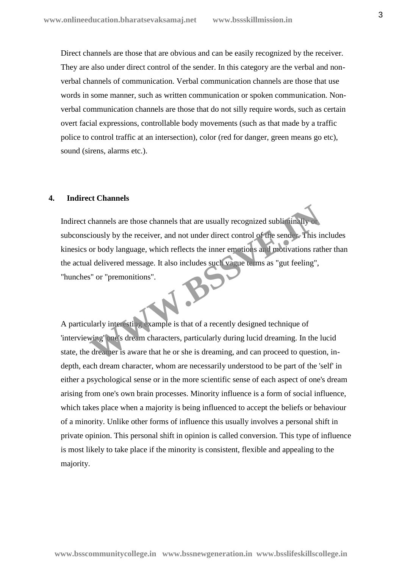Direct channels are those that are obvious and can be easily recognized by the receiver. They are also under direct control of the sender. In this category are the verbal and non verbal channels of communication. Verbal communication channels are those that use words in some manner, such as written communication or spoken communication. Non verbal communication channels are those that do not silly require words, such as certain overt facial expressions, controllable body movements (such as that made by a traffic police to control traffic at an intersection), color (red for danger, green means go etc), sound (sirens, alarms etc.).

# **4. Indirect Channels**

Indirect channels are those channels that are usually recognized subliminally subconsciously by the receiver, and not under direct control of the sender. This includes kinesics or body language, which reflects the inner emotions and motivations rather than the actual delivered message. It also includes such vague terms as "gut feeling", "hunches" or "premonitions". channels are those channels that are usually recognized subliminally of<br>exiously by the receiver, and not under direct control of the sender. This is<br>or body language, which reflects the inner emotions and motivations rat<br>

A particularly interesting example is that of a recently designed technique of 'interviewing' one's dream characters, particularly during lucid dreaming. In the lucid state, the dreamer is aware that he or she is dreaming, and can proceed to question, in depth, each dream character, whom are necessarily understood to be part of the 'self' in either a psychological sense or in the more scientific sense of each aspect of one's dream arising from one's own brain processes. Minority influence is a form of social influence, which takes place when a majority is being influenced to accept the beliefs or behaviour of a minority. Unlike other forms of influence this usually involves a personal shift in private opinion. This personal shift in opinion is called conversion. This type of influence is most likely to take place if the minority is consistent, flexible and appealing to the majority.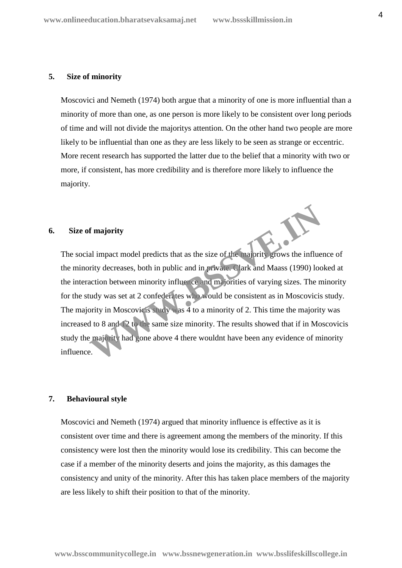#### **5. Size of minority**

Moscovici and Nemeth (1974) both argue that a minority of one is more influential than a minority of more than one, as one person is more likely to be consistent over long periods of time and will not divide the majoritys attention. On the other hand two people are more likely to be influential than one as they are less likely to be seen as strange or eccentric. More recent research has supported the latter due to the belief that a minority with two or more, if consistent, has more credibility and is therefore more likely to influence the majority.

#### **6. Size of majority**

The social impact model predicts that as the size of the majority grows the influence of the minority decreases, both in public and in private. Clark and Maass (1990) looked at the interaction between minority influence and majorities of varying sizes. The minority for the study was set at 2 confederates who would be consistent as in Moscovicis study. The majority in Moscovicis study was 4 to a minority of 2. This time the majority was increased to 8 and 12 to the same size minority. The results showed that if in Moscovicis study the majority had gone above 4 there wouldnt have been any evidence of minority influence. **Solution**<br> **Example 18 and 20 and 20 and 30 and 30 and 30 and 30 and 30 and 30 and 30 and 30 and 30 and 30 and 30 and 30 and 30 and 30 and 30 and 30 and 30 and 30 and 30 and 30 and 30 and 30 and 30 and 30 and 30 and 30 an** 

#### **7. Behavioural style**

Moscovici and Nemeth (1974) argued that minority influence is effective as it is consistent over time and there is agreement among the members of the minority. If this consistency were lost then the minority would lose its credibility. This can become the case if a member of the minority deserts and joins the majority, as this damages the consistency and unity of the minority. After this has taken place members of the majority are less likely to shift their position to that of the minority.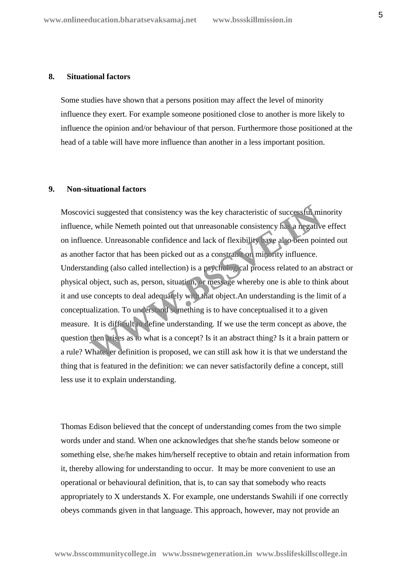#### **8. Situational factors**

Some studies have shown that a persons position may affect the level of minority influence they exert. For example someone positioned close to another is more likely to influence the opinion and/or behaviour of that person. Furthermore those positioned at the head of a table will have more influence than another in a less important position.

## **9. Non-situational factors**

Moscovici suggested that consistency was the key characteristic of successful minority influence, while Nemeth pointed out that unreasonable consistency has a negative effect on influence. Unreasonable confidence and lack of flexibility have also been pointed out as another factor that has been picked out as a constraint on minority influence. Understanding (also called intellection) is a psychological process related to an abstract or physical object, such as, person, situation, or message whereby one is able to think about it and use concepts to deal adequately with that object.An understanding is the limit of a conceptualization. To understand something is to have conceptualised it to a given measure. It is difficult to define understanding. If we use the term concept as above, the question then arises as to what is a concept? Is it an abstract thing? Is it a brain pattern or a rule? Whatever definition is proposed, we can still ask how it is that we understand the thing that is featured in the definition: we can never satisfactorily define a concept, still less use it to explain understanding. ci suggested that consistency was the key characteristic of successful mi<br>e, while Nemeth pointed out that unreasonable consistency has a negativ-<br>mcc. Unreasonable confidence and lack of flexibility, raye also been point<br>

Thomas Edison believed that the concept of understanding comes from the two simple words under and stand. When one acknowledges that she/he stands below someone or something else, she/he makes him/herself receptive to obtain and retain information from it, thereby allowing for understanding to occur. It may be more convenient to use an operational or behavioural definition, that is, to can say that somebody who reacts appropriately to X understands X. For example, one understands Swahili if one correctly obeys commands given in that language. This approach, however, may not provide an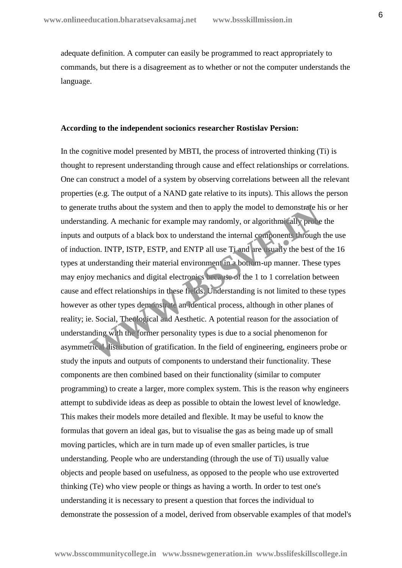adequate definition. A computer can easily be programmed to react appropriately to commands, but there is a disagreement as to whether or not the computer understands the language.

#### **According to the independent socionics researcher Rostislav Persion:**

In the cognitive model presented by MBTI, the process of introverted thinking (Ti) is thought to represent understanding through cause and effect relationships or correlations. One can construct a model of a system by observing correlations between all the relevant properties (e.g. The output of a NAND gate relative to its inputs). This allows the person to generate truths about the system and then to apply the model to demonstrate his or her understanding. A mechanic for example may randomly, or algorithmically probe the inputs and outputs of a black box to understand the internal components through the use of induction. INTP, ISTP, ESTP, and ENTP all use Ti and are usually the best of the 16 types at understanding their material environment in a bottom-up manner. These types may enjoy mechanics and digital electronics because of the 1 to 1 correlation between cause and effect relationships in these fields. Understanding is not limited to these types however as other types demonstrate an identical process, although in other planes of reality; ie. Social, Theological and Aesthetic. A potential reason for the association of understanding with the former personality types is due to a social phenomenon for asymmetrical distribution of gratification. In the field of engineering, engineers probe or study the inputs and outputs of components to understand their functionality. These components are then combined based on their functionality (similar to computer programming) to create a larger, more complex system. This is the reason why engineers attempt to subdivide ideas as deep as possible to obtain the lowest level of knowledge. This makes their models more detailed and flexible. It may be useful to know the formulas that govern an ideal gas, but to visualise the gas as being made up of small moving particles, which are in turn made up of even smaller particles, is true understanding. People who are understanding (through the use of Ti) usually value objects and people based on usefulness, as opposed to the people who use extroverted thinking (Te) who view people or things as having a worth. In order to test one's understanding it is necessary to present a question that forces the individual to demonstrate the possession of a model, derived from observable examples of that model's about the system and then to apply the model to demonstrate hiding. A mechanic for example may randomly, or algorithmically probe<br>ad outputs of a black box to understand the internal components through<br>tion. INTP, ISTP, ES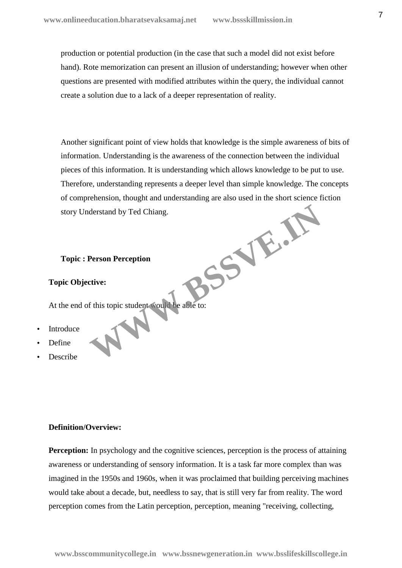production or potential production (in the case that such a model did not exist before hand). Rote memorization can present an illusion of understanding; however when other questions are presented with modified attributes within the query, the individual cannot create a solution due to a lack of a deeper representation of reality.

Another significant point of view holds that knowledge is the simple awareness of bits of information. Understanding is the awareness of the connection between the individual pieces of this information. It is understanding which allows knowledge to be put to use. Therefore, understanding represents a deeper level than simple knowledge. The concepts of comprehension, thought and understanding are also used in the short science fiction story Understand by Ted Chiang. **WWW.BSSVE.IN**

## **Topic : Person Perception**

## **Topic Objective:**

At the end of this topic student would be able to:

- Introduce
- Define
- Describe

## **Definition/Overview:**

**Perception:** In psychology and the cognitive sciences, perception is the process of attaining awareness or understanding of sensory information. It is a task far more complex than was imagined in the 1950s and 1960s, when it was proclaimed that building perceiving machines would take about a decade, but, needless to say, that is still very far from reality. The word perception comes from the Latin perception, perception, meaning "receiving, collecting,

7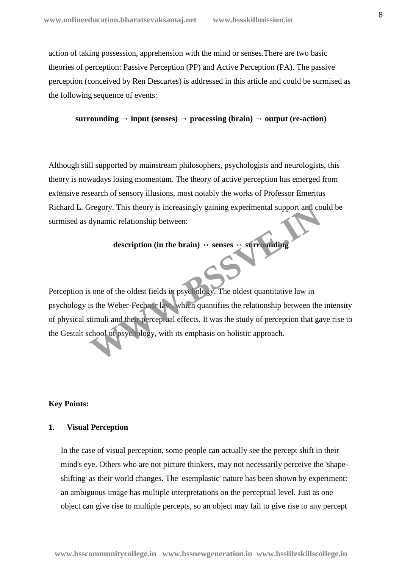action of taking possession, apprehension with the mind or senses.There are two basic theories of perception: Passive Perception (PP) and Active Perception (PA). The passive perception (conceived by Ren Descartes) is addressed in this article and could be surmised as the following sequence of events:

**surrounding input (senses) processing (brain) output (re-action)** 

Although still supported by mainstream philosophers, psychologists and neurologists, this theory is nowadays losing momentum. The theory of active perception has emerged from extensive research of sensory illusions, most notably the works of Professor Emeritus Richard L. Gregory. This theory is increasingly gaining experimental support and could be surmised as dynamic relationship between:

#### **description (in the brain) senses** surrounding

Perception is one of the oldest fields in psychology. The oldest quantitative law in psychology is the Weber-Fechner law, which quantifies the relationship between the intensity of physical stimuli and their perceptual effects. It was the study of perception that gave rise to the Gestalt school of psychology, with its emphasis on holistic approach. Fregory. This theory is increasingly gaining experimental support and co<br>dynamic relationship between:<br>description (in the brain)<br>senses<br>some of the oldest fields in psychology. The oldest quantitative law in<br>is the Weber-

#### **Key Points:**

# **1. Visual Perception**

In the case of visual perception, some people can actually see the percept shift in their mind's eye. Others who are not picture thinkers, may not necessarily perceive the 'shape shifting' as their world changes. The 'esemplastic' nature has been shown by experiment: an ambiguous image has multiple interpretations on the perceptual level. Just as one object can give rise to multiple percepts, so an object may fail to give rise to any percept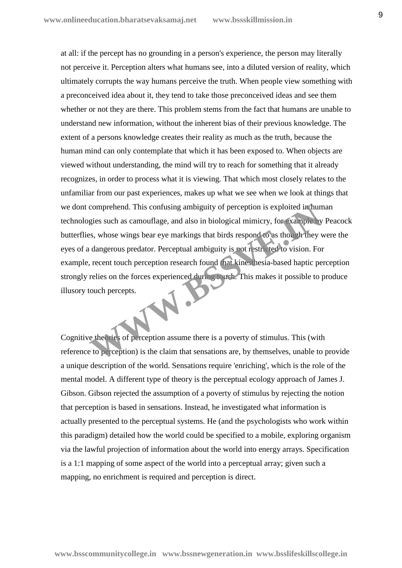at all: if the percept has no grounding in a person's experience, the person may literally not perceive it. Perception alters what humans see, into a diluted version of reality, which ultimately corrupts the way humans perceive the truth. When people view something with a preconceived idea about it, they tend to take those preconceived ideas and see them whether or not they are there. This problem stems from the fact that humans are unable to understand new information, without the inherent bias of their previous knowledge. The extent of a persons knowledge creates their reality as much as the truth, because the human mind can only contemplate that which it has been exposed to. When objects are viewed without understanding, the mind will try to reach for something that it already recognizes, in order to process what it is viewing. That which most closely relates to the unfamiliar from our past experiences, makes up what we see when we look at things that we dont comprehend. This confusing ambiguity of perception is exploited in human technologies such as camouflage, and also in biological mimicry, for example by Peacock butterflies, whose wings bear eye markings that birds respond to as though they were the eyes of a dangerous predator. Perceptual ambiguity is not restricted to vision. For example, recent touch perception research found that kinesthesia-based haptic perception strongly relies on the forces experienced during touch. This makes it possible to produce illusory touch percepts. comprehend. This confusing ambiguity of perception is exploited in hungles such as camouflage, and also in biological mimicry, for example by s.<br>S., whose wings bear eye markings that birds respond to as though they v<br>dang

Cognitive theories of perception assume there is a poverty of stimulus. This (with reference to perception) is the claim that sensations are, by themselves, unable to provide a unique description of the world. Sensations require 'enriching', which is the role of the mental model. A different type of theory is the perceptual ecology approach of James J. Gibson. Gibson rejected the assumption of a poverty of stimulus by rejecting the notion that perception is based in sensations. Instead, he investigated what information is actually presented to the perceptual systems. He (and the psychologists who work within this paradigm) detailed how the world could be specified to a mobile, exploring organism via the lawful projection of information about the world into energy arrays. Specification is a 1:1 mapping of some aspect of the world into a perceptual array; given such a mapping, no enrichment is required and perception is direct.

9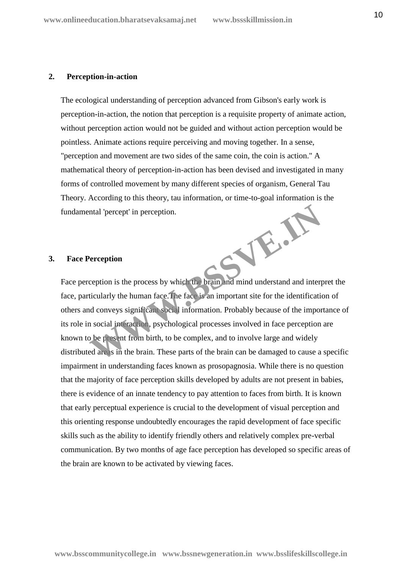#### **2. Perception-in-action**

The ecological understanding of perception advanced from Gibson's early work is perception-in-action, the notion that perception is a requisite property of animate action, without perception action would not be guided and without action perception would be pointless. Animate actions require perceiving and moving together. In a sense, "perception and movement are two sides of the same coin, the coin is action." A mathematical theory of perception-in-action has been devised and investigated in many forms of controlled movement by many different species of organism, General Tau Theory. According to this theory, tau information, or time-to-goal information is the fundamental 'percept' in perception. **WWW.BSSVE.IN**

### **3. Face Perception**

Face perception is the process by which the brain and mind understand and interpret the face, particularly the human face.The face is an important site for the identification of others and conveys significant social information. Probably because of the importance of its role in social interaction, psychological processes involved in face perception are known to be present from birth, to be complex, and to involve large and widely distributed areas in the brain. These parts of the brain can be damaged to cause a specific impairment in understanding faces known as prosopagnosia. While there is no question that the majority of face perception skills developed by adults are not present in babies, there is evidence of an innate tendency to pay attention to faces from birth. It is known that early perceptual experience is crucial to the development of visual perception and this orienting response undoubtedly encourages the rapid development of face specific skills such as the ability to identify friendly others and relatively complex pre-verbal communication. By two months of age face perception has developed so specific areas of the brain are known to be activated by viewing faces.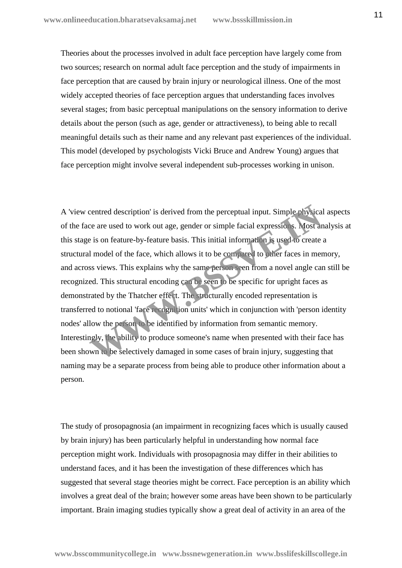Theories about the processes involved in adult face perception have largely come from two sources; research on normal adult face perception and the study of impairments in face perception that are caused by brain injury or neurological illness. One of the most widely accepted theories of face perception argues that understanding faces involves several stages; from basic perceptual manipulations on the sensory information to derive details about the person (such as age, gender or attractiveness), to being able to recall meaningful details such as their name and any relevant past experiences of the individual. This model (developed by psychologists Vicki Bruce and Andrew Young) argues that face perception might involve several independent sub-processes working in unison.

A 'view centred description' is derived from the perceptual input. Simple physical aspects of the face are used to work out age, gender or simple facial expressions. Most analysis at this stage is on feature-by-feature basis. This initial information is used to create a structural model of the face, which allows it to be compared to other faces in memory, and across views. This explains why the same person seen from a novel angle can still be recognized. This structural encoding can be seen to be specific for upright faces as demonstrated by the Thatcher effect. The structurally encoded representation is transferred to notional 'face recognition units' which in conjunction with 'person identity nodes' allow the person to be identified by information from semantic memory. Interestingly, the ability to produce someone's name when presented with their face has been shown to be selectively damaged in some cases of brain injury, suggesting that naming may be a separate process from being able to produce other information about a person. centred description' is derived from the perceptual input. Simple physica<br>ce are used to work out age, gender or simple facial expressions. Most an<br>e is on feature-by-feature basis. This initial information's used to creat

The study of prosopagnosia (an impairment in recognizing faces which is usually caused by brain injury) has been particularly helpful in understanding how normal face perception might work. Individuals with prosopagnosia may differ in their abilities to understand faces, and it has been the investigation of these differences which has suggested that several stage theories might be correct. Face perception is an ability which involves a great deal of the brain; however some areas have been shown to be particularly important. Brain imaging studies typically show a great deal of activity in an area of the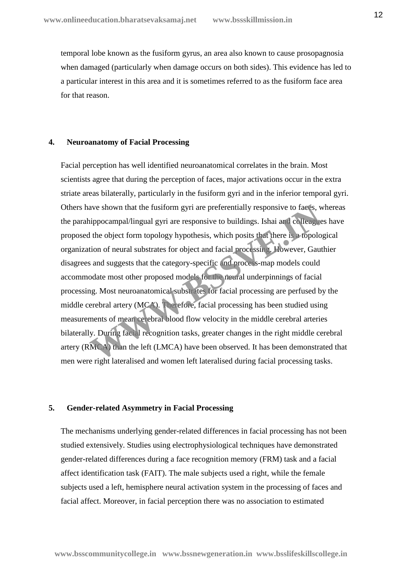temporal lobe known as the fusiform gyrus, an area also known to cause prosopagnosia when damaged (particularly when damage occurs on both sides). This evidence has led to a particular interest in this area and it is sometimes referred to as the fusiform face area for that reason.

#### **4. Neuroanatomy of Facial Processing**

Facial perception has well identified neuroanatomical correlates in the brain. Most scientists agree that during the perception of faces, major activations occur in the extra striate areas bilaterally, particularly in the fusiform gyri and in the inferior temporal gyri. Others have shown that the fusiform gyri are preferentially responsive to faces, whereas the parahippocampal/lingual gyri are responsive to buildings. Ishai and colleagues have proposed the object form topology hypothesis, which posits that there is a topological organization of neural substrates for object and facial processing. However, Gauthier disagrees and suggests that the category-specific and process-map models could accommodate most other proposed models for the neural underpinnings of facial processing. Most neuroanatomical substrates for facial processing are perfused by the middle cerebral artery (MCA). Therefore, facial processing has been studied using measurements of mean cerebral blood flow velocity in the middle cerebral arteries bilaterally. During facial recognition tasks, greater changes in the right middle cerebral artery (RMCA) than the left (LMCA) have been observed. It has been demonstrated that men were right lateralised and women left lateralised during facial processing tasks. ave shown that the fusiform gyri are preferentially responsive to faces, w<br>inppocampal/lingual gyri are responsive to buildings. Ishai and colleague<br>the object form topology hypothesis, which posits that there is a ropolo<br>

#### **5. Gender-related Asymmetry in Facial Processing**

The mechanisms underlying gender-related differences in facial processing has not been studied extensively. Studies using electrophysiological techniques have demonstrated gender-related differences during a face recognition memory (FRM) task and a facial affect identification task (FAIT). The male subjects used a right, while the female subjects used a left, hemisphere neural activation system in the processing of faces and facial affect. Moreover, in facial perception there was no association to estimated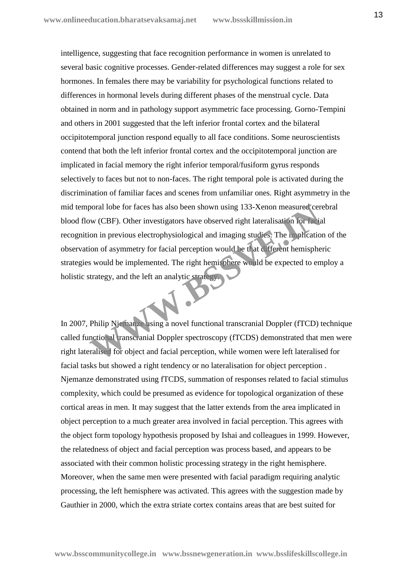intelligence, suggesting that face recognition performance in women is unrelated to several basic cognitive processes. Gender-related differences may suggest a role for sex hormones. In females there may be variability for psychological functions related to differences in hormonal levels during different phases of the menstrual cycle. Data obtained in norm and in pathology support asymmetric face processing. Gorno-Tempini and others in 2001 suggested that the left inferior frontal cortex and the bilateral occipitotemporal junction respond equally to all face conditions. Some neuroscientists contend that both the left inferior frontal cortex and the occipitotemporal junction are implicated in facial memory the right inferior temporal/fusiform gyrus responds selectively to faces but not to non-faces. The right temporal pole is activated during the discrimination of familiar faces and scenes from unfamiliar ones. Right asymmetry in the mid temporal lobe for faces has also been shown using 133-Xenon measured cerebral blood flow (CBF). Other investigators have observed right lateralisation for facial recognition in previous electrophysiological and imaging studies. The implication of the observation of asymmetry for facial perception would be that different hemispheric strategies would be implemented. The right hemisphere would be expected to employ a holistic strategy, and the left an analytic strategy. France Theorem and November 2013 and the settlement of the settlement of the settlement on in previous electrophysiological and imaging studies. The implication of asymmetry for facial perception would be that a fferent he

In 2007, Philip Njemanze using a novel functional transcranial Doppler (fTCD) technique called functional transcranial Doppler spectroscopy (fTCDS) demonstrated that men were right lateralised for object and facial perception, while women were left lateralised for facial tasks but showed a right tendency or no lateralisation for object perception . Njemanze demonstrated using fTCDS, summation of responses related to facial stimulus complexity, which could be presumed as evidence for topological organization of these cortical areas in men. It may suggest that the latter extends from the area implicated in object perception to a much greater area involved in facial perception. This agrees with the object form topology hypothesis proposed by Ishai and colleagues in 1999. However, the relatedness of object and facial perception was process based, and appears to be associated with their common holistic processing strategy in the right hemisphere. Moreover, when the same men were presented with facial paradigm requiring analytic processing, the left hemisphere was activated. This agrees with the suggestion made by Gauthier in 2000, which the extra striate cortex contains areas that are best suited for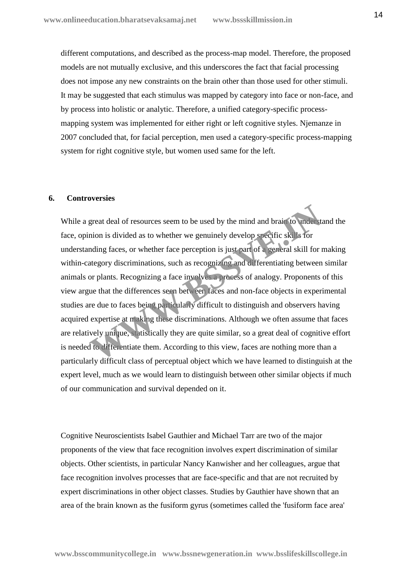different computations, and described as the process-map model. Therefore, the proposed models are not mutually exclusive, and this underscores the fact that facial processing does not impose any new constraints on the brain other than those used for other stimuli. It may be suggested that each stimulus was mapped by category into face or non-face, and by process into holistic or analytic. Therefore, a unified category-specific process mapping system was implemented for either right or left cognitive styles. Njemanze in 2007 concluded that, for facial perception, men used a category-specific process-mapping system for right cognitive style, but women used same for the left.

#### **6. Controversies**

While a great deal of resources seem to be used by the mind and brain to understand the face, opinion is divided as to whether we genuinely develop specific skills for understanding faces, or whether face perception is just part of a general skill for making within-category discriminations, such as recognizing and differentiating between similar animals or plants. Recognizing a face involves a process of analogy. Proponents of this view argue that the differences seen between faces and non-face objects in experimental studies are due to faces being particularly difficult to distinguish and observers having acquired expertise at making these discriminations. Although we often assume that faces are relatively unique, statistically they are quite similar, so a great deal of cognitive effort is needed to differentiate them. According to this view, faces are nothing more than a particularly difficult class of perceptual object which we have learned to distinguish at the expert level, much as we would learn to distinguish between other similar objects if much of our communication and survival depended on it. great deal of resources seem to be used by the mind and brain to understand<br>nion is divided as to whether we genuinely develop specific skills for<br>nding faces, or whether face perception is just part of a general skill for

Cognitive Neuroscientists Isabel Gauthier and Michael Tarr are two of the major proponents of the view that face recognition involves expert discrimination of similar objects. Other scientists, in particular Nancy Kanwisher and her colleagues, argue that face recognition involves processes that are face-specific and that are not recruited by expert discriminations in other object classes. Studies by Gauthier have shown that an area of the brain known as the fusiform gyrus (sometimes called the 'fusiform face area'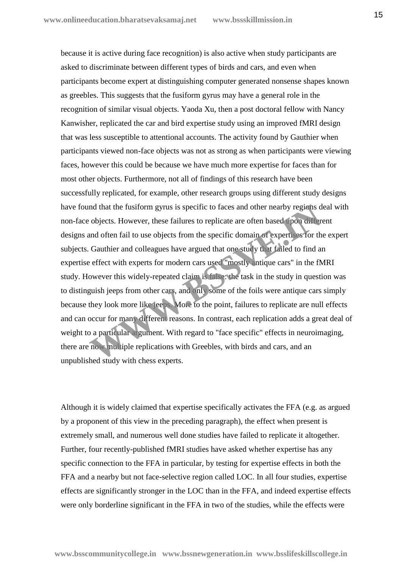because it is active during face recognition) is also active when study participants are asked to discriminate between different types of birds and cars, and even when participants become expert at distinguishing computer generated nonsense shapes known as greebles. This suggests that the fusiform gyrus may have a general role in the recognition of similar visual objects. Yaoda Xu, then a post doctoral fellow with Nancy Kanwisher, replicated the car and bird expertise study using an improved fMRI design that was less susceptible to attentional accounts. The activity found by Gauthier when participants viewed non-face objects was not as strong as when participants were viewing faces, however this could be because we have much more expertise for faces than for most other objects. Furthermore, not all of findings of this research have been successfully replicated, for example, other research groups using different study designs have found that the fusiform gyrus is specific to faces and other nearby regions deal with non-face objects. However, these failures to replicate are often based upon different designs and often fail to use objects from the specific domain of expertises for the expert subjects. Gauthier and colleagues have argued that one study that failed to find an expertise effect with experts for modern cars used "mostly antique cars" in the fMRI study. However this widely-repeated claim is false: the task in the study in question was to distinguish jeeps from other cars, and only some of the foils were antique cars simply because they look more like jeeps. More to the point, failures to replicate are null effects and can occur for many different reasons. In contrast, each replication adds a great deal of weight to a particular argument. With regard to "face specific" effects in neuroimaging, there are now multiple replications with Greebles, with birds and cars, and an unpublished study with chess experts. nd that the fusiform gyrus is specific to faces and other nearby regions dobjects. However, these failures to replicate are often based 1000 different and often fail to use objects from the specific domain of expertives fo

Although it is widely claimed that expertise specifically activates the FFA (e.g. as argued by a proponent of this view in the preceding paragraph), the effect when present is extremely small, and numerous well done studies have failed to replicate it altogether. Further, four recently-published fMRI studies have asked whether expertise has any specific connection to the FFA in particular, by testing for expertise effects in both the FFA and a nearby but not face-selective region called LOC. In all four studies, expertise effects are significantly stronger in the LOC than in the FFA, and indeed expertise effects were only borderline significant in the FFA in two of the studies, while the effects were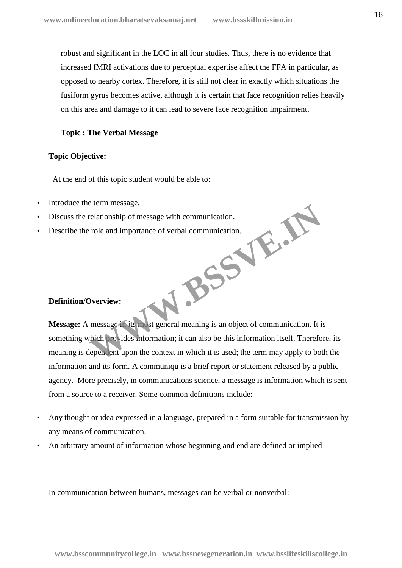robust and significant in the LOC in all four studies. Thus, there is no evidence that increased fMRI activations due to perceptual expertise affect the FFA in particular, as opposed to nearby cortex. Therefore, it is still not clear in exactly which situations the fusiform gyrus becomes active, although it is certain that face recognition relies heavily on this area and damage to it can lead to severe face recognition impairment.

## **Topic : The Verbal Message**

# **Topic Objective:**

At the end of this topic student would be able to:

- Introduce the term message.
- Discuss the relationship of message with communication.
- Describe the role and importance of verbal communication.

### **Definition/Overview:**

**Message:** A message in its most general meaning is an object of communication. It is something which provides information; it can also be this information itself. Therefore, its meaning is dependent upon the context in which it is used; the term may apply to both the information and its form. A communiqu is a brief report or statement released by a public agency. More precisely, in communications science, a message is information which is sent from a source to a receiver. Some common definitions include: WEBSTE.IN

- Any thought or idea expressed in a language, prepared in a form suitable for transmission by any means of communication.
- An arbitrary amount of information whose beginning and end are defined or implied

In communication between humans, messages can be verbal or nonverbal: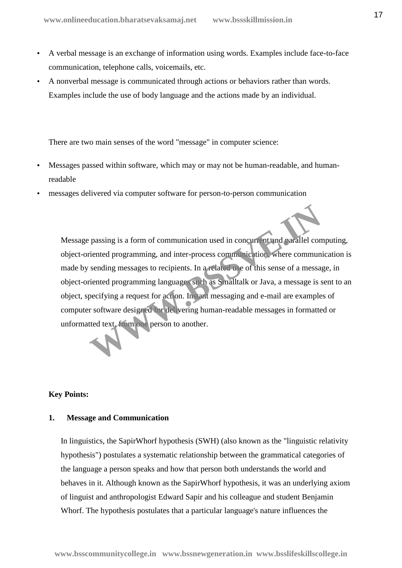- A verbal message is an exchange of information using words. Examples include face-to-face communication, telephone calls, voicemails, etc.
- A nonverbal message is communicated through actions or behaviors rather than words. Examples include the use of body language and the actions made by an individual.

There are two main senses of the word "message" in computer science:

- Messages passed within software, which may or may not be human-readable, and humanreadable
- messages delivered via computer software for person-to-person communication

Message passing is a form of communication used in concurrent and parallel computing, object-oriented programming, and inter-process communication, where communication is made by sending messages to recipients. In a related use of this sense of a message, in object-oriented programming languages such as Smalltalk or Java, a message is sent to an object, specifying a request for action. Instant messaging and e-mail are examples of computer software designed for delivering human-readable messages in formatted or unformatted text, from one person to another. passing is a form of communication used in concurrent and parallel concinented programming, and inter-process communication, where commun sending messages to recipients. In a related use of this sense of a message is speci

# **Key Points:**

# **1. Message and Communication**

In linguistics, the SapirWhorf hypothesis (SWH) (also known as the "linguistic relativity hypothesis") postulates a systematic relationship between the grammatical categories of the language a person speaks and how that person both understands the world and behaves in it. Although known as the SapirWhorf hypothesis, it was an underlying axiom of linguist and anthropologist Edward Sapir and his colleague and student Benjamin Whorf. The hypothesis postulates that a particular language's nature influences the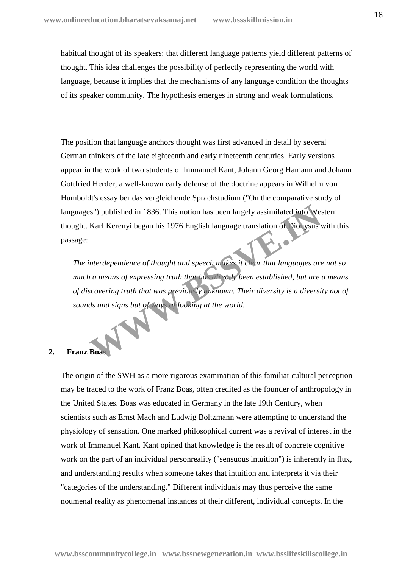habitual thought of its speakers: that different language patterns yield different patterns of thought. This idea challenges the possibility of perfectly representing the world with language, because it implies that the mechanisms of any language condition the thoughts of its speaker community. The hypothesis emerges in strong and weak formulations.

The position that language anchors thought was first advanced in detail by several German thinkers of the late eighteenth and early nineteenth centuries. Early versions appear in the work of two students of Immanuel Kant, Johann Georg Hamann and Johann Gottfried Herder; a well-known early defense of the doctrine appears in Wilhelm von Humboldt's essay ber das vergleichende Sprachstudium ("On the comparative study of languages") published in 1836. This notion has been largely assimilated into Western thought. Karl Kerenyi began his 1976 English language translation of Dionysus with this passage:

*The interdependence of thought and speech makes it clear that languages are not so much a means of expressing truth that has already been established, but are a means of discovering truth that was previously unknown. Their diversity is a diversity not of sounds and signs but of ways of looking at the world.* S") published in 1836. This notion has been largely assimilated into Western Karl Kerenyi began his 1976 English language translation of Dionysus values of thought and speech makes it citear that languages are a means of e

## **2. Franz Boas**

The origin of the SWH as a more rigorous examination of this familiar cultural perception may be traced to the work of Franz Boas, often credited as the founder of anthropology in the United States. Boas was educated in Germany in the late 19th Century, when scientists such as Ernst Mach and Ludwig Boltzmann were attempting to understand the physiology of sensation. One marked philosophical current was a revival of interest in the work of Immanuel Kant. Kant opined that knowledge is the result of concrete cognitive work on the part of an individual personreality ("sensuous intuition") is inherently in flux, and understanding results when someone takes that intuition and interprets it via their "categories of the understanding." Different individuals may thus perceive the same noumenal reality as phenomenal instances of their different, individual concepts. In the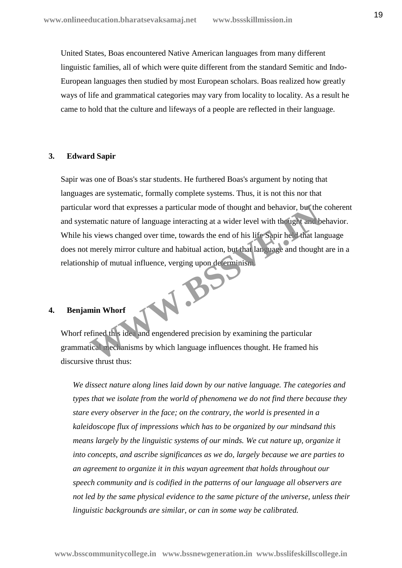United States, Boas encountered Native American languages from many different linguistic families, all of which were quite different from the standard Semitic and Indo- European languages then studied by most European scholars. Boas realized how greatly ways of life and grammatical categories may vary from locality to locality. As a result he came to hold that the culture and lifeways of a people are reflected in their language.

### **3. Edward Sapir**

Sapir was one of Boas's star students. He furthered Boas's argument by noting that languages are systematic, formally complete systems. Thus, it is not this nor that particular word that expresses a particular mode of thought and behavior, but the coherent and systematic nature of language interacting at a wider level with thought and behavior. While his views changed over time, towards the end of his life Sapir held that language does not merely mirror culture and habitual action, but that language and thought are in a relationship of mutual influence, verging upon determinism. W.BS.

## **4. Benjamin Whorf**

Whorf refined this idea and engendered precision by examining the particular grammatical mechanisms by which language influences thought. He framed his discursive thrust thus:

*We dissect nature along lines laid down by our native language. The categories and types that we isolate from the world of phenomena we do not find there because they stare every observer in the face; on the contrary, the world is presented in a kaleidoscope flux of impressions which has to be organized by our mindsand this means largely by the linguistic systems of our minds. We cut nature up, organize it into concepts, and ascribe significances as we do, largely because we are parties to an agreement to organize it in this wayan agreement that holds throughout our speech community and is codified in the patterns of our language all observers are not led by the same physical evidence to the same picture of the universe, unless their linguistic backgrounds are similar, or can in some way be calibrated.*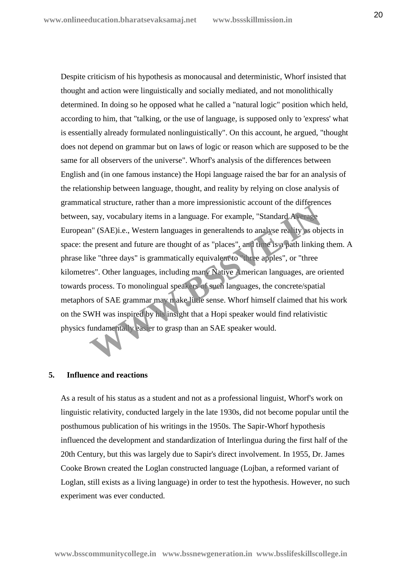Despite criticism of his hypothesis as monocausal and deterministic, Whorf insisted that thought and action were linguistically and socially mediated, and not monolithically determined. In doing so he opposed what he called a "natural logic" position which held, according to him, that "talking, or the use of language, is supposed only to 'express' what is essentially already formulated nonlinguistically". On this account, he argued, "thought does not depend on grammar but on laws of logic or reason which are supposed to be the same for all observers of the universe". Whorf's analysis of the differences between English and (in one famous instance) the Hopi language raised the bar for an analysis of the relationship between language, thought, and reality by relying on close analysis of grammatical structure, rather than a more impressionistic account of the differences between, say, vocabulary items in a language. For example, "Standard Average European" (SAE)i.e., Western languages in generaltends to analyse reality as objects in space: the present and future are thought of as "places", and time is a path linking them. A phrase like "three days" is grammatically equivalent to "three apples", or "three kilometres". Other languages, including many Native American languages, are oriented towards process. To monolingual speakers of such languages, the concrete/spatial metaphors of SAE grammar may make little sense. Whorf himself claimed that his work on the SWH was inspired by his insight that a Hopi speaker would find relativistic physics fundamentally easier to grasp than an SAE speaker would. Franchine and a more impressions a decount of the dimensions and satisfy a say, vocabulary items in a language. For example, "Standard A crace in" (SAE)i.e., Western languages in generaltends to analyse reality is objequen

# **5. Influence and reactions**

As a result of his status as a student and not as a professional linguist, Whorf's work on linguistic relativity, conducted largely in the late 1930s, did not become popular until the posthumous publication of his writings in the 1950s. The Sapir-Whorf hypothesis influenced the development and standardization of Interlingua during the first half of the 20th Century, but this was largely due to Sapir's direct involvement. In 1955, Dr. James Cooke Brown created the Loglan constructed language (Lojban, a reformed variant of Loglan, still exists as a living language) in order to test the hypothesis. However, no such experiment was ever conducted.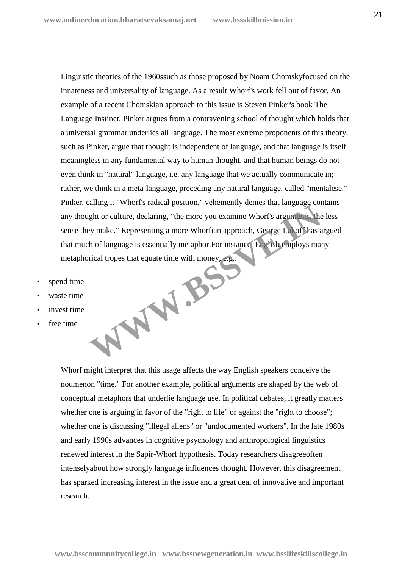Linguistic theories of the 1960ssuch as those proposed by Noam Chomskyfocused on the innateness and universality of language. As a result Whorf's work fell out of favor. An example of a recent Chomskian approach to this issue is Steven Pinker's book The Language Instinct. Pinker argues from a contravening school of thought which holds that a universal grammar underlies all language. The most extreme proponents of this theory, such as Pinker, argue that thought is independent of language, and that language is itself meaningless in any fundamental way to human thought, and that human beings do not even think in "natural" language, i.e. any language that we actually communicate in; rather, we think in a meta-language, preceding any natural language, called "mentalese." Pinker, calling it "Whorf's radical position," vehemently denies that language contains any thought or culture, declaring, "the more you examine Whorf's arguments, the less sense they make." Representing a more Whorfian approach, George Lakoff has argued that much of language is essentially metaphor.For instance, English employs many metaphorical tropes that equate time with money, e.g.: WWW.BSC.

- spend time
- waste time
- invest time
- free time

Whorf might interpret that this usage affects the way English speakers conceive the noumenon "time." For another example, political arguments are shaped by the web of conceptual metaphors that underlie language use. In political debates, it greatly matters whether one is arguing in favor of the "right to life" or against the "right to choose"; whether one is discussing "illegal aliens" or "undocumented workers". In the late 1980s and early 1990s advances in cognitive psychology and anthropological linguistics renewed interest in the Sapir-Whorf hypothesis. Today researchers disagreeoften intenselyabout how strongly language influences thought. However, this disagreement has sparked increasing interest in the issue and a great deal of innovative and important research.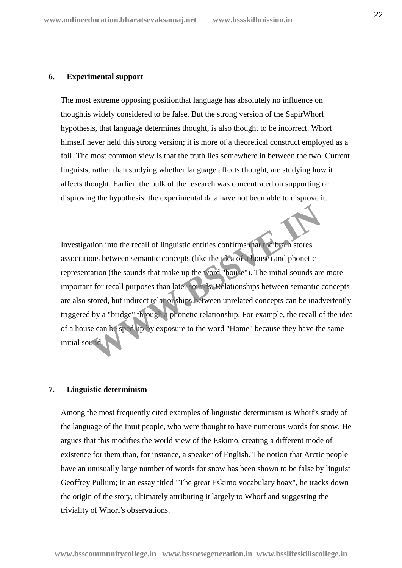### **6. Experimental support**

The most extreme opposing positionthat language has absolutely no influence on thoughtis widely considered to be false. But the strong version of the SapirWhorf hypothesis, that language determines thought, is also thought to be incorrect. Whorf himself never held this strong version; it is more of a theoretical construct employed as a foil. The most common view is that the truth lies somewhere in between the two. Current linguists, rather than studying whether language affects thought, are studying how it affects thought. Earlier, the bulk of the research was concentrated on supporting or disproving the hypothesis; the experimental data have not been able to disprove it.

Investigation into the recall of linguistic entities confirms that the brain stores associations between semantic concepts (like the idea of a house) and phonetic representation (the sounds that make up the word "house"). The initial sounds are more important for recall purposes than later sounds. Relationships between semantic concepts are also stored, but indirect relationships between unrelated concepts can be inadvertently triggered by a "bridge" through a phonetic relationship. For example, the recall of the idea of a house can be sped up by exposure to the word "Home" because they have the same initial sound. tion into the recall of linguistic entities confirms that the b am stores<br>ons between semantic concepts (like the idea of a louse) and phonetic<br>tation (the sounds that make up the word "hou<sub>e</sub>"). The initial sounds are<br>t f

# **7. Linguistic determinism**

Among the most frequently cited examples of linguistic determinism is Whorf's study of the language of the Inuit people, who were thought to have numerous words for snow. He argues that this modifies the world view of the Eskimo, creating a different mode of existence for them than, for instance, a speaker of English. The notion that Arctic people have an unusually large number of words for snow has been shown to be false by linguist Geoffrey Pullum; in an essay titled "The great Eskimo vocabulary hoax", he tracks down the origin of the story, ultimately attributing it largely to Whorf and suggesting the triviality of Whorf's observations.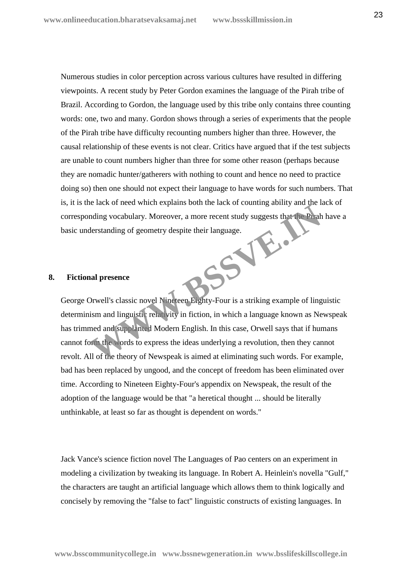Numerous studies in color perception across various cultures have resulted in differing viewpoints. A recent study by Peter Gordon examines the language of the Pirah tribe of Brazil. According to Gordon, the language used by this tribe only contains three counting words: one, two and many. Gordon shows through a series of experiments that the people of the Pirah tribe have difficulty recounting numbers higher than three. However, the causal relationship of these events is not clear. Critics have argued that if the test subjects are unable to count numbers higher than three for some other reason (perhaps because they are nomadic hunter/gatherers with nothing to count and hence no need to practice doing so) then one should not expect their language to have words for such numbers. That is, it is the lack of need which explains both the lack of counting ability and the lack of corresponding vocabulary. Moreover, a more recent study suggests that the Pirah have a basic understanding of geometry despite their language. **WWW.BSSVE.IN**

# **8. Fictional presence**

George Orwell's classic novel Nineteen Eighty-Four is a striking example of linguistic determinism and linguistic relativity in fiction, in which a language known as Newspeak has trimmed and supplanted Modern English. In this case, Orwell says that if humans cannot form the words to express the ideas underlying a revolution, then they cannot revolt. All of the theory of Newspeak is aimed at eliminating such words. For example, bad has been replaced by ungood, and the concept of freedom has been eliminated over time. According to Nineteen Eighty-Four's appendix on Newspeak, the result of the adoption of the language would be that "a heretical thought ... should be literally unthinkable, at least so far as thought is dependent on words."

Jack Vance's science fiction novel The Languages of Pao centers on an experiment in modeling a civilization by tweaking its language. In Robert A. Heinlein's novella "Gulf," the characters are taught an artificial language which allows them to think logically and concisely by removing the "false to fact" linguistic constructs of existing languages. In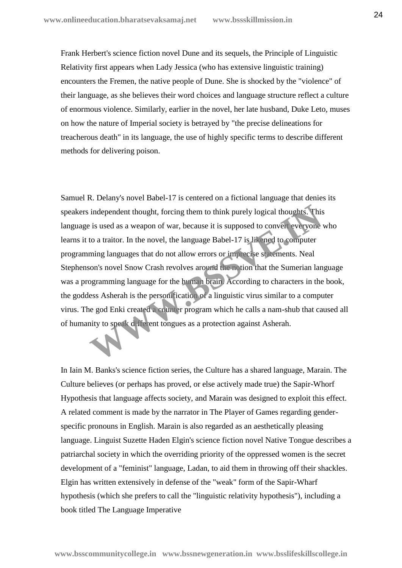Frank Herbert's science fiction novel Dune and its sequels, the Principle of Linguistic Relativity first appears when Lady Jessica (who has extensive linguistic training) encounters the Fremen, the native people of Dune. She is shocked by the "violence" of their language, as she believes their word choices and language structure reflect a culture of enormous violence. Similarly, earlier in the novel, her late husband, Duke Leto, muses on how the nature of Imperial society is betrayed by "the precise delineations for treacherous death" in its language, the use of highly specific terms to describe different methods for delivering poison.

Samuel R. Delany's novel Babel-17 is centered on a fictional language that denies its speakers independent thought, forcing them to think purely logical thoughts. This language is used as a weapon of war, because it is supposed to convert everyone who learns it to a traitor. In the novel, the language Babel-17 is likened to computer programming languages that do not allow errors or imprecise statements. Neal Stephenson's novel Snow Crash revolves around the notion that the Sumerian language was a programming language for the human brain. According to characters in the book, the goddess Asherah is the personification of a linguistic virus similar to a computer virus. The god Enki created a counter program which he calls a nam-shub that caused all of humanity to speak different tongues as a protection against Asherah. independent thought, forcing them to think purely logical thoughts. This<br>is used as a weapon of war, because it is supposed to convert everyone<br>to a traitor. In the novel, the language Babel-17 is lift and to computer<br>ming

In Iain M. Banks's science fiction series, the Culture has a shared language, Marain. The Culture believes (or perhaps has proved, or else actively made true) the Sapir-Whorf Hypothesis that language affects society, and Marain was designed to exploit this effect. A related comment is made by the narrator in The Player of Games regarding gender specific pronouns in English. Marain is also regarded as an aesthetically pleasing language. Linguist Suzette Haden Elgin's science fiction novel Native Tongue describes a patriarchal society in which the overriding priority of the oppressed women is the secret development of a "feminist" language, Ladan, to aid them in throwing off their shackles. Elgin has written extensively in defense of the "weak" form of the Sapir-Wharf hypothesis (which she prefers to call the "linguistic relativity hypothesis"), including a book titled The Language Imperative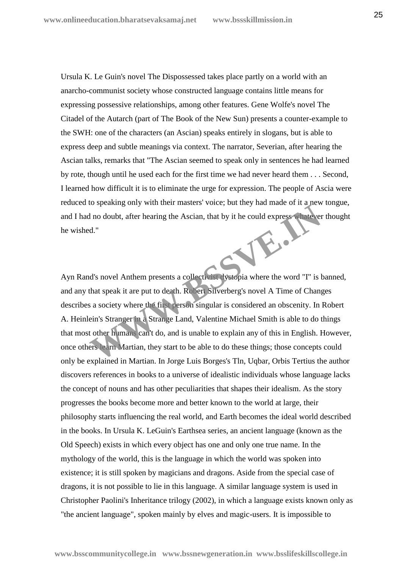Ursula K. Le Guin's novel The Dispossessed takes place partly on a world with an anarcho-communist society whose constructed language contains little means for expressing possessive relationships, among other features. Gene Wolfe's novel The Citadel of the Autarch (part of The Book of the New Sun) presents a counter-example to the SWH: one of the characters (an Ascian) speaks entirely in slogans, but is able to express deep and subtle meanings via context. The narrator, Severian, after hearing the Ascian talks, remarks that "The Ascian seemed to speak only in sentences he had learned by rote, though until he used each for the first time we had never heard them . . . Second, I learned how difficult it is to eliminate the urge for expression. The people of Ascia were reduced to speaking only with their masters' voice; but they had made of it a new tongue, and I had no doubt, after hearing the Ascian, that by it he could express whatever thought he wished." WWW.BSSV.

Ayn Rand's novel Anthem presents a collectivist dystopia where the word "I" is banned, and any that speak it are put to death. Robert Silverberg's novel A Time of Changes describes a society where the first person singular is considered an obscenity. In Robert A. Heinlein's Stranger in a Strange Land, Valentine Michael Smith is able to do things that most other humans can't do, and is unable to explain any of this in English. However, once others learn Martian, they start to be able to do these things; those concepts could only be explained in Martian. In Jorge Luis Borges's Tln, Uqbar, Orbis Tertius the author discovers references in books to a universe of idealistic individuals whose language lacks the concept of nouns and has other peculiarities that shapes their idealism. As the story progresses the books become more and better known to the world at large, their philosophy starts influencing the real world, and Earth becomes the ideal world described in the books. In Ursula K. LeGuin's Earthsea series, an ancient language (known as the Old Speech) exists in which every object has one and only one true name. In the mythology of the world, this is the language in which the world was spoken into existence; it is still spoken by magicians and dragons. Aside from the special case of dragons, it is not possible to lie in this language. A similar language system is used in Christopher Paolini's Inheritance trilogy (2002), in which a language exists known only as "the ancient language", spoken mainly by elves and magic-users. It is impossible to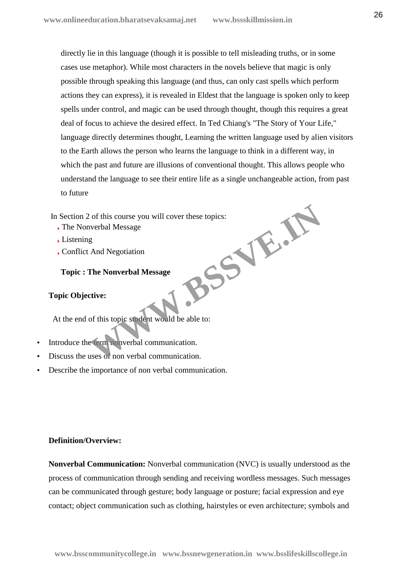directly lie in this language (though it is possible to tell misleading truths, or in some cases use metaphor). While most characters in the novels believe that magic is only possible through speaking this language (and thus, can only cast spells which perform actions they can express), it is revealed in Eldest that the language is spoken only to keep spells under control, and magic can be used through thought, though this requires a great deal of focus to achieve the desired effect. In Ted Chiang's "The Story of Your Life," language directly determines thought, Learning the written language used by alien visitors to the Earth allows the person who learns the language to think in a different way, in which the past and future are illusions of conventional thought. This allows people who understand the language to see their entire life as a single unchangeable action, from past to future

In Section 2 of this course you will cover these topics: **BSSVE.IN** 

- The Nonverbal Message
- **Listening**
- Conflict And Negotiation

**Topic : The Nonverbal Message**

# **Topic Objective:**

At the end of this topic student would be able to:

- Introduce the term nonverbal communication.
- Discuss the uses of non verbal communication.
- Describe the importance of non verbal communication.

## **Definition/Overview:**

**Nonverbal Communication:** Nonverbal communication (NVC) is usually understood as the process of communication through sending and receiving wordless messages. Such messages can be communicated through gesture; body language or posture; facial expression and eye contact; object communication such as clothing, hairstyles or even architecture; symbols and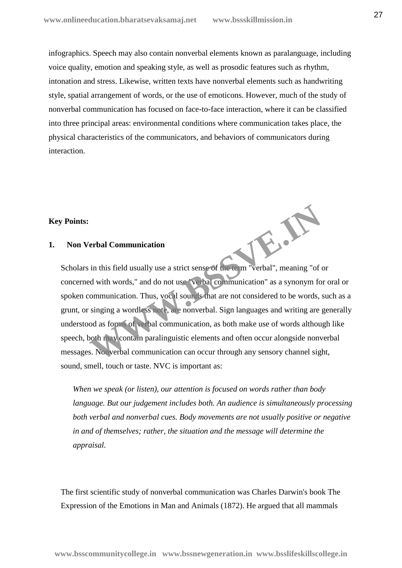infographics. Speech may also contain nonverbal elements known as paralanguage, including voice quality, emotion and speaking style, as well as prosodic features such as rhythm, intonation and stress. Likewise, written texts have nonverbal elements such as handwriting style, spatial arrangement of words, or the use of emoticons. However, much of the study of nonverbal communication has focused on face-to-face interaction, where it can be classified into three principal areas: environmental conditions where communication takes place, the physical characteristics of the communicators, and behaviors of communicators during interaction.

# **Key Points:**

## **1. Non Verbal Communication**

Scholars in this field usually use a strict sense of the term "verbal", meaning "of or concerned with words," and do not use "verbal communication" as a synonym for oral or spoken communication. Thus, vocal sounds that are not considered to be words, such as a grunt, or singing a wordless note, are nonverbal. Sign languages and writing are generally understood as forms of verbal communication, as both make use of words although like speech, both may contain paralinguistic elements and often occur alongside nonverbal messages. Nonverbal communication can occur through any sensory channel sight, sound, smell, touch or taste. NVC is important as: W.B.

*When we speak (or listen), our attention is focused on words rather than body language. But our judgement includes both. An audience is simultaneously processing both verbal and nonverbal cues. Body movements are not usually positive or negative in and of themselves; rather, the situation and the message will determine the appraisal.*

The first scientific study of nonverbal communication was Charles Darwin's book The Expression of the Emotions in Man and Animals (1872). He argued that all mammals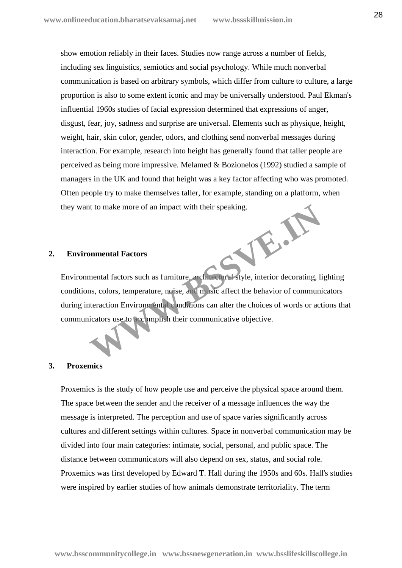show emotion reliably in their faces. Studies now range across a number of fields, including sex linguistics, semiotics and social psychology. While much nonverbal communication is based on arbitrary symbols, which differ from culture to culture, a large proportion is also to some extent iconic and may be universally understood. Paul Ekman's influential 1960s studies of facial expression determined that expressions of anger, disgust, fear, joy, sadness and surprise are universal. Elements such as physique, height, weight, hair, skin color, gender, odors, and clothing send nonverbal messages during interaction. For example, research into height has generally found that taller people are perceived as being more impressive. Melamed & Bozionelos (1992) studied a sample of managers in the UK and found that height was a key factor affecting who was promoted. Often people try to make themselves taller, for example, standing on a platform, when they want to make more of an impact with their speaking.

### **2. Environmental Factors**

Environmental factors such as furniture, architectural style, interior decorating, lighting conditions, colors, temperature, noise, and music affect the behavior of communicators during interaction Environmental conditions can alter the choices of words or actions that communicators use to accomplish their communicative objective. **WWW.BSSVE.IN**

#### **3. Proxemics**

Proxemics is the study of how people use and perceive the physical space around them. The space between the sender and the receiver of a message influences the way the message is interpreted. The perception and use of space varies significantly across cultures and different settings within cultures. Space in nonverbal communication may be divided into four main categories: intimate, social, personal, and public space. The distance between communicators will also depend on sex, status, and social role. Proxemics was first developed by Edward T. Hall during the 1950s and 60s. Hall's studies were inspired by earlier studies of how animals demonstrate territoriality. The term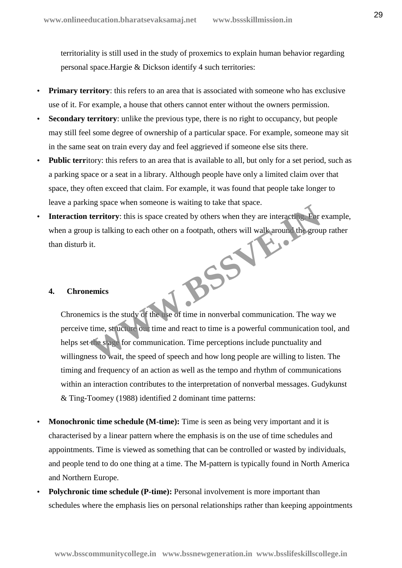territoriality is still used in the study of proxemics to explain human behavior regarding personal space.Hargie & Dickson identify 4 such territories:

- **Primary territory**: this refers to an area that is associated with someone who has exclusive use of it. For example, a house that others cannot enter without the owners permission.
- **Secondary territory**: unlike the previous type, there is no right to occupancy, but people may still feel some degree of ownership of a particular space. For example, someone may sit in the same seat on train every day and feel aggrieved if someone else sits there.
- **Public terr**itory: this refers to an area that is available to all, but only for a set period, such as a parking space or a seat in a library. Although people have only a limited claim over that space, they often exceed that claim. For example, it was found that people take longer to leave a parking space when someone is waiting to take that space.
- **Interaction territory**: this is space created by others when they are interacting. For example, when a group is talking to each other on a footpath, others will walk around the group rather than disturb it. BSS<sup>SV</sup>E.

# **4. Chronemics**

Chronemics is the study of the use of time in nonverbal communication. The way we perceive time, structure our time and react to time is a powerful communication tool, and helps set the stage for communication. Time perceptions include punctuality and willingness to wait, the speed of speech and how long people are willing to listen. The timing and frequency of an action as well as the tempo and rhythm of communications within an interaction contributes to the interpretation of nonverbal messages. Gudykunst & Ting-Toomey (1988) identified 2 dominant time patterns:

- **Monochronic time schedule (M-time):** Time is seen as being very important and it is characterised by a linear pattern where the emphasis is on the use of time schedules and appointments. Time is viewed as something that can be controlled or wasted by individuals, and people tend to do one thing at a time. The M-pattern is typically found in North America and Northern Europe.
- **Polychronic time schedule (P-time):** Personal involvement is more important than schedules where the emphasis lies on personal relationships rather than keeping appointments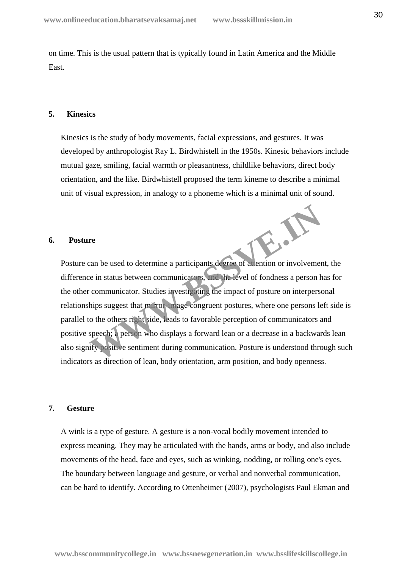on time. This is the usual pattern that is typically found in Latin America and the Middle East.

## **5. Kinesics**

Kinesics is the study of body movements, facial expressions, and gestures. It was developed by anthropologist Ray L. Birdwhistell in the 1950s. Kinesic behaviors include mutual gaze, smiling, facial warmth or pleasantness, childlike behaviors, direct body orientation, and the like. Birdwhistell proposed the term kineme to describe a minimal unit of visual expression, in analogy to a phoneme which is a minimal unit of sound.

#### **6. Posture**

Posture can be used to determine a participants degree of attention or involvement, the difference in status between communicators, and the level of fondness a person has for the other communicator. Studies investigating the impact of posture on interpersonal relationships suggest that mirror-image congruent postures, where one persons left side is parallel to the others right side, leads to favorable perception of communicators and positive speech; a person who displays a forward lean or a decrease in a backwards lean also signify positive sentiment during communication. Posture is understood through such indicators as direction of lean, body orientation, arm position, and body openness. of all Elections

#### **7. Gesture**

A wink is a type of gesture. A gesture is a non-vocal bodily movement intended to express meaning. They may be articulated with the hands, arms or body, and also include movements of the head, face and eyes, such as winking, nodding, or rolling one's eyes. The boundary between language and gesture, or verbal and nonverbal communication, can be hard to identify. According to Ottenheimer (2007), psychologists Paul Ekman and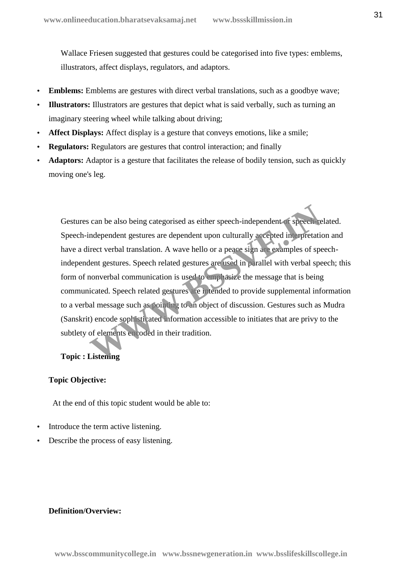Wallace Friesen suggested that gestures could be categorised into five types: emblems, illustrators, affect displays, regulators, and adaptors.

- **Emblems:** Emblems are gestures with direct verbal translations, such as a goodbye wave;
- **Illustrators:** Illustrators are gestures that depict what is said verbally, such as turning an imaginary steering wheel while talking about driving;
- **Affect Displays:** Affect display is a gesture that conveys emotions, like a smile;
- **Regulators:** Regulators are gestures that control interaction; and finally
- **Adaptors:** Adaptor is a gesture that facilitates the release of bodily tension, such as quickly moving one's leg.

Gestures can be also being categorised as either speech-independent or speech-related. Speech-independent gestures are dependent upon culturally accepted interpretation and have a direct verbal translation. A wave hello or a peace sign are examples of speechindependent gestures. Speech related gestures are used in parallel with verbal speech; this form of nonverbal communication is used to emphasize the message that is being communicated. Speech related gestures are intended to provide supplemental information to a verbal message such as pointing to an object of discussion. Gestures such as Mudra (Sanskrit) encode sophisticated information accessible to initiates that are privy to the subtlety of elements encoded in their tradition. can be also being categorised as either speech-independent if speech represented in a proportion of a peace sign at examples of speech telective text verbal translation. A wave hello or a peace sign at examples of speech t

# **Topic : Listening**

# **Topic Objective:**

At the end of this topic student would be able to:

- Introduce the term active listening.
- Describe the process of easy listening.

# **Definition/Overview:**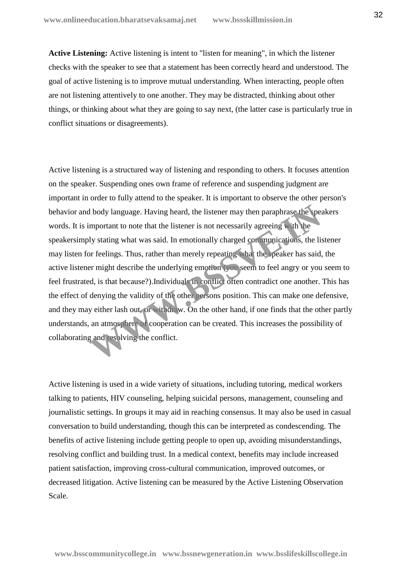**Active Listening:** Active listening is intent to "listen for meaning", in which the listener checks with the speaker to see that a statement has been correctly heard and understood. The goal of active listening is to improve mutual understanding. When interacting, people often are not listening attentively to one another. They may be distracted, thinking about other things, or thinking about what they are going to say next, (the latter case is particularly true in conflict situations or disagreements).

Active listening is a structured way of listening and responding to others. It focuses attention on the speaker. Suspending ones own frame of reference and suspending judgment are important in order to fully attend to the speaker. It is important to observe the other person's behavior and body language. Having heard, the listener may then paraphrase the speakers words. It is important to note that the listener is not necessarily agreeing with the speakersimply stating what was said. In emotionally charged communications, the listener may listen for feelings. Thus, rather than merely repeating what the speaker has said, the active listener might describe the underlying emotion (you seem to feel angry or you seem to feel frustrated, is that because?).Individuals in conflict often contradict one another. This has the effect of denying the validity of the other persons position. This can make one defensive, and they may either lash out, or withdraw. On the other hand, if one finds that the other partly understands, an atmosphere of cooperation can be created. This increases the possibility of collaborating and resolving the conflict. I body language. Having heard, the listener may then paraphrase the spear<br>mportant to note that the listener is not necessarily agreeing with the<br>ly stating what was said. In emotionally charged communications, the list<br>or

Active listening is used in a wide variety of situations, including tutoring, medical workers talking to patients, HIV counseling, helping suicidal persons, management, counseling and journalistic settings. In groups it may aid in reaching consensus. It may also be used in casual conversation to build understanding, though this can be interpreted as condescending. The benefits of active listening include getting people to open up, avoiding misunderstandings, resolving conflict and building trust. In a medical context, benefits may include increased patient satisfaction, improving cross-cultural communication, improved outcomes, or decreased litigation. Active listening can be measured by the Active Listening Observation Scale.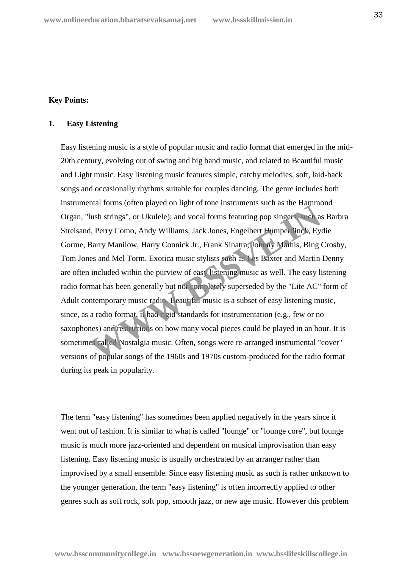#### **Key Points:**

# **1. Easy Listening**

Easy listening music is a style of popular music and radio format that emerged in the mid- 20th century, evolving out of swing and big band music, and related to Beautiful music and Light music. Easy listening music features simple, catchy melodies, soft, laid-back songs and occasionally rhythms suitable for couples dancing. The genre includes both instrumental forms (often played on light of tone instruments such as the Hammond Organ, "lush strings", or Ukulele); and vocal forms featuring pop singers, such as Barbra Streisand, Perry Como, Andy Williams, Jack Jones, Engelbert Humperdinck, Eydie Gorme, Barry Manilow, Harry Connick Jr., Frank Sinatra, Johnny Mathis, Bing Crosby, Tom Jones and Mel Torm. Exotica music stylists such as Les Baxter and Martin Denny are often included within the purview of easy listening music as well. The easy listening radio format has been generally but not completely superseded by the "Lite AC" form of Adult contemporary music radio. Beautiful music is a subset of easy listening music, since, as a radio format, it had rigid standards for instrumentation (e.g., few or no saxophones) and restrictions on how many vocal pieces could be played in an hour. It is sometimes called Nostalgia music. Often, songs were re-arranged instrumental "cover" versions of popular songs of the 1960s and 1970s custom-produced for the radio format during its peak in popularity. han forth played on fight of the institutions such as the rial and<br>the strings", or Ukulele); and vocal forms featuring pop singers and<br>as<br>1, Perry Como, Andy Williams, Jack Jones, Engelbert Humper linck, Eye<br>Barry Manilow

The term "easy listening" has sometimes been applied negatively in the years since it went out of fashion. It is similar to what is called "lounge" or "lounge core", but lounge music is much more jazz-oriented and dependent on musical improvisation than easy listening. Easy listening music is usually orchestrated by an arranger rather than improvised by a small ensemble. Since easy listening music as such is rather unknown to the younger generation, the term "easy listening" is often incorrectly applied to other genres such as soft rock, soft pop, smooth jazz, or new age music. However this problem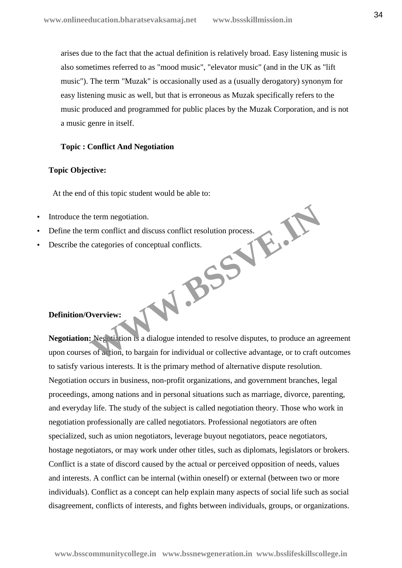arises due to the fact that the actual definition is relatively broad. Easy listening music is also sometimes referred to as "mood music", "elevator music" (and in the UK as "lift music"). The term "Muzak" is occasionally used as a (usually derogatory) synonym for easy listening music as well, but that is erroneous as Muzak specifically refers to the music produced and programmed for public places by the Muzak Corporation, and is not a music genre in itself.

## **Topic : Conflict And Negotiation**

#### **Topic Objective:**

At the end of this topic student would be able to:

- Introduce the term negotiation.
- Define the term conflict and discuss conflict resolution process. **WWW.BSSVE.IN**
- Describe the categories of conceptual conflicts.

## **Definition/Overview:**

**Negotiation:** Negotiation is a dialogue intended to resolve disputes, to produce an agreement upon courses of action, to bargain for individual or collective advantage, or to craft outcomes to satisfy various interests. It is the primary method of alternative dispute resolution. Negotiation occurs in business, non-profit organizations, and government branches, legal proceedings, among nations and in personal situations such as marriage, divorce, parenting, and everyday life. The study of the subject is called negotiation theory. Those who work in negotiation professionally are called negotiators. Professional negotiators are often specialized, such as union negotiators, leverage buyout negotiators, peace negotiators, hostage negotiators, or may work under other titles, such as diplomats, legislators or brokers. Conflict is a state of discord caused by the actual or perceived opposition of needs, values and interests. A conflict can be internal (within oneself) or external (between two or more individuals). Conflict as a concept can help explain many aspects of social life such as social disagreement, conflicts of interests, and fights between individuals, groups, or organizations.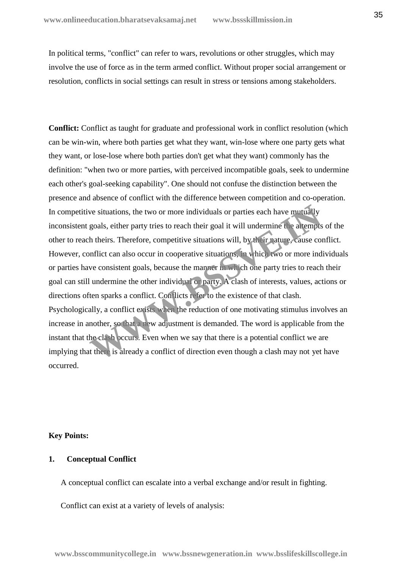In political terms, "conflict" can refer to wars, revolutions or other struggles, which may involve the use of force as in the term armed conflict. Without proper social arrangement or resolution, conflicts in social settings can result in stress or tensions among stakeholders.

**Conflict:** Conflict as taught for graduate and professional work in conflict resolution (which can be win-win, where both parties get what they want, win-lose where one party gets what they want, or lose-lose where both parties don't get what they want) commonly has the definition: "when two or more parties, with perceived incompatible goals, seek to undermine each other's goal-seeking capability". One should not confuse the distinction between the presence and absence of conflict with the difference between competition and co-operation. In competitive situations, the two or more individuals or parties each have mutually inconsistent goals, either party tries to reach their goal it will undermine the attempts of the other to reach theirs. Therefore, competitive situations will, by their nature, cause conflict. However, conflict can also occur in cooperative situations, in which two or more individuals or parties have consistent goals, because the manner in which one party tries to reach their goal can still undermine the other individual or party. A clash of interests, values, actions or directions often sparks a conflict. Conflicts refer to the existence of that clash. Psychologically, a conflict exists when the reduction of one motivating stimulus involves an increase in another, so that a new adjustment is demanded. The word is applicable from the instant that the clash occurs. Even when we say that there is a potential conflict we are implying that there is already a conflict of direction even though a clash may not yet have occurred. We situations, the two or more individuals or parties each have mutually goals, either party tries to reach their goal it will undermine the altempts in theirs. Therefore, competitive situations will, by their nature, caus

### **Key Points:**

# **1. Conceptual Conflict**

A conceptual conflict can escalate into a verbal exchange and/or result in fighting.

Conflict can exist at a variety of levels of analysis: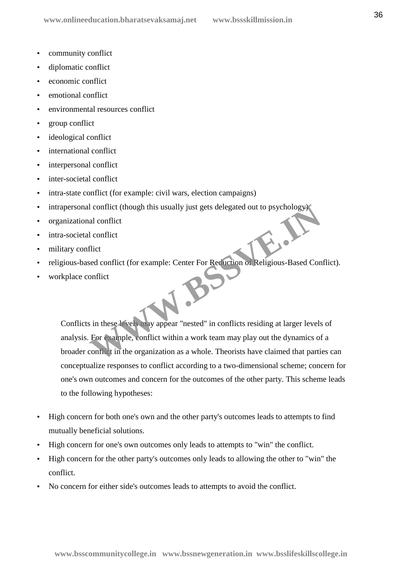- community conflict
- diplomatic conflict
- economic conflict
- emotional conflict
- environmental resources conflict
- group conflict
- ideological conflict
- international conflict
- interpersonal conflict
- inter-societal conflict
- intra-state conflict (for example: civil wars, election campaigns)
- intrapersonal conflict (though this usually just gets delegated out to psychology)
- organizational conflict
- intra-societal conflict
- military conflict
- religious-based conflict (for example: Center For Reduction of Religious-Based Conflict).
- workplace conflict

Conflicts in these levels may appear "nested" in conflicts residing at larger levels of analysis. For example, conflict within a work team may play out the dynamics of a broader conflict in the organization as a whole. Theorists have claimed that parties can conceptualize responses to conflict according to a two-dimensional scheme; concern for one's own outcomes and concern for the outcomes of the other party. This scheme leads to the following hypotheses: I conflict (though this usually just gets delegated out to psychology)<br>
al conflict<br>
I conflict<br>
Flict<br>
Sed conflict<br>
Websites: Center For Reduction of Religious-Based Conflict<br>
Sed conflict<br>
Set cample, eonflict within a

- High concern for both one's own and the other party's outcomes leads to attempts to find mutually beneficial solutions.
- High concern for one's own outcomes only leads to attempts to "win" the conflict.
- High concern for the other party's outcomes only leads to allowing the other to "win" the conflict.
- No concern for either side's outcomes leads to attempts to avoid the conflict.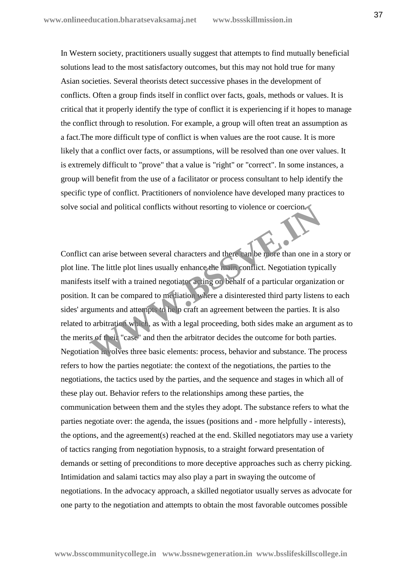In Western society, practitioners usually suggest that attempts to find mutually beneficial solutions lead to the most satisfactory outcomes, but this may not hold true for many Asian societies. Several theorists detect successive phases in the development of conflicts. Often a group finds itself in conflict over facts, goals, methods or values. It is critical that it properly identify the type of conflict it is experiencing if it hopes to manage the conflict through to resolution. For example, a group will often treat an assumption as a fact.The more difficult type of conflict is when values are the root cause. It is more likely that a conflict over facts, or assumptions, will be resolved than one over values. It is extremely difficult to "prove" that a value is "right" or "correct". In some instances, a group will benefit from the use of a facilitator or process consultant to help identify the specific type of conflict. Practitioners of nonviolence have developed many practices to solve social and political conflicts without resorting to violence or coercion.

Conflict can arise between several characters and there can be more than one in a story or plot line. The little plot lines usually enhance the main conflict. Negotiation typically manifests itself with a trained negotiator acting on behalf of a particular organization or position. It can be compared to mediation where a disinterested third party listens to each sides' arguments and attempts to help craft an agreement between the parties. It is also related to arbitration which, as with a legal proceeding, both sides make an argument as to the merits of their "case" and then the arbitrator decides the outcome for both parties. Negotiation involves three basic elements: process, behavior and substance. The process refers to how the parties negotiate: the context of the negotiations, the parties to the negotiations, the tactics used by the parties, and the sequence and stages in which all of these play out. Behavior refers to the relationships among these parties, the communication between them and the styles they adopt. The substance refers to what the parties negotiate over: the agenda, the issues (positions and - more helpfully - interests), the options, and the agreement(s) reached at the end. Skilled negotiators may use a variety of tactics ranging from negotiation hypnosis, to a straight forward presentation of demands or setting of preconditions to more deceptive approaches such as cherry picking. Intimidation and salami tactics may also play a part in swaying the outcome of negotiations. In the advocacy approach, a skilled negotiator usually serves as advocate for one party to the negotiation and attempts to obtain the most favorable outcomes possible The little plot lines without resorting to violence or coercion-<br>
can arise between several characters and there an be nore than one in a<br>
The little plot lines usually enhance the main conflict. Negotiation typic<br>
is itse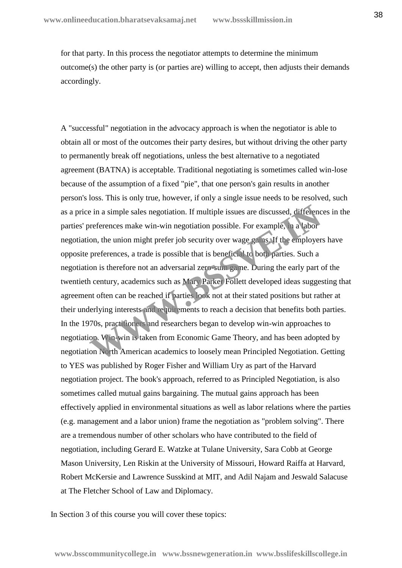for that party. In this process the negotiator attempts to determine the minimum outcome(s) the other party is (or parties are) willing to accept, then adjusts their demands accordingly.

A "successful" negotiation in the advocacy approach is when the negotiator is able to obtain all or most of the outcomes their party desires, but without driving the other party to permanently break off negotiations, unless the best alternative to a negotiated agreement (BATNA) is acceptable. Traditional negotiating is sometimes called win-lose because of the assumption of a fixed "pie", that one person's gain results in another person's loss. This is only true, however, if only a single issue needs to be resolved, such as a price in a simple sales negotiation. If multiple issues are discussed, differences in the parties' preferences make win-win negotiation possible. For example, in a labor negotiation, the union might prefer job security over wage gains. If the employers have opposite preferences, a trade is possible that is beneficial to both parties. Such a negotiation is therefore not an adversarial zero-sum game. During the early part of the twentieth century, academics such as Mary Parker Follett developed ideas suggesting that agreement often can be reached if parties look not at their stated positions but rather at their underlying interests and requirements to reach a decision that benefits both parties. In the 1970s, practitioners and researchers began to develop win-win approaches to negotiation. Win-win is taken from Economic Game Theory, and has been adopted by negotiation North American academics to loosely mean Principled Negotiation. Getting to YES was published by Roger Fisher and William Ury as part of the Harvard negotiation project. The book's approach, referred to as Principled Negotiation, is also sometimes called mutual gains bargaining. The mutual gains approach has been effectively applied in environmental situations as well as labor relations where the parties (e.g. management and a labor union) frame the negotiation as "problem solving". There are a tremendous number of other scholars who have contributed to the field of negotiation, including Gerard E. Watzke at Tulane University, Sara Cobb at George Mason University, Len Riskin at the University of Missouri, Howard Raiffa at Harvard, Robert McKersie and Lawrence Susskind at MIT, and Adil Najam and Jeswald Salacuse at The Fletcher School of Law and Diplomacy. Example sales negotiation. If multiple issues are discussed, difference or efferences make win-win negotiation possible. For example, in a labor on, the union might prefer job security over wage gains If the employer prefe

In Section 3 of this course you will cover these topics: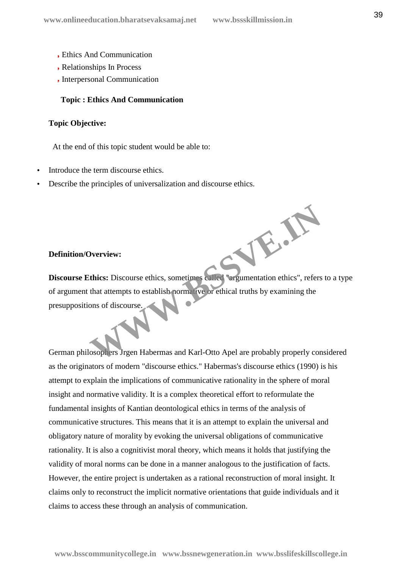- Ethics And Communication
- Relationships In Process
- Interpersonal Communication

#### **Topic : Ethics And Communication**

#### **Topic Objective:**

At the end of this topic student would be able to:

- Introduce the term discourse ethics.
- Describe the principles of universalization and discourse ethics.

## **Definition/Overview:**

**Discourse Ethics:** Discourse ethics, sometimes called "argumentation ethics", refers to a type of argument that attempts to establish normative or ethical truths by examining the presuppositions of discourse. times called **Yargumentation** ethics", ref

German philosophers Jrgen Habermas and Karl-Otto Apel are probably properly considered as the originators of modern "discourse ethics." Habermas's discourse ethics (1990) is his attempt to explain the implications of communicative rationality in the sphere of moral insight and normative validity. It is a complex theoretical effort to reformulate the fundamental insights of Kantian deontological ethics in terms of the analysis of communicative structures. This means that it is an attempt to explain the universal and obligatory nature of morality by evoking the universal obligations of communicative rationality. It is also a cognitivist moral theory, which means it holds that justifying the validity of moral norms can be done in a manner analogous to the justification of facts. However, the entire project is undertaken as a rational reconstruction of moral insight. It claims only to reconstruct the implicit normative orientations that guide individuals and it claims to access these through an analysis of communication.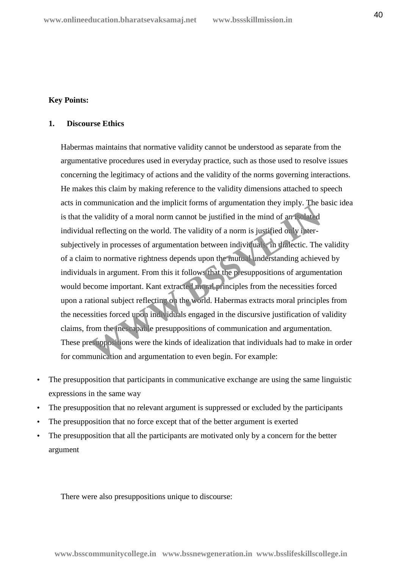#### **Key Points:**

## **1. Discourse Ethics**

Habermas maintains that normative validity cannot be understood as separate from the argumentative procedures used in everyday practice, such as those used to resolve issues concerning the legitimacy of actions and the validity of the norms governing interactions. He makes this claim by making reference to the validity dimensions attached to speech acts in communication and the implicit forms of argumentation they imply. The basic idea is that the validity of a moral norm cannot be justified in the mind of an isolated individual reflecting on the world. The validity of a norm is justified only inter subjectively in processes of argumentation between individuals; in dialectic. The validity of a claim to normative rightness depends upon the mutual understanding achieved by individuals in argument. From this it follows that the presuppositions of argumentation would become important. Kant extracted moral principles from the necessities forced upon a rational subject reflecting on the world. Habermas extracts moral principles from the necessities forced upon individuals engaged in the discursive justification of validity claims, from the inescapable presuppositions of communication and argumentation. These presuppositions were the kinds of idealization that individuals had to make in order for communication and argumentation to even begin. For example: **Example 19** and the mathematical controlling of a moral norm cannot be justified in the mind of an isolated al reflecting on the world. The validity of a norm is justified on by inter-<br>ely in processes of argumentation be

- The presupposition that participants in communicative exchange are using the same linguistic expressions in the same way
- The presupposition that no relevant argument is suppressed or excluded by the participants
- The presupposition that no force except that of the better argument is exerted
- The presupposition that all the participants are motivated only by a concern for the better argument

There were also presuppositions unique to discourse: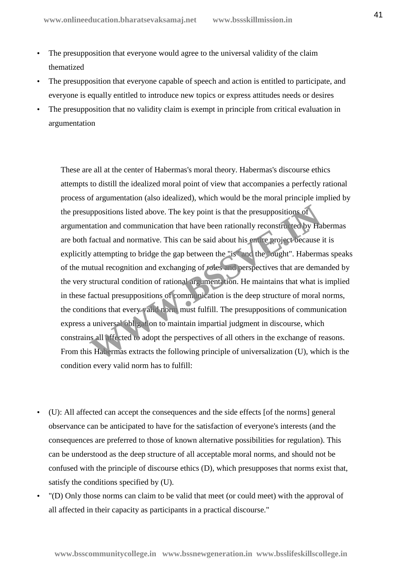- The presupposition that everyone would agree to the universal validity of the claim thematized
- The presupposition that everyone capable of speech and action is entitled to participate, and everyone is equally entitled to introduce new topics or express attitudes needs or desires
- The presupposition that no validity claim is exempt in principle from critical evaluation in argumentation

These are all at the center of Habermas's moral theory. Habermas's discourse ethics attempts to distill the idealized moral point of view that accompanies a perfectly rational process of argumentation (also idealized), which would be the moral principle implied by the presuppositions listed above. The key point is that the presuppositions of argumentation and communication that have been rationally reconstructed by Habermas are both factual and normative. This can be said about his entire project because it is explicitly attempting to bridge the gap between the "is" and the "ought". Habermas speaks of the mutual recognition and exchanging of roles and perspectives that are demanded by the very structural condition of rational argumentation. He maintains that what is implied in these factual presuppositions of communication is the deep structure of moral norms, the conditions that every valid norm must fulfill. The presuppositions of communication express a universal obligation to maintain impartial judgment in discourse, which constrains all affected to adopt the perspectives of all others in the exchange of reasons. From this Habermas extracts the following principle of universalization (U), which is the condition every valid norm has to fulfill: appositions listed above. The key point is that the presuppositions of<br>tation and communication that have been rationally reconstructed by Ha<br>factual and normative. This can be said about his emailine project because<br>y att

- (U): All affected can accept the consequences and the side effects [of the norms] general observance can be anticipated to have for the satisfaction of everyone's interests (and the consequences are preferred to those of known alternative possibilities for regulation). This can be understood as the deep structure of all acceptable moral norms, and should not be confused with the principle of discourse ethics (D), which presupposes that norms exist that, satisfy the conditions specified by (U).
- "(D) Only those norms can claim to be valid that meet (or could meet) with the approval of all affected in their capacity as participants in a practical discourse."

**www.bsscommunitycollege.in www.bssnewgeneration.in www.bsslifeskillscollege.in**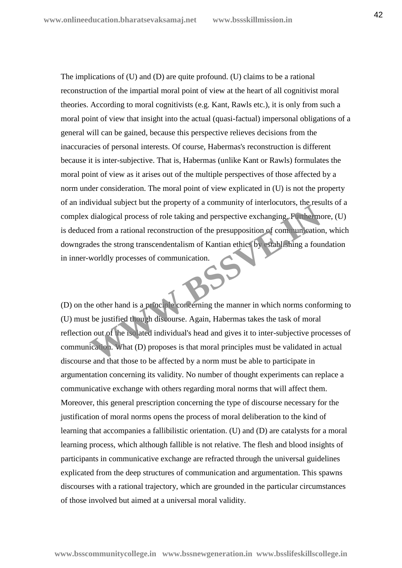The implications of (U) and (D) are quite profound. (U) claims to be a rational reconstruction of the impartial moral point of view at the heart of all cognitivist moral theories. According to moral cognitivists (e.g. Kant, Rawls etc.), it is only from such a moral point of view that insight into the actual (quasi-factual) impersonal obligations of a general will can be gained, because this perspective relieves decisions from the inaccuracies of personal interests. Of course, Habermas's reconstruction is different because it is inter-subjective. That is, Habermas (unlike Kant or Rawls) formulates the moral point of view as it arises out of the multiple perspectives of those affected by a norm under consideration. The moral point of view explicated in (U) is not the property of an individual subject but the property of a community of interlocutors, the results of a complex dialogical process of role taking and perspective exchanging. Furthermore, (U) is deduced from a rational reconstruction of the presupposition of communication, which downgrades the strong transcendentalism of Kantian ethics by establishing a foundation in inner-worldly processes of communication.

(D) on the other hand is a principle concerning the manner in which norms conforming to (U) must be justified though discourse. Again, Habermas takes the task of moral reflection out of the isolated individual's head and gives it to inter-subjective processes of communication. What (D) proposes is that moral principles must be validated in actual discourse and that those to be affected by a norm must be able to participate in argumentation concerning its validity. No number of thought experiments can replace a communicative exchange with others regarding moral norms that will affect them. Moreover, this general prescription concerning the type of discourse necessary for the justification of moral norms opens the process of moral deliberation to the kind of learning that accompanies a fallibilistic orientation. (U) and (D) are catalysts for a moral learning process, which although fallible is not relative. The flesh and blood insights of participants in communicative exchange are refracted through the universal guidelines explicated from the deep structures of communication and argumentation. This spawns discourses with a rational trajectory, which are grounded in the particular circumstances of those involved but aimed at a universal moral validity. dialogical process of role taking and perspective exchanging. Furtherment<br>dialogical process of role taking and perspective exchanging. Furtherment<br>des the strong transcendentalism of Kantian ethics by establishing a four<br>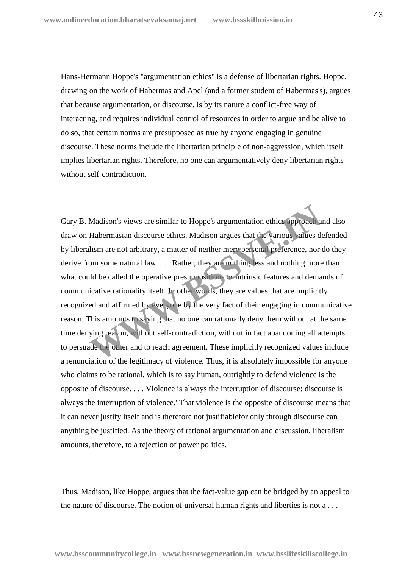Hans-Hermann Hoppe's "argumentation ethics" is a defense of libertarian rights. Hoppe, drawing on the work of Habermas and Apel (and a former student of Habermas's), argues that because argumentation, or discourse, is by its nature a conflict-free way of interacting, and requires individual control of resources in order to argue and be alive to do so, that certain norms are presupposed as true by anyone engaging in genuine discourse. These norms include the libertarian principle of non-aggression, which itself implies libertarian rights. Therefore, no one can argumentatively deny libertarian rights without self-contradiction.

Gary B. Madison's views are similar to Hoppe's argumentation ethics approach and also draw on Habermasian discourse ethics. Madison argues that the various values defended by liberalism are not arbitrary, a matter of neither mere personal preference, nor do they derive from some natural law. . . . Rather, they are nothing less and nothing more than what could be called the operative presuppositions or intrinsic features and demands of communicative rationality itself. In other words, they are values that are implicitly recognized and affirmed by everyone by the very fact of their engaging in communicative reason. This amounts to saying that no one can rationally deny them without at the same time denying reason, without self-contradiction, without in fact abandoning all attempts to persuade the other and to reach agreement. These implicitly recognized values include a renunciation of the legitimacy of violence. Thus, it is absolutely impossible for anyone who claims to be rational, which is to say human, outrightly to defend violence is the opposite of discourse. . . . Violence is always the interruption of discourse: discourse is always the interruption of violence.' That violence is the opposite of discourse means that it can never justify itself and is therefore not justifiablefor only through discourse can anything be justified. As the theory of rational argumentation and discussion, liberalism amounts, therefore, to a rejection of power politics. Madison's views are similar to Hoppe's argumentation ethics approach a<br>Habermasian discourse ethics. Madison argues that the various values de<br>lism are not arbitrary, a matter of neither mere persons, preference, nor<br>om so

Thus, Madison, like Hoppe, argues that the fact-value gap can be bridged by an appeal to the nature of discourse. The notion of universal human rights and liberties is not a . . .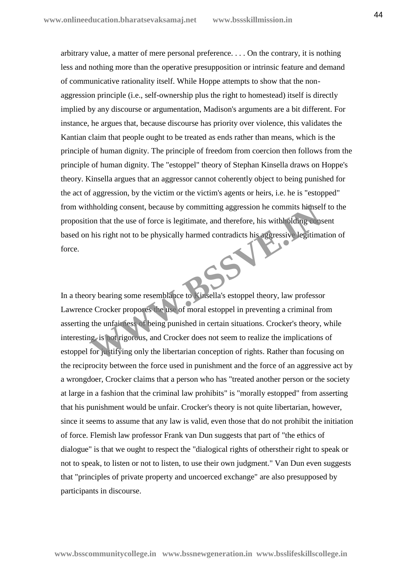arbitrary value, a matter of mere personal preference. . . . On the contrary, it is nothing less and nothing more than the operative presupposition or intrinsic feature and demand of communicative rationality itself. While Hoppe attempts to show that the non aggression principle (i.e., self-ownership plus the right to homestead) itself is directly implied by any discourse or argumentation, Madison's arguments are a bit different. For instance, he argues that, because discourse has priority over violence, this validates the Kantian claim that people ought to be treated as ends rather than means, which is the principle of human dignity. The principle of freedom from coercion then follows from the principle of human dignity. The "estoppel" theory of Stephan Kinsella draws on Hoppe's theory. Kinsella argues that an aggressor cannot coherently object to being punished for the act of aggression, by the victim or the victim's agents or heirs, i.e. he is "estopped" from withholding consent, because by committing aggression he commits himself to the proposition that the use of force is legitimate, and therefore, his withholding consent based on his right not to be physically harmed contradicts his aggressive legitimation of force. **WWW.BSSVE.IN**

In a theory bearing some resemblance to Kinsella's estoppel theory, law professor Lawrence Crocker proposes the use of moral estoppel in preventing a criminal from asserting the unfairness of being punished in certain situations. Crocker's theory, while interesting, is not rigorous, and Crocker does not seem to realize the implications of estoppel for justifying only the libertarian conception of rights. Rather than focusing on the reciprocity between the force used in punishment and the force of an aggressive act by a wrongdoer, Crocker claims that a person who has "treated another person or the society at large in a fashion that the criminal law prohibits" is "morally estopped" from asserting that his punishment would be unfair. Crocker's theory is not quite libertarian, however, since it seems to assume that any law is valid, even those that do not prohibit the initiation of force. Flemish law professor Frank van Dun suggests that part of "the ethics of dialogue" is that we ought to respect the "dialogical rights of otherstheir right to speak or not to speak, to listen or not to listen, to use their own judgment." Van Dun even suggests that "principles of private property and uncoerced exchange" are also presupposed by participants in discourse.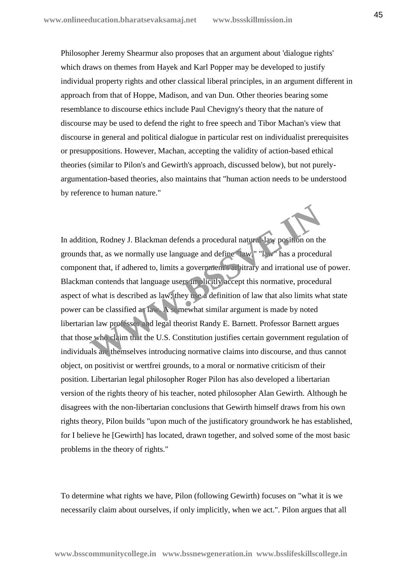Philosopher Jeremy Shearmur also proposes that an argument about 'dialogue rights' which draws on themes from Hayek and Karl Popper may be developed to justify individual property rights and other classical liberal principles, in an argument different in approach from that of Hoppe, Madison, and van Dun. Other theories bearing some resemblance to discourse ethics include Paul Chevigny's theory that the nature of discourse may be used to defend the right to free speech and Tibor Machan's view that discourse in general and political dialogue in particular rest on individualist prerequisites or presuppositions. However, Machan, accepting the validity of action-based ethical theories (similar to Pilon's and Gewirth's approach, discussed below), but not purely argumentation-based theories, also maintains that "human action needs to be understood by reference to human nature."

In addition, Rodney J. Blackman defends a procedural natural-law position on the grounds that, as we normally use language and define "law," "law" has a procedural component that, if adhered to, limits a government's arbitrary and irrational use of power. Blackman contends that language users implicitly accept this normative, procedural aspect of what is described as law; they use a definition of law that also limits what state power can be classified as law. A somewhat similar argument is made by noted libertarian law professor and legal theorist Randy E. Barnett. Professor Barnett argues that those who claim that the U.S. Constitution justifies certain government regulation of individuals are themselves introducing normative claims into discourse, and thus cannot object, on positivist or wertfrei grounds, to a moral or normative criticism of their position. Libertarian legal philosopher Roger Pilon has also developed a libertarian version of the rights theory of his teacher, noted philosopher Alan Gewirth. Although he disagrees with the non-libertarian conclusions that Gewirth himself draws from his own rights theory, Pilon builds "upon much of the justificatory groundwork he has established, for I believe he [Gewirth] has located, drawn together, and solved some of the most basic problems in the theory of rights." on, Rodney J. Blackman defends a procedural natural law position on th<br>that, as we normally use language and define the two increases a procedure<br>that, if adhered to, limits a government's arbitrary and irrational use of<br>i

To determine what rights we have, Pilon (following Gewirth) focuses on "what it is we necessarily claim about ourselves, if only implicitly, when we act.". Pilon argues that all

**www.bsscommunitycollege.in www.bssnewgeneration.in www.bsslifeskillscollege.in**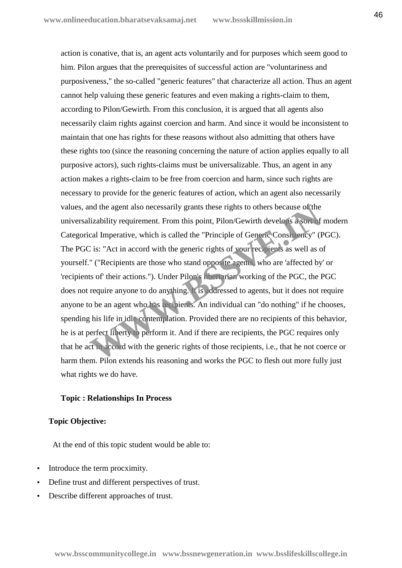action is conative, that is, an agent acts voluntarily and for purposes which seem good to him. Pilon argues that the prerequisites of successful action are "voluntariness and purposiveness," the so-called "generic features" that characterize all action. Thus an agent cannot help valuing these generic features and even making a rights-claim to them, according to Pilon/Gewirth. From this conclusion, it is argued that all agents also necessarily claim rights against coercion and harm. And since it would be inconsistent to maintain that one has rights for these reasons without also admitting that others have these rights too (since the reasoning concerning the nature of action applies equally to all purposive actors), such rights-claims must be universalizable. Thus, an agent in any action makes a rights-claim to be free from coercion and harm, since such rights are necessary to provide for the generic features of action, which an agent also necessarily values, and the agent also necessarily grants these rights to others because of the universalizability requirement. From this point, Pilon/Gewirth develops a sort of modern Categorical Imperative, which is called the "Principle of Generic Consistency" (PGC). The PGC is: "Act in accord with the generic rights of your recipients as well as of yourself." ("Recipients are those who stand opposite agents, who are 'affected by' or 'recipients of' their actions."). Under Pilon's libertarian working of the PGC, the PGC does not require anyone to do anything. It is addressed to agents, but it does not require anyone to be an agent who has recipients. An individual can "do nothing" if he chooses, spending his life in idle contemplation. Provided there are no recipients of this behavior, he is at perfect liberty to perform it. And if there are recipients, the PGC requires only that he act in accord with the generic rights of those recipients, i.e., that he not coerce or harm them. Pilon extends his reasoning and works the PGC to flesh out more fully just what rights we do have. nd the agent also necessarily grants these rights to others because of the<br>lizability requirement. From this point, Pilon/Gewirth develops a sort of<br>cal Imperative, which is called the "Principle of Generic Consistency" (F

## **Topic : Relationships In Process**

## **Topic Objective:**

At the end of this topic student would be able to:

- Introduce the term procximity.
- Define trust and different perspectives of trust.
- Describe different approaches of trust.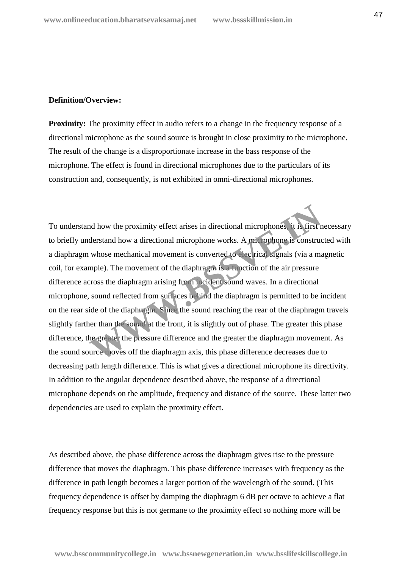### **Definition/Overview:**

**Proximity:** The proximity effect in audio refers to a change in the frequency response of a directional microphone as the sound source is brought in close proximity to the microphone. The result of the change is a disproportionate increase in the bass response of the microphone. The effect is found in directional microphones due to the particulars of its construction and, consequently, is not exhibited in omni-directional microphones.

To understand how the proximity effect arises in directional microphones, it is first necessary to briefly understand how a directional microphone works. A microphone is constructed with a diaphragm whose mechanical movement is converted to electrical signals (via a magnetic coil, for example). The movement of the diaphragm is a function of the air pressure difference across the diaphragm arising from incident sound waves. In a directional microphone, sound reflected from surfaces behind the diaphragm is permitted to be incident on the rear side of the diaphragm. Since the sound reaching the rear of the diaphragm travels slightly farther than the sound at the front, it is slightly out of phase. The greater this phase difference, the greater the pressure difference and the greater the diaphragm movement. As the sound source moves off the diaphragm axis, this phase difference decreases due to decreasing path length difference. This is what gives a directional microphone its directivity. In addition to the angular dependence described above, the response of a directional microphone depends on the amplitude, frequency and distance of the source. These latter two dependencies are used to explain the proximity effect. nd how the proximity effect arises in directional microphones, it is first rederstand how a directional microphone works. A microphone is construe whose mechanical movement is converted to electrical signals (via a maple).

As described above, the phase difference across the diaphragm gives rise to the pressure difference that moves the diaphragm. This phase difference increases with frequency as the difference in path length becomes a larger portion of the wavelength of the sound. (This frequency dependence is offset by damping the diaphragm 6 dB per octave to achieve a flat frequency response but this is not germane to the proximity effect so nothing more will be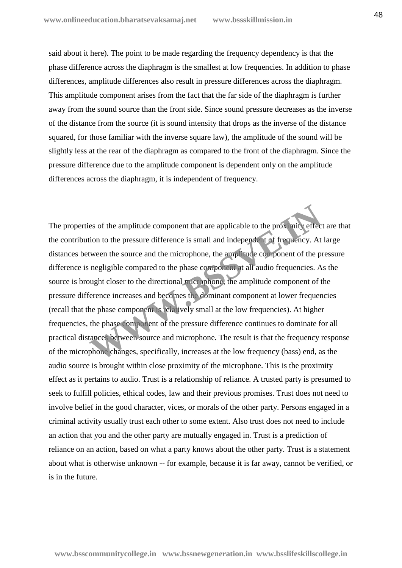said about it here). The point to be made regarding the frequency dependency is that the phase difference across the diaphragm is the smallest at low frequencies. In addition to phase differences, amplitude differences also result in pressure differences across the diaphragm. This amplitude component arises from the fact that the far side of the diaphragm is further away from the sound source than the front side. Since sound pressure decreases as the inverse of the distance from the source (it is sound intensity that drops as the inverse of the distance squared, for those familiar with the inverse square law), the amplitude of the sound will be slightly less at the rear of the diaphragm as compared to the front of the diaphragm. Since the pressure difference due to the amplitude component is dependent only on the amplitude differences across the diaphragm, it is independent of frequency.

The properties of the amplitude component that are applicable to the proximity effect are that the contribution to the pressure difference is small and independent of frequency. At large distances between the source and the microphone, the amplitude component of the pressure difference is negligible compared to the phase component at all audio frequencies. As the source is brought closer to the directional microphone, the amplitude component of the pressure difference increases and becomes the dominant component at lower frequencies (recall that the phase component is relatively small at the low frequencies). At higher frequencies, the phase component of the pressure difference continues to dominate for all practical distances between source and microphone. The result is that the frequency response of the microphone changes, specifically, increases at the low frequency (bass) end, as the audio source is brought within close proximity of the microphone. This is the proximity effect as it pertains to audio. Trust is a relationship of reliance. A trusted party is presumed to seek to fulfill policies, ethical codes, law and their previous promises. Trust does not need to involve belief in the good character, vices, or morals of the other party. Persons engaged in a criminal activity usually trust each other to some extent. Also trust does not need to include an action that you and the other party are mutually engaged in. Trust is a prediction of reliance on an action, based on what a party knows about the other party. Trust is a statement about what is otherwise unknown -- for example, because it is far away, cannot be verified, or is in the future. es of the amplitude component that are applicable to the proximity effection to the pressure difference is small and independent of frequency. At tween the source and the microphone, the amplitude component of the pregligi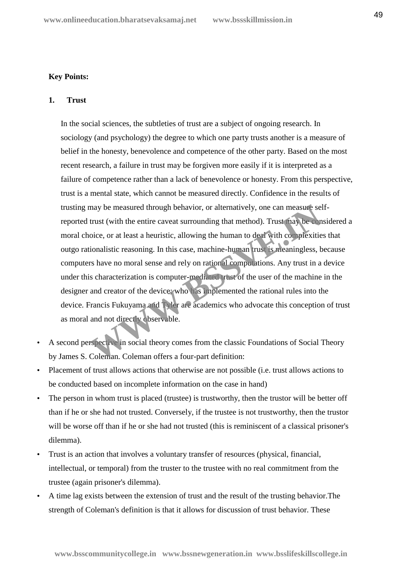#### **Key Points:**

## **1. Trust**

In the social sciences, the subtleties of trust are a subject of ongoing research. In sociology (and psychology) the degree to which one party trusts another is a measure of belief in the honesty, benevolence and competence of the other party. Based on the most recent research, a failure in trust may be forgiven more easily if it is interpreted as a failure of competence rather than a lack of benevolence or honesty. From this perspective, trust is a mental state, which cannot be measured directly. Confidence in the results of trusting may be measured through behavior, or alternatively, one can measure selfreported trust (with the entire caveat surrounding that method). Trust may be considered a moral choice, or at least a heuristic, allowing the human to deal with complexities that outgo rationalistic reasoning. In this case, machine-human trust is meaningless, because computers have no moral sense and rely on rational computations. Any trust in a device under this characterization is computer-mediated trust of the user of the machine in the designer and creator of the device; who has implemented the rational rules into the device. Francis Fukuyama and Tyler are academics who advocate this conception of trust as moral and not directly observable. may be measured through behavior, or alternatively, one can measure seitrust (with the entire caveat surrounding that method). Trust has be concice, or at least a heuristic, allowing the human to deal with complexitie iona

- A second perspective in social theory comes from the classic Foundations of Social Theory by James S. Coleman. Coleman offers a four-part definition:
- Placement of trust allows actions that otherwise are not possible (i.e. trust allows actions to be conducted based on incomplete information on the case in hand)
- The person in whom trust is placed (trustee) is trustworthy, then the trustor will be better off than if he or she had not trusted. Conversely, if the trustee is not trustworthy, then the trustor will be worse off than if he or she had not trusted (this is reminiscent of a classical prisoner's dilemma).
- Trust is an action that involves a voluntary transfer of resources (physical, financial, intellectual, or temporal) from the truster to the trustee with no real commitment from the trustee (again prisoner's dilemma).
- A time lag exists between the extension of trust and the result of the trusting behavior.The strength of Coleman's definition is that it allows for discussion of trust behavior. These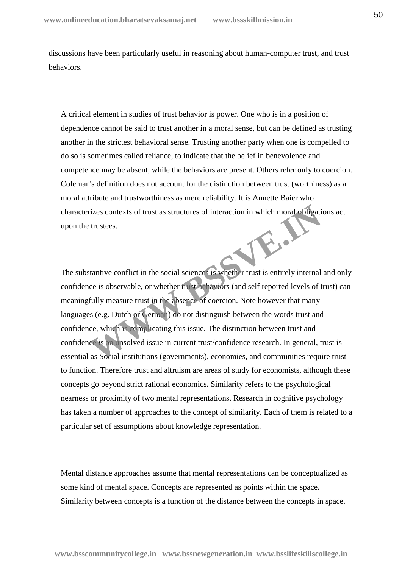discussions have been particularly useful in reasoning about human-computer trust, and trust behaviors.

A critical element in studies of trust behavior is power. One who is in a position of dependence cannot be said to trust another in a moral sense, but can be defined as trusting another in the strictest behavioral sense. Trusting another party when one is compelled to do so is sometimes called reliance, to indicate that the belief in benevolence and competence may be absent, while the behaviors are present. Others refer only to coercion. Coleman's definition does not account for the distinction between trust (worthiness) as a moral attribute and trustworthiness as mere reliability. It is Annette Baier who characterizes contexts of trust as structures of interaction in which moral obligations act upon the trustees. **WWW.BSSVE.IN**

The substantive conflict in the social sciences is whether trust is entirely internal and only confidence is observable, or whether trust behaviors (and self reported levels of trust) can meaningfully measure trust in the absence of coercion. Note however that many languages (e.g. Dutch or German) do not distinguish between the words trust and confidence, which is complicating this issue. The distinction between trust and confidence is an unsolved issue in current trust/confidence research. In general, trust is essential as Social institutions (governments), economies, and communities require trust to function. Therefore trust and altruism are areas of study for economists, although these concepts go beyond strict rational economics. Similarity refers to the psychological nearness or proximity of two mental representations. Research in cognitive psychology has taken a number of approaches to the concept of similarity. Each of them is related to a particular set of assumptions about knowledge representation.

Mental distance approaches assume that mental representations can be conceptualized as some kind of mental space. Concepts are represented as points within the space. Similarity between concepts is a function of the distance between the concepts in space.

**www.bsscommunitycollege.in www.bssnewgeneration.in www.bsslifeskillscollege.in**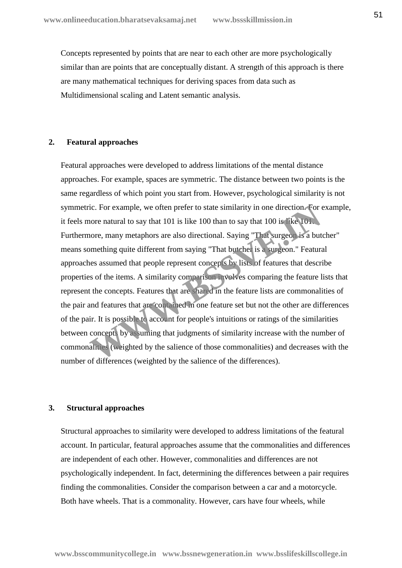Concepts represented by points that are near to each other are more psychologically similar than are points that are conceptually distant. A strength of this approach is there are many mathematical techniques for deriving spaces from data such as Multidimensional scaling and Latent semantic analysis.

#### **2. Featural approaches**

Featural approaches were developed to address limitations of the mental distance approaches. For example, spaces are symmetric. The distance between two points is the same regardless of which point you start from. However, psychological similarity is not symmetric. For example, we often prefer to state similarity in one direction. For example, it feels more natural to say that 101 is like 100 than to say that 100 is like 101. Furthermore, many metaphors are also directional. Saying "That surgeon is a butcher" means something quite different from saying "That butcher is a surgeon." Featural approaches assumed that people represent concepts by lists of features that describe properties of the items. A similarity comparison involves comparing the feature lists that represent the concepts. Features that are shared in the feature lists are commonalities of the pair and features that are contained in one feature set but not the other are differences of the pair. It is possible to account for people's intuitions or ratings of the similarities between concepts by assuming that judgments of similarity increase with the number of commonalities (weighted by the salience of those commonalities) and decreases with the number of differences (weighted by the salience of the differences). ic. For example, we often prefer to state similarity in one direction. For once natural to say that 101 is like 100 than to say that 100 is like 101.<br>nore, many metaphors are also directional. Saying "That surgeon is a but

#### **3. Structural approaches**

Structural approaches to similarity were developed to address limitations of the featural account. In particular, featural approaches assume that the commonalities and differences are independent of each other. However, commonalities and differences are not psychologically independent. In fact, determining the differences between a pair requires finding the commonalities. Consider the comparison between a car and a motorcycle. Both have wheels. That is a commonality. However, cars have four wheels, while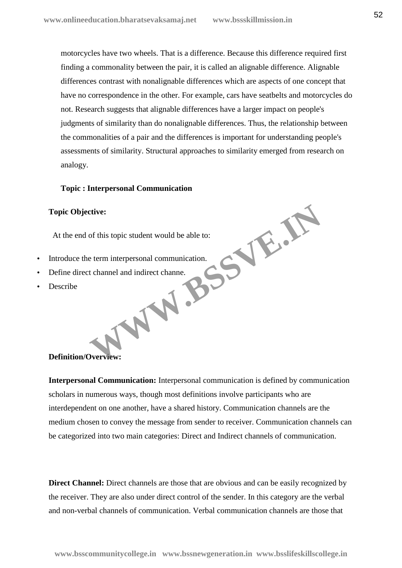motorcycles have two wheels. That is a difference. Because this difference required first finding a commonality between the pair, it is called an alignable difference. Alignable differences contrast with nonalignable differences which are aspects of one concept that have no correspondence in the other. For example, cars have seatbelts and motorcycles do not. Research suggests that alignable differences have a larger impact on people's judgments of similarity than do nonalignable differences. Thus, the relationship between the commonalities of a pair and the differences is important for understanding people's assessments of similarity. Structural approaches to similarity emerged from research on analogy.

#### **Topic : Interpersonal Communication**

### **Topic Objective:**

At the end of this topic student would be able to: WWW.BSSVE.F

- Introduce the term interpersonal communication.
- Define direct channel and indirect channe.
- Describe

## **Definition/Overview:**

**Interpersonal Communication:** Interpersonal communication is defined by communication scholars in numerous ways, though most definitions involve participants who are interdependent on one another, have a shared history. Communication channels are the medium chosen to convey the message from sender to receiver. Communication channels can be categorized into two main categories: Direct and Indirect channels of communication.

**Direct Channel:** Direct channels are those that are obvious and can be easily recognized by the receiver. They are also under direct control of the sender. In this category are the verbal and non-verbal channels of communication. Verbal communication channels are those that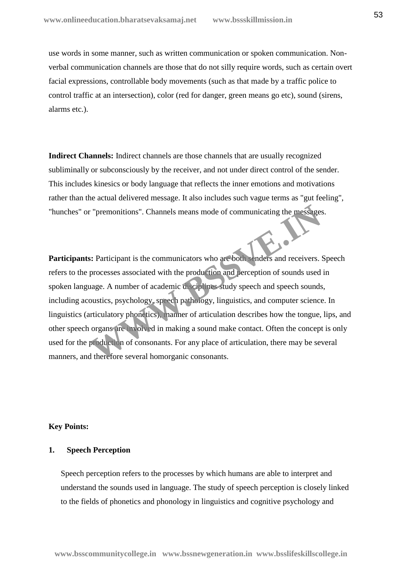use words in some manner, such as written communication or spoken communication. Non verbal communication channels are those that do not silly require words, such as certain overt facial expressions, controllable body movements (such as that made by a traffic police to control traffic at an intersection), color (red for danger, green means go etc), sound (sirens, alarms etc.).

**Indirect Channels:** Indirect channels are those channels that are usually recognized subliminally or subconsciously by the receiver, and not under direct control of the sender. This includes kinesics or body language that reflects the inner emotions and motivations rather than the actual delivered message. It also includes such vague terms as "gut feeling", "hunches" or "premonitions". Channels means mode of communicating the messages.

Participants: Participant is the communicators who are both senders and receivers. Speech refers to the processes associated with the production and perception of sounds used in spoken language. A number of academic disciplines study speech and speech sounds, including acoustics, psychology, speech pathology, linguistics, and computer science. In linguistics (articulatory phonetics), manner of articulation describes how the tongue, lips, and other speech organs are involved in making a sound make contact. Often the concept is only used for the production of consonants. For any place of articulation, there may be several manners, and therefore several homorganic consonants. The "premonitions". Channels means mode of communicating the messages<br>
S. Participant is the communicators who are both enders and receivers.<br>
S. Participant is the communicators who are both enders and receivers.<br>
process

#### **Key Points:**

## **1. Speech Perception**

Speech perception refers to the processes by which humans are able to interpret and understand the sounds used in language. The study of speech perception is closely linked to the fields of phonetics and phonology in linguistics and cognitive psychology and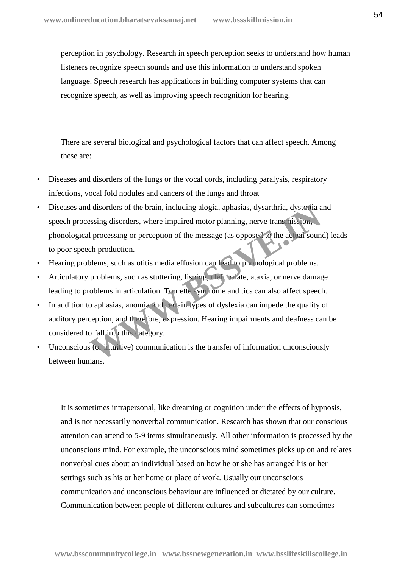perception in psychology. Research in speech perception seeks to understand how human listeners recognize speech sounds and use this information to understand spoken language. Speech research has applications in building computer systems that can recognize speech, as well as improving speech recognition for hearing.

There are several biological and psychological factors that can affect speech. Among these are:

- Diseases and disorders of the lungs or the vocal cords, including paralysis, respiratory infections, vocal fold nodules and cancers of the lungs and throat
- Diseases and disorders of the brain, including alogia, aphasias, dysarthria, dystonia and speech processing disorders, where impaired motor planning, nerve transmission, phonological processing or perception of the message (as opposed to the actual sound) leads to poor speech production. I disorders of the brain, including alogia, aphasias, dysarthria, dystemia a<br>
I processing disorders, where impaired motor planning, nerve transmission,<br>
I processing or perception of the message (as opposed to the actual
- Hearing problems, such as otitis media effusion can lead to phonological problems.
- Articulatory problems, such as stuttering, lisping, cleft palate, ataxia, or nerve damage leading to problems in articulation. Tourette syndrome and tics can also affect speech.
- In addition to aphasias, anomia and certain types of dyslexia can impede the quality of auditory perception, and therefore, expression. Hearing impairments and deafness can be considered to fall into this category.
- Unconscious (or intuitive) communication is the transfer of information unconsciously between humans.

It is sometimes intrapersonal, like dreaming or cognition under the effects of hypnosis, and is not necessarily nonverbal communication. Research has shown that our conscious attention can attend to 5-9 items simultaneously. All other information is processed by the unconscious mind. For example, the unconscious mind sometimes picks up on and relates nonverbal cues about an individual based on how he or she has arranged his or her settings such as his or her home or place of work. Usually our unconscious communication and unconscious behaviour are influenced or dictated by our culture. Communication between people of different cultures and subcultures can sometimes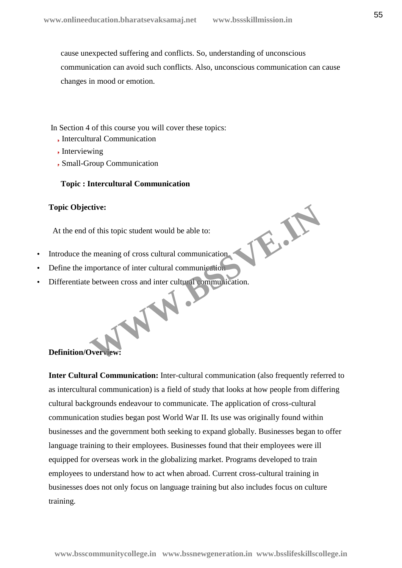cause unexpected suffering and conflicts. So, understanding of unconscious communication can avoid such conflicts. Also, unconscious communication can cause changes in mood or emotion.

In Section 4 of this course you will cover these topics:

- Intercultural Communication
- **Interviewing**
- Small-Group Communication

## **Topic : Intercultural Communication**

## **Topic Objective:**

At the end of this topic student would be able to:

- Introduce the meaning of cross cultural communication.
- Define the importance of inter cultural communication
- Differentiate between cross and inter cultural communication. Exercise and would be able to:<br>
of cross cultural communication

# **Definition/Overview:**

**Inter Cultural Communication:** Inter-cultural communication (also frequently referred to as intercultural communication) is a field of study that looks at how people from differing cultural backgrounds endeavour to communicate. The application of cross-cultural communication studies began post World War II. Its use was originally found within businesses and the government both seeking to expand globally. Businesses began to offer language training to their employees. Businesses found that their employees were ill equipped for overseas work in the globalizing market. Programs developed to train employees to understand how to act when abroad. Current cross-cultural training in businesses does not only focus on language training but also includes focus on culture training.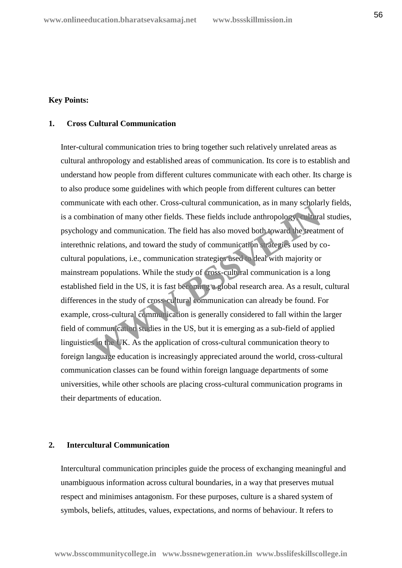#### **Key Points:**

## **1. Cross Cultural Communication**

Inter-cultural communication tries to bring together such relatively unrelated areas as cultural anthropology and established areas of communication. Its core is to establish and understand how people from different cultures communicate with each other. Its charge is to also produce some guidelines with which people from different cultures can better communicate with each other. Cross-cultural communication, as in many scholarly fields, is a combination of many other fields. These fields include anthropology, cultural studies, psychology and communication. The field has also moved both toward the treatment of interethnic relations, and toward the study of communication strategies used by co cultural populations, i.e., communication strategies used to deal with majority or mainstream populations. While the study of cross-cultural communication is a long established field in the US, it is fast becoming a global research area. As a result, cultural differences in the study of cross-cultural communication can already be found. For example, cross-cultural communication is generally considered to fall within the larger field of communication studies in the US, but it is emerging as a sub-field of applied linguistics in the UK. As the application of cross-cultural communication theory to foreign language education is increasingly appreciated around the world, cross-cultural communication classes can be found within foreign language departments of some universities, while other schools are placing cross-cultural communication programs in their departments of education. bination of many other fields. These fields include anthropology and communication. The field has also moved both toward the treatm<br>ic relations, and toward the study of communication strategies used by c<br>populations, i.e.

### **2. Intercultural Communication**

Intercultural communication principles guide the process of exchanging meaningful and unambiguous information across cultural boundaries, in a way that preserves mutual respect and minimises antagonism. For these purposes, culture is a shared system of symbols, beliefs, attitudes, values, expectations, and norms of behaviour. It refers to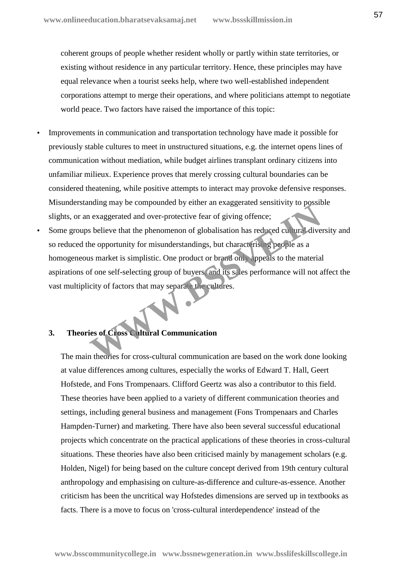coherent groups of people whether resident wholly or partly within state territories, or existing without residence in any particular territory. Hence, these principles may have equal relevance when a tourist seeks help, where two well-established independent corporations attempt to merge their operations, and where politicians attempt to negotiate world peace. Two factors have raised the importance of this topic:

- Improvements in communication and transportation technology have made it possible for previously stable cultures to meet in unstructured situations, e.g. the internet opens lines of communication without mediation, while budget airlines transplant ordinary citizens into unfamiliar milieux. Experience proves that merely crossing cultural boundaries can be considered theatening, while positive attempts to interact may provoke defensive responses. Misunderstanding may be compounded by either an exaggerated sensitivity to possible slights, or an exaggerated and over-protective fear of giving offence;
- Some groups believe that the phenomenon of globalisation has reduced cultural diversity and so reduced the opportunity for misunderstandings, but characterising people as a homogeneous market is simplistic. One product or brand only appeals to the material aspirations of one self-selecting group of buyers, and its sales performance will not affect the vast multiplicity of factors that may separate the cultures. Example that the phenomenon of globalisation has reduced cultural diverse possible exaggerated and over-protective fear of giving offence;<br>
Solelieve that the phenomenon of globalisation has reduced cultural diverse the op

## **3. Theories of Cross Cultural Communication**

The main theories for cross-cultural communication are based on the work done looking at value differences among cultures, especially the works of Edward T. Hall, Geert Hofstede, and Fons Trompenaars. Clifford Geertz was also a contributor to this field. These theories have been applied to a variety of different communication theories and settings, including general business and management (Fons Trompenaars and Charles Hampden-Turner) and marketing. There have also been several successful educational projects which concentrate on the practical applications of these theories in cross-cultural situations. These theories have also been criticised mainly by management scholars (e.g. Holden, Nigel) for being based on the culture concept derived from 19th century cultural anthropology and emphasising on culture-as-difference and culture-as-essence. Another criticism has been the uncritical way Hofstedes dimensions are served up in textbooks as facts. There is a move to focus on 'cross-cultural interdependence' instead of the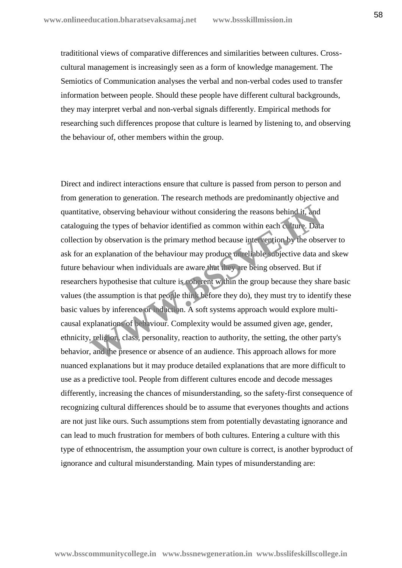tradititional views of comparative differences and similarities between cultures. Cross cultural management is increasingly seen as a form of knowledge management. The Semiotics of Communication analyses the verbal and non-verbal codes used to transfer information between people. Should these people have different cultural backgrounds, they may interpret verbal and non-verbal signals differently. Empirical methods for researching such differences propose that culture is learned by listening to, and observing the behaviour of, other members within the group.

Direct and indirect interactions ensure that culture is passed from person to person and from generation to generation. The research methods are predominantly objective and quantitative, observing behaviour without considering the reasons behind it, and cataloguing the types of behavior identified as common within each culture. Data collection by observation is the primary method because intervention by the observer to ask for an explanation of the behaviour may produce unreliable subjective data and skew future behaviour when individuals are aware that they are being observed. But if researchers hypothesise that culture is coherent within the group because they share basic values (the assumption is that people think before they do), they must try to identify these basic values by inference or induction. A soft systems approach would explore multi causal explanations of behaviour. Complexity would be assumed given age, gender, ethnicity, religion, class, personality, reaction to authority, the setting, the other party's behavior, and the presence or absence of an audience. This approach allows for more nuanced explanations but it may produce detailed explanations that are more difficult to use as a predictive tool. People from different cultures encode and decode messages differently, increasing the chances of misunderstanding, so the safety-first consequence of recognizing cultural differences should be to assume that everyones thoughts and actions are not just like ours. Such assumptions stem from potentially devastating ignorance and can lead to much frustration for members of both cultures. Entering a culture with this type of ethnocentrism, the assumption your own culture is correct, is another byproduct of ignorance and cultural misunderstanding. Main types of misunderstanding are: ive, observing behaviour without considering the reasons behind it, and<br>ing the types of behavior identified as common within each culture. Data<br>n by observation is the primary method because intervention by the observatio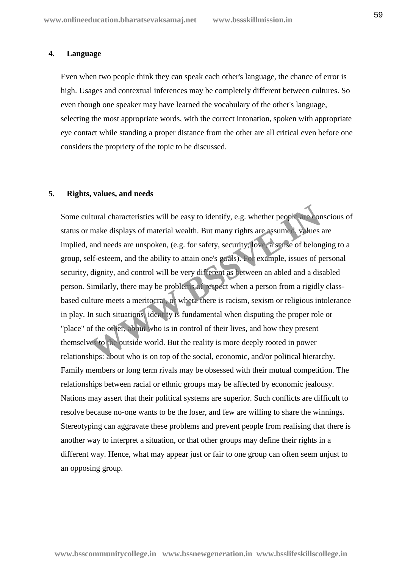### **4. Language**

Even when two people think they can speak each other's language, the chance of error is high. Usages and contextual inferences may be completely different between cultures. So even though one speaker may have learned the vocabulary of the other's language, selecting the most appropriate words, with the correct intonation, spoken with appropriate eye contact while standing a proper distance from the other are all critical even before one considers the propriety of the topic to be discussed.

### **5. Rights, values, and needs**

Some cultural characteristics will be easy to identify, e.g. whether people are conscious of status or make displays of material wealth. But many rights are assumed, values are implied, and needs are unspoken, (e.g. for safety, security, love, a sense of belonging to a group, self-esteem, and the ability to attain one's goals). For example, issues of personal security, dignity, and control will be very different as between an abled and a disabled person. Similarly, there may be problems of respect when a person from a rigidly class based culture meets a meritocrat, or where there is racism, sexism or religious intolerance in play. In such situations, identity is fundamental when disputing the proper role or "place" of the other, about who is in control of their lives, and how they present themselves to the outside world. But the reality is more deeply rooted in power relationships: about who is on top of the social, economic, and/or political hierarchy. Family members or long term rivals may be obsessed with their mutual competition. The relationships between racial or ethnic groups may be affected by economic jealousy. Nations may assert that their political systems are superior. Such conflicts are difficult to resolve because no-one wants to be the loser, and few are willing to share the winnings. Stereotyping can aggravate these problems and prevent people from realising that there is another way to interpret a situation, or that other groups may define their rights in a different way. Hence, what may appear just or fair to one group can often seem unjust to an opposing group. Itural characteristics will be easy to identify, e.g. whether people are com<br>make displays of material wealth. But many rights are assumed values<br>and needs are unspoken, (e.g. for safety, security, love a sense of belong<br>e

**www.bsscommunitycollege.in www.bssnewgeneration.in www.bsslifeskillscollege.in**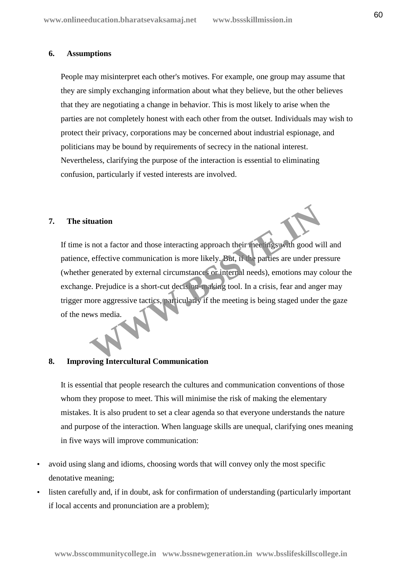## **6. Assumptions**

People may misinterpret each other's motives. For example, one group may assume that they are simply exchanging information about what they believe, but the other believes that they are negotiating a change in behavior. This is most likely to arise when the parties are not completely honest with each other from the outset. Individuals may wish to protect their privacy, corporations may be concerned about industrial espionage, and politicians may be bound by requirements of secrecy in the national interest. Nevertheless, clarifying the purpose of the interaction is essential to eliminating confusion, particularly if vested interests are involved.

### **7. The situation**

If time is not a factor and those interacting approach their meetings with good will and patience, effective communication is more likely. But, if the parties are under pressure (whether generated by external circumstances or internal needs), emotions may colour the exchange. Prejudice is a short-cut decision-making tool. In a crisis, fear and anger may trigger more aggressive tactics, particularly if the meeting is being staged under the gaze of the news media. tuation<br>
Solved a factor and those interacting approach their meetings with good with<br>
the parties are under pre-<br>
Separated by external circumstances or internal needs), emotions may c<br>
Separated by external circumstances

## **8. Improving Intercultural Communication**

It is essential that people research the cultures and communication conventions of those whom they propose to meet. This will minimise the risk of making the elementary mistakes. It is also prudent to set a clear agenda so that everyone understands the nature and purpose of the interaction. When language skills are unequal, clarifying ones meaning in five ways will improve communication:

- avoid using slang and idioms, choosing words that will convey only the most specific denotative meaning;
- listen carefully and, if in doubt, ask for confirmation of understanding (particularly important if local accents and pronunciation are a problem);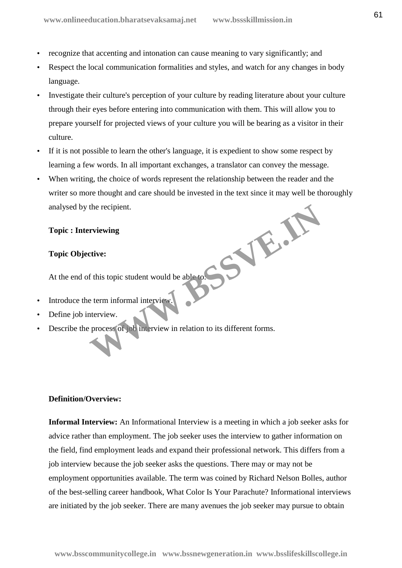- recognize that accenting and intonation can cause meaning to vary significantly; and
- Respect the local communication formalities and styles, and watch for any changes in body language.
- Investigate their culture's perception of your culture by reading literature about your culture through their eyes before entering into communication with them. This will allow you to prepare yourself for projected views of your culture you will be bearing as a visitor in their culture.
- If it is not possible to learn the other's language, it is expedient to show some respect by learning a few words. In all important exchanges, a translator can convey the message.
- When writing, the choice of words represent the relationship between the reader and the writer so more thought and care should be invested in the text since it may well be thoroughly analysed by the recipient.

## **Topic : Interviewing**

## **Topic Objective:**

At the end of this topic student would be able to:

- Introduce the term informal interview.
- Define job interview.
- Describe the process of job interview in relation to its different forms. the recipient.<br> **WE are the control of the student would be able to:**<br>
The term informal interview.<br> **Example 20:**<br> **WE are the control of the student would be able to:**<br> **Process of job interview in relation to its differ**

## **Definition/Overview:**

**Informal Interview:** An Informational Interview is a meeting in which a job seeker asks for advice rather than employment. The job seeker uses the interview to gather information on the field, find employment leads and expand their professional network. This differs from a job interview because the job seeker asks the questions. There may or may not be employment opportunities available. The term was coined by Richard Nelson Bolles, author of the best-selling career handbook, What Color Is Your Parachute? Informational interviews are initiated by the job seeker. There are many avenues the job seeker may pursue to obtain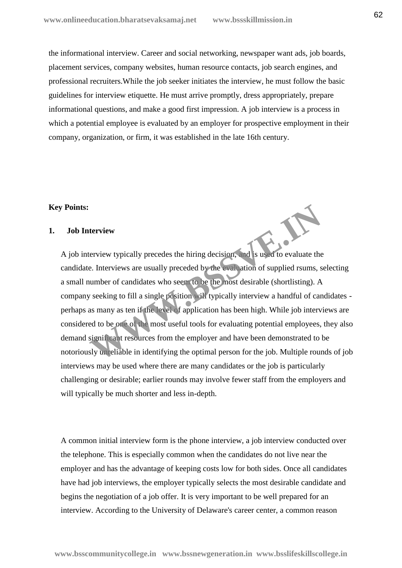the informational interview. Career and social networking, newspaper want ads, job boards, placement services, company websites, human resource contacts, job search engines, and professional recruiters.While the job seeker initiates the interview, he must follow the basic guidelines for interview etiquette. He must arrive promptly, dress appropriately, prepare informational questions, and make a good first impression. A job interview is a process in which a potential employee is evaluated by an employer for prospective employment in their company, organization, or firm, it was established in the late 16th century.

## **Key Points:**

#### **1. Job Interview**

A job interview typically precedes the hiring decision, and is used to evaluate the candidate. Interviews are usually preceded by the evaluation of supplied rsums, selecting a small number of candidates who seem to be the most desirable (shortlisting). A company seeking to fill a single position will typically interview a handful of candidates perhaps as many as ten if the level of application has been high. While job interviews are considered to be one of the most useful tools for evaluating potential employees, they also demand significant resources from the employer and have been demonstrated to be notoriously unreliable in identifying the optimal person for the job. Multiple rounds of job interviews may be used where there are many candidates or the job is particularly challenging or desirable; earlier rounds may involve fewer staff from the employers and will typically be much shorter and less in-depth. **Example 18 Example 19 Example 19 Example 19 Example 19 Experiment SI Experiment SI Experiment SI Experiment SI Experiment SI except to be the most desirable (shortlisting). A veeking to fill a single position will typical** 

A common initial interview form is the phone interview, a job interview conducted over the telephone. This is especially common when the candidates do not live near the employer and has the advantage of keeping costs low for both sides. Once all candidates have had job interviews, the employer typically selects the most desirable candidate and begins the negotiation of a job offer. It is very important to be well prepared for an interview. According to the University of Delaware's career center, a common reason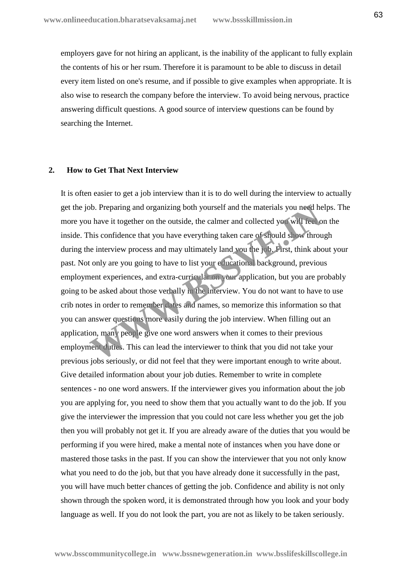employers gave for not hiring an applicant, is the inability of the applicant to fully explain the contents of his or her rsum. Therefore it is paramount to be able to discuss in detail every item listed on one's resume, and if possible to give examples when appropriate. It is also wise to research the company before the interview. To avoid being nervous, practice answering difficult questions. A good source of interview questions can be found by searching the Internet.

## **2. How to Get That Next Interview**

It is often easier to get a job interview than it is to do well during the interview to actually get the job. Preparing and organizing both yourself and the materials you need helps. The more you have it together on the outside, the calmer and collected you will feel on the inside. This confidence that you have everything taken care of should show through during the interview process and may ultimately land you the job. First, think about your past. Not only are you going to have to list your educational background, previous employment experiences, and extra-curricular on your application, but you are probably going to be asked about those verbally in the interview. You do not want to have to use crib notes in order to remember dates and names, so memorize this information so that you can answer questions more easily during the job interview. When filling out an application, many people give one word answers when it comes to their previous employment duties. This can lead the interviewer to think that you did not take your previous jobs seriously, or did not feel that they were important enough to write about. Give detailed information about your job duties. Remember to write in complete sentences - no one word answers. If the interviewer gives you information about the job you are applying for, you need to show them that you actually want to do the job. If you give the interviewer the impression that you could not care less whether you get the job then you will probably not get it. If you are already aware of the duties that you would be performing if you were hired, make a mental note of instances when you have done or mastered those tasks in the past. If you can show the interviewer that you not only know what you need to do the job, but that you have already done it successfully in the past, you will have much better chances of getting the job. Confidence and ability is not only shown through the spoken word, it is demonstrated through how you look and your body language as well. If you do not look the part, you are not as likely to be taken seriously. bb. Preparing and organizing both yourself and the materials you need he<br>a have it together on the outside, the calmer and collected you will reel of<br>his confidence that you have everything taken care of should show throu<br>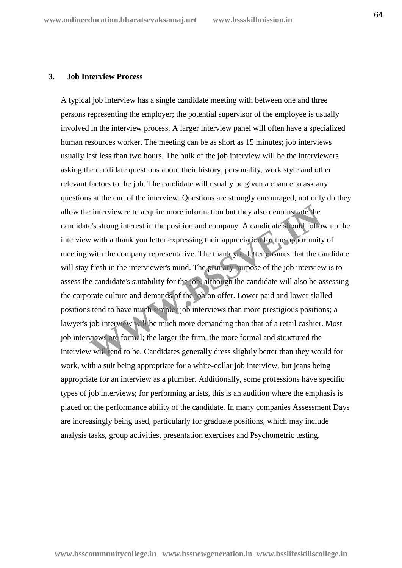#### **3. Job Interview Process**

A typical job interview has a single candidate meeting with between one and three persons representing the employer; the potential supervisor of the employee is usually involved in the interview process. A larger interview panel will often have a specialized human resources worker. The meeting can be as short as 15 minutes; job interviews usually last less than two hours. The bulk of the job interview will be the interviewers asking the candidate questions about their history, personality, work style and other relevant factors to the job. The candidate will usually be given a chance to ask any questions at the end of the interview. Questions are strongly encouraged, not only do they allow the interviewee to acquire more information but they also demonstrate the candidate's strong interest in the position and company. A candidate should follow up the interview with a thank you letter expressing their appreciation for the opportunity of meeting with the company representative. The thank you letter ensures that the candidate will stay fresh in the interviewer's mind. The primary purpose of the job interview is to assess the candidate's suitability for the job, although the candidate will also be assessing the corporate culture and demands of the job on offer. Lower paid and lower skilled positions tend to have much simpler job interviews than more prestigious positions; a lawyer's job interview will be much more demanding than that of a retail cashier. Most job interviews are formal; the larger the firm, the more formal and structured the interview will tend to be. Candidates generally dress slightly better than they would for work, with a suit being appropriate for a white-collar job interview, but jeans being appropriate for an interview as a plumber. Additionally, some professions have specific types of job interviews; for performing artists, this is an audition where the emphasis is placed on the performance ability of the candidate. In many companies Assessment Days are increasingly being used, particularly for graduate positions, which may include analysis tasks, group activities, presentation exercises and Psychometric testing. Example interviewee to acquire more information but they also demonstrate the<br>
e's strong interest in the position and company. A candidate should follow<br>
with a thank you letter expressing their appreciation for the oppor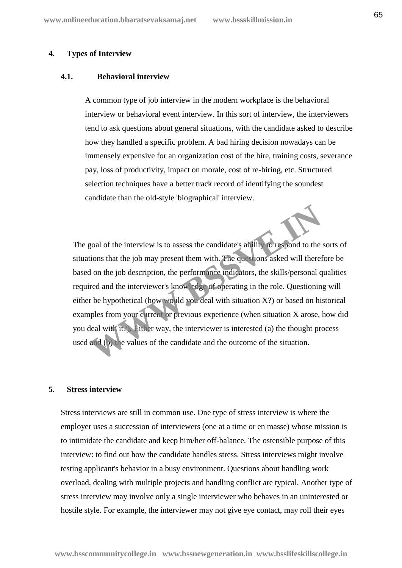### **4. Types of Interview**

#### **4.1. Behavioral interview**

A common type of job interview in the modern workplace is the behavioral interview or behavioral event interview. In this sort of interview, the interviewers tend to ask questions about general situations, with the candidate asked to describe how they handled a specific problem. A bad hiring decision nowadays can be immensely expensive for an organization cost of the hire, training costs, severance pay, loss of productivity, impact on morale, cost of re-hiring, etc. Structured selection techniques have a better track record of identifying the soundest candidate than the old-style 'biographical' interview.

The goal of the interview is to assess the candidate's ability to respond to the sorts of situations that the job may present them with. The questions asked will therefore be based on the job description, the performance indicators, the skills/personal qualities required and the interviewer's knowledge of operating in the role. Questioning will either be hypothetical (how would you deal with situation X?) or based on historical examples from your current or previous experience (when situation X arose, how did you deal with it?). Either way, the interviewer is interested (a) the thought process used and (b) the values of the candidate and the outcome of the situation. goal of the interview is to assess the candidate's ability overspond to the<br>tions that the job may present them with. The questions asked will there<br>if the probability of the performance indicators, the skills/personal q<br>r

## **5. Stress interview**

Stress interviews are still in common use. One type of stress interview is where the employer uses a succession of interviewers (one at a time or en masse) whose mission is to intimidate the candidate and keep him/her off-balance. The ostensible purpose of this interview: to find out how the candidate handles stress. Stress interviews might involve testing applicant's behavior in a busy environment. Questions about handling work overload, dealing with multiple projects and handling conflict are typical. Another type of stress interview may involve only a single interviewer who behaves in an uninterested or hostile style. For example, the interviewer may not give eye contact, may roll their eyes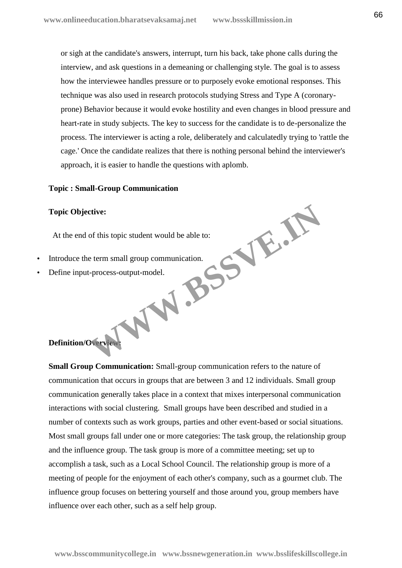or sigh at the candidate's answers, interrupt, turn his back, take phone calls during the interview, and ask questions in a demeaning or challenging style. The goal is to assess how the interviewee handles pressure or to purposely evoke emotional responses. This technique was also used in research protocols studying Stress and Type A (coronary prone) Behavior because it would evoke hostility and even changes in blood pressure and heart-rate in study subjects. The key to success for the candidate is to de-personalize the process. The interviewer is acting a role, deliberately and calculatedly trying to 'rattle the cage.' Once the candidate realizes that there is nothing personal behind the interviewer's approach, it is easier to handle the questions with aplomb.

### **Topic : Small-Group Communication**

### **Topic Objective:**

At the end of this topic student would be able to: WW.BSS<sup>VE.IN</sup>

- Introduce the term small group communication.
- Define input-process-output-model.

# **Definition/Overview:**

**Small Group Communication:** Small-group communication refers to the nature of communication that occurs in groups that are between 3 and 12 individuals. Small group communication generally takes place in a context that mixes interpersonal communication interactions with social clustering. Small groups have been described and studied in a number of contexts such as work groups, parties and other event-based or social situations. Most small groups fall under one or more categories: The task group, the relationship group and the influence group. The task group is more of a committee meeting; set up to accomplish a task, such as a Local School Council. The relationship group is more of a meeting of people for the enjoyment of each other's company, such as a gourmet club. The influence group focuses on bettering yourself and those around you, group members have influence over each other, such as a self help group.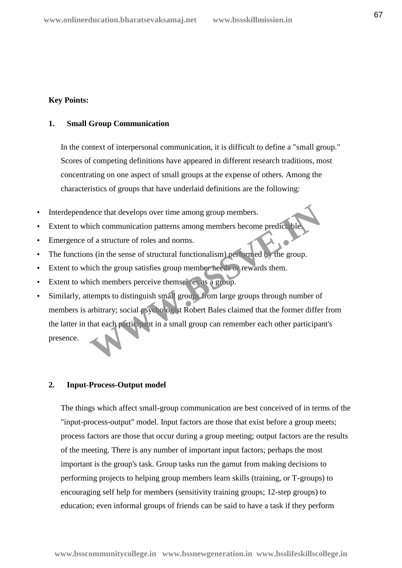## **Key Points:**

#### **1. Small Group Communication**

In the context of interpersonal communication, it is difficult to define a "small group." Scores of competing definitions have appeared in different research traditions, most concentrating on one aspect of small groups at the expense of others. Among the characteristics of groups that have underlaid definitions are the following:

- Interdependence that develops over time among group members.
- Extent to which communication patterns among members become predictable.
- Emergence of a structure of roles and norms.
- The functions (in the sense of structural functionalism) performed by the group.
- Extent to which the group satisfies group member needs or rewards them.
- Extent to which members perceive themselves as a group.
- Similarly, attempts to distinguish small groups from large groups through number of members is arbitrary; social psychologist Robert Bales claimed that the former differ from the latter in that each participant in a small group can remember each other participant's presence. ence that develops over time among group members.<br>
ich communication patterns among members become predictable.<br>
of a structure of roles and norms.<br>
In the sense of structural functionalism) performed by the group.<br>
ich th

### **2. Input-Process-Output model**

The things which affect small-group communication are best conceived of in terms of the "input-process-output" model. Input factors are those that exist before a group meets; process factors are those that occur during a group meeting; output factors are the results of the meeting. There is any number of important input factors; perhaps the most important is the group's task. Group tasks run the gamut from making decisions to performing projects to helping group members learn skills (training, or T-groups) to encouraging self help for members (sensitivity training groups; 12-step groups) to education; even informal groups of friends can be said to have a task if they perform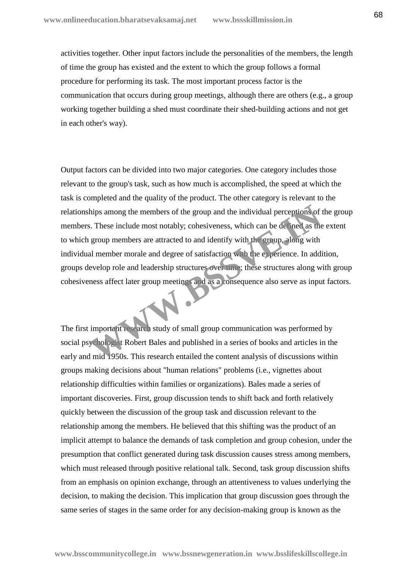activities together. Other input factors include the personalities of the members, the length of time the group has existed and the extent to which the group follows a formal procedure for performing its task. The most important process factor is the communication that occurs during group meetings, although there are others (e.g., a group working together building a shed must coordinate their shed-building actions and not get in each other's way).

Output factors can be divided into two major categories. One category includes those relevant to the group's task, such as how much is accomplished, the speed at which the task is completed and the quality of the product. The other category is relevant to the relationships among the members of the group and the individual perceptions of the group members. These include most notably; cohesiveness, which can be defined as the extent to which group members are attracted to and identify with the group, along with individual member morale and degree of satisfaction with the experience. In addition, groups develop role and leadership structures over time; these structures along with group cohesiveness affect later group meetings and as a consequence also serve as input factors. hips among the members of the group and the individual perceptions of<br>
S. These include most notably; cohesiveness, which can be defined as the<br>
group members are attracted to and identify with the group, along with<br>
all m

The first important research study of small group communication was performed by social psychologist Robert Bales and published in a series of books and articles in the early and mid 1950s. This research entailed the content analysis of discussions within groups making decisions about "human relations" problems (i.e., vignettes about relationship difficulties within families or organizations). Bales made a series of important discoveries. First, group discussion tends to shift back and forth relatively quickly between the discussion of the group task and discussion relevant to the relationship among the members. He believed that this shifting was the product of an implicit attempt to balance the demands of task completion and group cohesion, under the presumption that conflict generated during task discussion causes stress among members, which must released through positive relational talk. Second, task group discussion shifts from an emphasis on opinion exchange, through an attentiveness to values underlying the decision, to making the decision. This implication that group discussion goes through the same series of stages in the same order for any decision-making group is known as the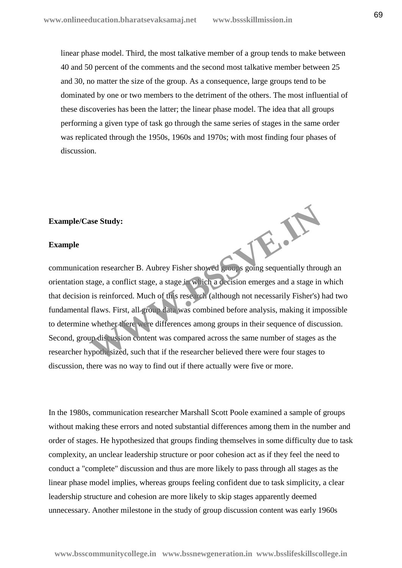linear phase model. Third, the most talkative member of a group tends to make between 40 and 50 percent of the comments and the second most talkative member between 25 and 30, no matter the size of the group. As a consequence, large groups tend to be dominated by one or two members to the detriment of the others. The most influential of these discoveries has been the latter; the linear phase model. The idea that all groups performing a given type of task go through the same series of stages in the same order was replicated through the 1950s, 1960s and 1970s; with most finding four phases of discussion.

## **Example/Case Study:**

#### **Example**

communication researcher B. Aubrey Fisher showed groups going sequentially through an orientation stage, a conflict stage, a stage in which a decision emerges and a stage in which that decision is reinforced. Much of this research (although not necessarily Fisher's) had two fundamental flaws. First, all group data was combined before analysis, making it impossible to determine whether there were differences among groups in their sequence of discussion. Second, group discussion content was compared across the same number of stages as the researcher hypothesized, such that if the researcher believed there were four stages to discussion, there was no way to find out if there actually were five or more. W.B.W.

In the 1980s, communication researcher Marshall Scott Poole examined a sample of groups without making these errors and noted substantial differences among them in the number and order of stages. He hypothesized that groups finding themselves in some difficulty due to task complexity, an unclear leadership structure or poor cohesion act as if they feel the need to conduct a "complete" discussion and thus are more likely to pass through all stages as the linear phase model implies, whereas groups feeling confident due to task simplicity, a clear leadership structure and cohesion are more likely to skip stages apparently deemed unnecessary. Another milestone in the study of group discussion content was early 1960s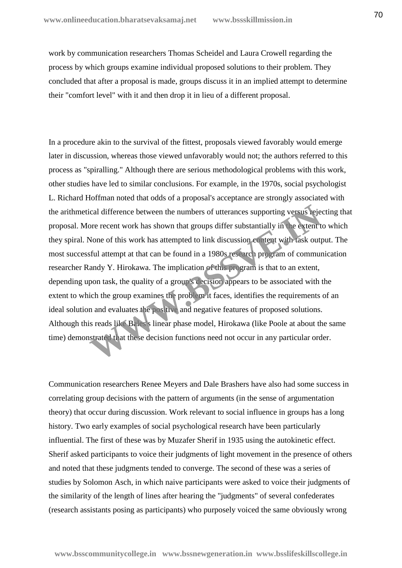work by communication researchers Thomas Scheidel and Laura Crowell regarding the process by which groups examine individual proposed solutions to their problem. They concluded that after a proposal is made, groups discuss it in an implied attempt to determine their "comfort level" with it and then drop it in lieu of a different proposal.

In a procedure akin to the survival of the fittest, proposals viewed favorably would emerge later in discussion, whereas those viewed unfavorably would not; the authors referred to this process as "spiralling." Although there are serious methodological problems with this work, other studies have led to similar conclusions. For example, in the 1970s, social psychologist L. Richard Hoffman noted that odds of a proposal's acceptance are strongly associated with the arithmetical difference between the numbers of utterances supporting versus rejecting that proposal. More recent work has shown that groups differ substantially in the extent to which they spiral. None of this work has attempted to link discussion content with task output. The most successful attempt at that can be found in a 1980s research program of communication researcher Randy Y. Hirokawa. The implication of this program is that to an extent, depending upon task, the quality of a group's decision appears to be associated with the extent to which the group examines the problem it faces, identifies the requirements of an ideal solution and evaluates the positive and negative features of proposed solutions. Although this reads like Bales's linear phase model, Hirokawa (like Poole at about the same time) demonstrated that these decision functions need not occur in any particular order. ical difference between the numbers of utterances supporting versus rejection<br>or recent work has shown that groups differ substantially in the extent to<br>None of this work has attempted to link discussion of their with task

Communication researchers Renee Meyers and Dale Brashers have also had some success in correlating group decisions with the pattern of arguments (in the sense of argumentation theory) that occur during discussion. Work relevant to social influence in groups has a long history. Two early examples of social psychological research have been particularly influential. The first of these was by Muzafer Sherif in 1935 using the autokinetic effect. Sherif asked participants to voice their judgments of light movement in the presence of others and noted that these judgments tended to converge. The second of these was a series of studies by Solomon Asch, in which naive participants were asked to voice their judgments of the similarity of the length of lines after hearing the "judgments" of several confederates (research assistants posing as participants) who purposely voiced the same obviously wrong

**www.bsscommunitycollege.in www.bssnewgeneration.in www.bsslifeskillscollege.in**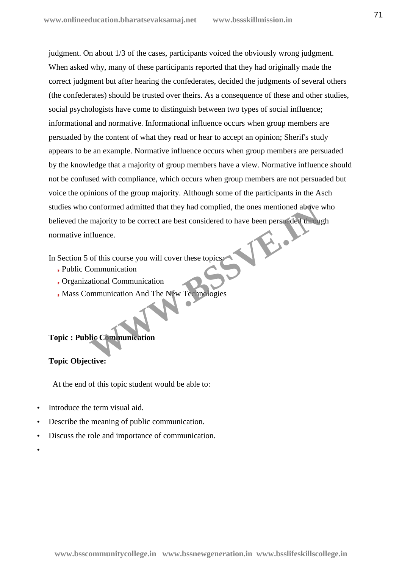judgment. On about 1/3 of the cases, participants voiced the obviously wrong judgment. When asked why, many of these participants reported that they had originally made the correct judgment but after hearing the confederates, decided the judgments of several others (the confederates) should be trusted over theirs. As a consequence of these and other studies, social psychologists have come to distinguish between two types of social influence; informational and normative. Informational influence occurs when group members are persuaded by the content of what they read or hear to accept an opinion; Sherif's study appears to be an example. Normative influence occurs when group members are persuaded by the knowledge that a majority of group members have a view. Normative influence should not be confused with compliance, which occurs when group members are not persuaded but voice the opinions of the group majority. Although some of the participants in the Asch studies who conformed admitted that they had complied, the ones mentioned above who believed the majority to be correct are best considered to have been persuaded through normative influence. conformed admitted that they had complied, the ones mentioned above v<br>majority to be correct are best considered to have been persuaded through<br>fluence.<br>of this course you will cover these topics<br>communication<br>momunication

In Section 5 of this course you will cover these topics:

- Public Communication
- Organizational Communication
- Mass Communication And The New Technologies

# **Topic : Public Communication**

# **Topic Objective:**

At the end of this topic student would be able to:

- Introduce the term visual aid.
- Describe the meaning of public communication.
- Discuss the role and importance of communication.
- $\bullet$  and  $\bullet$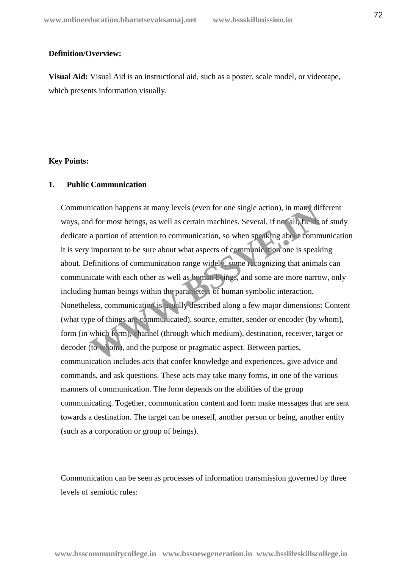### **Definition/Overview:**

**Visual Aid:** Visual Aid is an instructional aid, such as a poster, scale model, or videotape, which presents information visually.

### **Key Points:**

## **1. Public Communication**

Communication happens at many levels (even for one single action), in many different ways, and for most beings, as well as certain machines. Several, if not all, fields of study dedicate a portion of attention to communication, so when speaking about communication it is very important to be sure about what aspects of communication one is speaking about. Definitions of communication range widely, some recognizing that animals can communicate with each other as well as human beings, and some are more narrow, only including human beings within the parameters of human symbolic interaction. Nonetheless, communication is usually described along a few major dimensions: Content (what type of things are communicated), source, emitter, sender or encoder (by whom), form (in which form), channel (through which medium), destination, receiver, target or decoder (to whom), and the purpose or pragmatic aspect. Between parties, communication includes acts that confer knowledge and experiences, give advice and commands, and ask questions. These acts may take many forms, in one of the various manners of communication. The form depends on the abilities of the group communicating. Together, communication content and form make messages that are sent towards a destination. The target can be oneself, another person or being, another entity (such as a corporation or group of beings). ication happens at many levels (even for one single action), in many different of the particular and a secretain machines. Several, if not all, fields a portion of attention to communication, so when speaking about communi

Communication can be seen as processes of information transmission governed by three levels of semiotic rules: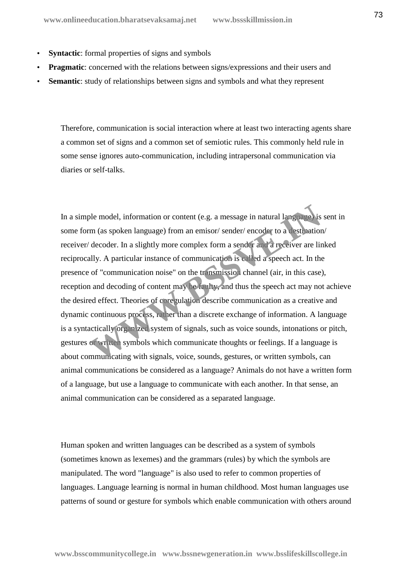- **Syntactic**: formal properties of signs and symbols
- **Pragmatic**: concerned with the relations between signs/expressions and their users and
- **Semantic**: study of relationships between signs and symbols and what they represent

Therefore, communication is social interaction where at least two interacting agents share a common set of signs and a common set of semiotic rules. This commonly held rule in some sense ignores auto-communication, including intrapersonal communication via diaries or self-talks.

In a simple model, information or content (e.g. a message in natural language) is sent in some form (as spoken language) from an emisor/ sender/ encoder to a destination/ receiver/ decoder. In a slightly more complex form a sender and a receiver are linked reciprocally. A particular instance of communication is called a speech act. In the presence of "communication noise" on the transmission channel (air, in this case), reception and decoding of content may be faulty, and thus the speech act may not achieve the desired effect. Theories of coregulation describe communication as a creative and dynamic continuous process, rather than a discrete exchange of information. A language is a syntactically organized system of signals, such as voice sounds, intonations or pitch, gestures or written symbols which communicate thoughts or feelings. If a language is about communicating with signals, voice, sounds, gestures, or written symbols, can animal communications be considered as a language? Animals do not have a written form of a language, but use a language to communicate with each another. In that sense, an animal communication can be considered as a separated language. ble model, information or content (e.g. a message in natural language) is<br>m (as spoken language) from an emisor/sender/encoder to a lestination<br>decoder. In a slightly more complex form a sender and a receiver are line<br>ally

Human spoken and written languages can be described as a system of symbols (sometimes known as lexemes) and the grammars (rules) by which the symbols are manipulated. The word "language" is also used to refer to common properties of languages. Language learning is normal in human childhood. Most human languages use patterns of sound or gesture for symbols which enable communication with others around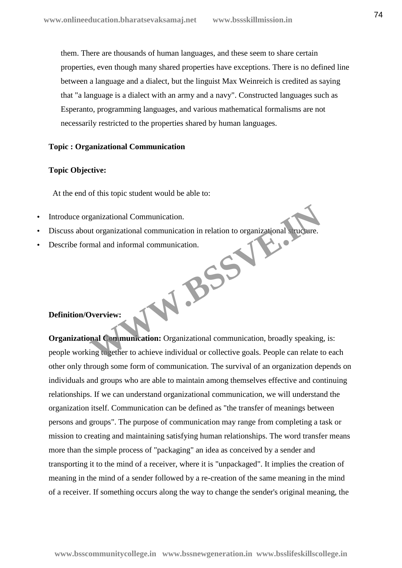them. There are thousands of human languages, and these seem to share certain properties, even though many shared properties have exceptions. There is no defined line between a language and a dialect, but the linguist Max Weinreich is credited as saying that "a language is a dialect with an army and a navy". Constructed languages such as Esperanto, programming languages, and various mathematical formalisms are not necessarily restricted to the properties shared by human languages.

# **Topic : Organizational Communication**

### **Topic Objective:**

At the end of this topic student would be able to:

- Introduce organizational Communication.
- Discuss about organizational communication in relation to organizational structure.<br>Describe formal and informal communication. **WWW.BSSVE.IN**
- Describe formal and informal communication.

### **Definition/Overview:**

**Organizational Communication:** Organizational communication, broadly speaking, is: people working to gether to achieve individual or collective goals. People can relate to each other only through some form of communication. The survival of an organization depends on individuals and groups who are able to maintain among themselves effective and continuing relationships. If we can understand organizational communication, we will understand the organization itself. Communication can be defined as "the transfer of meanings between persons and groups". The purpose of communication may range from completing a task or mission to creating and maintaining satisfying human relationships. The word transfer means more than the simple process of "packaging" an idea as conceived by a sender and transporting it to the mind of a receiver, where it is "unpackaged". It implies the creation of meaning in the mind of a sender followed by a re-creation of the same meaning in the mind of a receiver. If something occurs along the way to change the sender's original meaning, the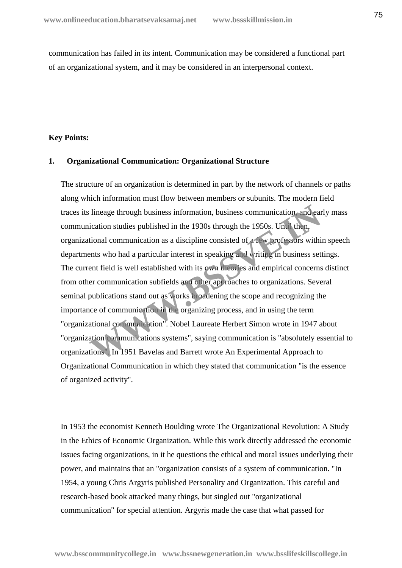communication has failed in its intent. Communication may be considered a functional part of an organizational system, and it may be considered in an interpersonal context.

### **Key Points:**

### **1. Organizational Communication: Organizational Structure**

The structure of an organization is determined in part by the network of channels or paths along which information must flow between members or subunits. The modern field traces its lineage through business information, business communication, and early mass communication studies published in the 1930s through the 1950s. Until then, organizational communication as a discipline consisted of a few professors within speech departments who had a particular interest in speaking and writing in business settings. The current field is well established with its own theories and empirical concerns distinct from other communication subfields and other approaches to organizations. Several seminal publications stand out as works broadening the scope and recognizing the importance of communication in the organizing process, and in using the term "organizational communication". Nobel Laureate Herbert Simon wrote in 1947 about "organization communications systems", saying communication is "absolutely essential to organizations". In 1951 Bavelas and Barrett wrote An Experimental Approach to Organizational Communication in which they stated that communication "is the essence of organized activity". lineage through business information, business communication, and earitication studies published in the 1930s through the 1950s. Until then, tional communication as a discipline consisted of a T. W professors withints who

In 1953 the economist Kenneth Boulding wrote The Organizational Revolution: A Study in the Ethics of Economic Organization. While this work directly addressed the economic issues facing organizations, in it he questions the ethical and moral issues underlying their power, and maintains that an "organization consists of a system of communication. "In 1954, a young Chris Argyris published Personality and Organization. This careful and research-based book attacked many things, but singled out "organizational communication" for special attention. Argyris made the case that what passed for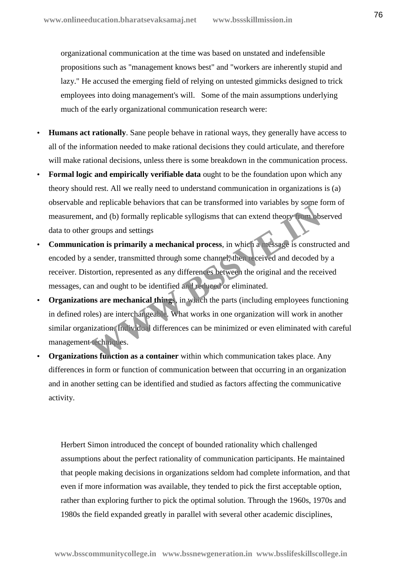organizational communication at the time was based on unstated and indefensible propositions such as "management knows best" and "workers are inherently stupid and lazy." He accused the emerging field of relying on untested gimmicks designed to trick employees into doing management's will. Some of the main assumptions underlying much of the early organizational communication research were:

- **Humans act rationally**. Sane people behave in rational ways, they generally have access to all of the information needed to make rational decisions they could articulate, and therefore will make rational decisions, unless there is some breakdown in the communication process.
- **Formal logic and empirically verifiable data** ought to be the foundation upon which any theory should rest. All we really need to understand communication in organizations is (a) observable and replicable behaviors that can be transformed into variables by some form of measurement, and (b) formally replicable syllogisms that can extend theory from observed data to other groups and settings
- **Communication is primarily a mechanical process**, in which a message is constructed and encoded by a sender, transmitted through some channel, then received and decoded by a receiver. Distortion, represented as any differences between the original and the received messages, can and ought to be identified and reduced or eliminated. In the please contribute and team of daminine and variables by some is<br>the t, and (b) formally replicable syllogisms that can extend theory tom observed and settings<br>a sender, transmitted through some channel, then exceed
- **Organizations are mechanical things**, in which the parts (including employees functioning in defined roles) are interchangeable. What works in one organization will work in another similar organization. Individual differences can be minimized or even eliminated with careful management techniques.
- **Organizations function as a container** within which communication takes place. Any differences in form or function of communication between that occurring in an organization and in another setting can be identified and studied as factors affecting the communicative activity.

Herbert Simon introduced the concept of bounded rationality which challenged assumptions about the perfect rationality of communication participants. He maintained that people making decisions in organizations seldom had complete information, and that even if more information was available, they tended to pick the first acceptable option, rather than exploring further to pick the optimal solution. Through the 1960s, 1970s and 1980s the field expanded greatly in parallel with several other academic disciplines,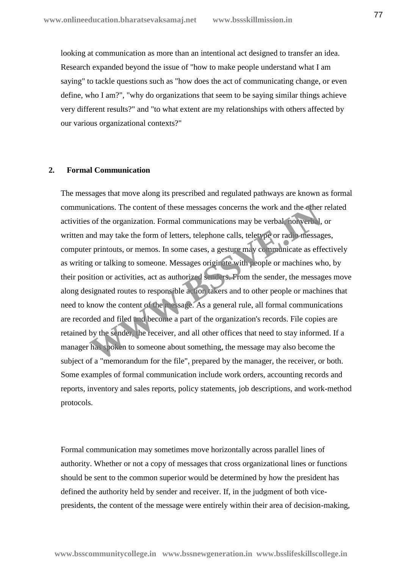looking at communication as more than an intentional act designed to transfer an idea. Research expanded beyond the issue of "how to make people understand what I am saying" to tackle questions such as "how does the act of communicating change, or even define, who I am?", "why do organizations that seem to be saying similar things achieve very different results?" and "to what extent are my relationships with others affected by our various organizational contexts?"

### **2. Formal Communication**

The messages that move along its prescribed and regulated pathways are known as formal communications. The content of these messages concerns the work and the other related activities of the organization. Formal communications may be verbal, nonverbal, or written and may take the form of letters, telephone calls, teletype or radio messages, computer printouts, or memos. In some cases, a gesture may communicate as effectively as writing or talking to someone. Messages originate with people or machines who, by their position or activities, act as authorized senders. From the sender, the messages move along designated routes to responsible action takers and to other people or machines that need to know the content of the message. As a general rule, all formal communications are recorded and filed and become a part of the organization's records. File copies are retained by the sender, the receiver, and all other offices that need to stay informed. If a manager has spoken to someone about something, the message may also become the subject of a "memorandum for the file", prepared by the manager, the receiver, or both. Some examples of formal communication include work orders, accounting records and reports, inventory and sales reports, policy statements, job descriptions, and work-method protocols. ications. The content of these messages concerns the work and the cther<br>sof the organization. Formal communications may be verbal, nonverbal,<br>nd may take the form of letters, telephone calls, teletype or radio message<br>r pr

Formal communication may sometimes move horizontally across parallel lines of authority. Whether or not a copy of messages that cross organizational lines or functions should be sent to the common superior would be determined by how the president has defined the authority held by sender and receiver. If, in the judgment of both vice presidents, the content of the message were entirely within their area of decision-making,

**www.bsscommunitycollege.in www.bssnewgeneration.in www.bsslifeskillscollege.in**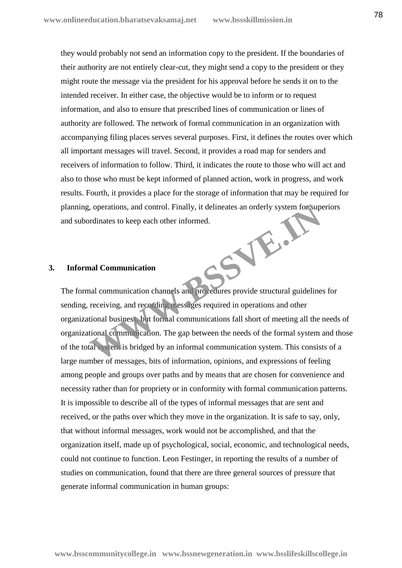they would probably not send an information copy to the president. If the boundaries of their authority are not entirely clear-cut, they might send a copy to the president or they might route the message via the president for his approval before he sends it on to the intended receiver. In either case, the objective would be to inform or to request information, and also to ensure that prescribed lines of communication or lines of authority are followed. The network of formal communication in an organization with accompanying filing places serves several purposes. First, it defines the routes over which all important messages will travel. Second, it provides a road map for senders and receivers of information to follow. Third, it indicates the route to those who will act and also to those who must be kept informed of planned action, work in progress, and work results. Fourth, it provides a place for the storage of information that may be required for planning, operations, and control. Finally, it delineates an orderly system for superiors and subordinates to keep each other informed. **WWW.BSSVE.IN**

### **3. Informal Communication**

The formal communication channels and procedures provide structural guidelines for sending, receiving, and recording messages required in operations and other organizational business, but formal communications fall short of meeting all the needs of organizational communication. The gap between the needs of the formal system and those of the total system is bridged by an informal communication system. This consists of a large number of messages, bits of information, opinions, and expressions of feeling among people and groups over paths and by means that are chosen for convenience and necessity rather than for propriety or in conformity with formal communication patterns. It is impossible to describe all of the types of informal messages that are sent and received, or the paths over which they move in the organization. It is safe to say, only, that without informal messages, work would not be accomplished, and that the organization itself, made up of psychological, social, economic, and technological needs, could not continue to function. Leon Festinger, in reporting the results of a number of studies on communication, found that there are three general sources of pressure that generate informal communication in human groups: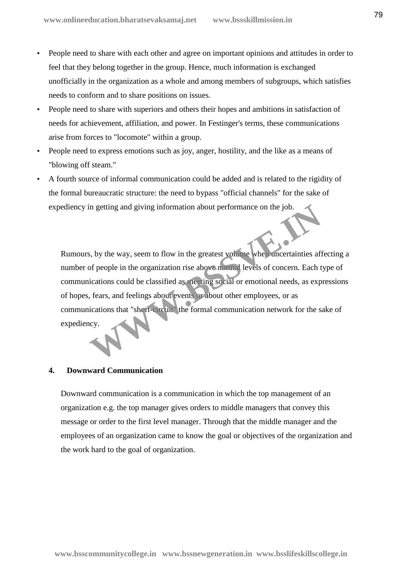- People need to share with each other and agree on important opinions and attitudes in order to feel that they belong together in the group. Hence, much information is exchanged unofficially in the organization as a whole and among members of subgroups, which satisfies needs to conform and to share positions on issues.
- People need to share with superiors and others their hopes and ambitions in satisfaction of needs for achievement, affiliation, and power. In Festinger's terms, these communications arise from forces to "locomote" within a group.
- People need to express emotions such as joy, anger, hostility, and the like as a means of "blowing off steam."
- A fourth source of informal communication could be added and is related to the rigidity of the formal bureaucratic structure: the need to bypass "official channels" for the sake of expediency in getting and giving information about performance on the job.

Rumours, by the way, seem to flow in the greatest volume when uncertainties affecting a number of people in the organization rise above normal levels of concern. Each type of communications could be classified as meeting social or emotional needs, as expressions of hopes, fears, and feelings about events or about other employees, or as communications that "short-circuit" the formal communication network for the sake of expediency. In getting and giving information about performance on the job.<br>
S, by the way, seem to flow in the greatest volume when uncertainties aff<br>
of people in the organization rise above normal levels of concern. Each t<br>
ication

# **4. Downward Communication**

Downward communication is a communication in which the top management of an organization e.g. the top manager gives orders to middle managers that convey this message or order to the first level manager. Through that the middle manager and the employees of an organization came to know the goal or objectives of the organization and the work hard to the goal of organization.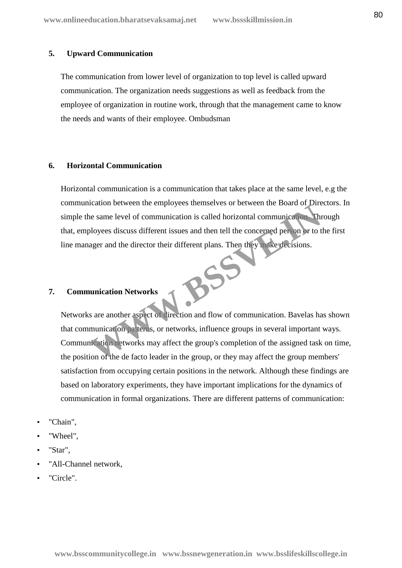# **5. Upward Communication**

The communication from lower level of organization to top level is called upward communication. The organization needs suggestions as well as feedback from the employee of organization in routine work, through that the management came to know the needs and wants of their employee. Ombudsman

# **6. Horizontal Communication**

Horizontal communication is a communication that takes place at the same level, e.g the communication between the employees themselves or between the Board of Directors. In simple the same level of communication is called horizontal communication. Through that, employees discuss different issues and then tell the concerned person or to the first line manager and the director their different plans. Then they make decisions.<br> **Communication Networks** 

# **7. Communication Networks**

Networks are another aspect of direction and flow of communication. Bavelas has shown that communication patterns, or networks, influence groups in several important ways. Communication networks may affect the group's completion of the assigned task on time, the position of the de facto leader in the group, or they may affect the group members' satisfaction from occupying certain positions in the network. Although these findings are based on laboratory experiments, they have important implications for the dynamics of communication in formal organizations. There are different patterns of communication: Example the example of communication is called horizontal communication. The<br>bloyees discuss different issues and then tell the concerned person or to t<br>ager and the director their different plans. Then they make decisions

- "Chain",
- "Wheel",
- "Star",
- "All-Channel network,
- "Circle".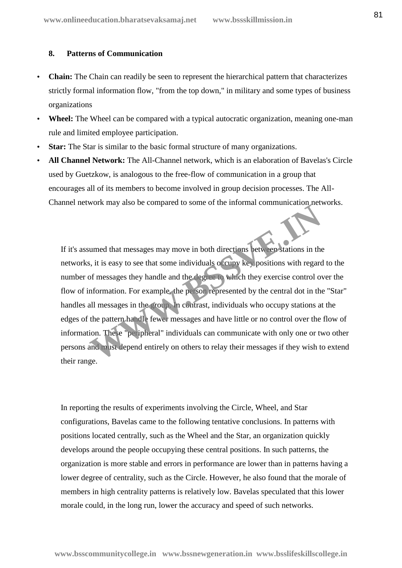### **8. Patterns of Communication**

- **Chain:** The Chain can readily be seen to represent the hierarchical pattern that characterizes strictly formal information flow, "from the top down," in military and some types of business organizations
- **Wheel:** The Wheel can be compared with a typical autocratic organization, meaning one-man rule and limited employee participation.
- **Star:** The Star is similar to the basic formal structure of many organizations.
- **All Channel Network:** The All-Channel network, which is an elaboration of Bavelas's Circle used by Guetzkow, is analogous to the free-flow of communication in a group that encourages all of its members to become involved in group decision processes. The All- Channel network may also be compared to some of the informal communication networks.

If it's assumed that messages may move in both directions between stations in the networks, it is easy to see that some individuals occupy key positions with regard to the number of messages they handle and the degree to which they exercise control over the flow of information. For example, the person represented by the central dot in the "Star" handles all messages in the group. In contrast, individuals who occupy stations at the edges of the pattern handle fewer messages and have little or no control over the flow of information. These "peripheral" individuals can communicate with only one or two other persons and must depend entirely on others to relay their messages if they wish to extend their range. umed that messages may move in both directions between stations in the skations in the skations of messages they handle and the degree to which they exercise control of messages they handle and the degree to which they exe

In reporting the results of experiments involving the Circle, Wheel, and Star configurations, Bavelas came to the following tentative conclusions. In patterns with positions located centrally, such as the Wheel and the Star, an organization quickly develops around the people occupying these central positions. In such patterns, the organization is more stable and errors in performance are lower than in patterns having a lower degree of centrality, such as the Circle. However, he also found that the morale of members in high centrality patterns is relatively low. Bavelas speculated that this lower morale could, in the long run, lower the accuracy and speed of such networks.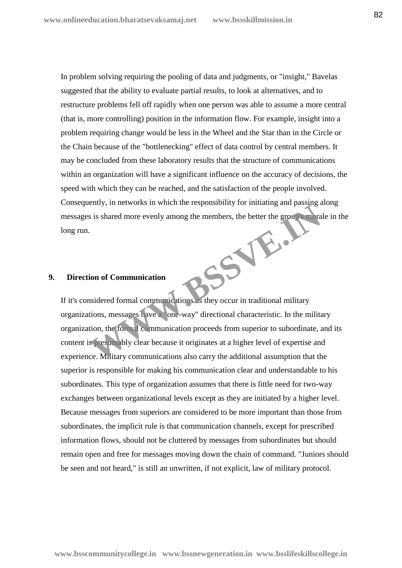In problem solving requiring the pooling of data and judgments, or "insight," Bavelas suggested that the ability to evaluate partial results, to look at alternatives, and to restructure problems fell off rapidly when one person was able to assume a more central (that is, more controlling) position in the information flow. For example, insight into a problem requiring change would be less in the Wheel and the Star than in the Circle or the Chain because of the "bottlenecking" effect of data control by central members. It may be concluded from these laboratory results that the structure of communications within an organization will have a significant influence on the accuracy of decisions, the speed with which they can be reached, and the satisfaction of the people involved. Consequently, in networks in which the responsibility for initiating and passing along messages is shared more evenly among the members, the better the group's morale in the long run. **WWW.BSS** 

# **9. Direction of Communication**

If it's considered formal communications as they occur in traditional military organizations, messages have a "one-way" directional characteristic. In the military organization, the formal communication proceeds from superior to subordinate, and its content is presumably clear because it originates at a higher level of expertise and experience. Military communications also carry the additional assumption that the superior is responsible for making his communication clear and understandable to his subordinates. This type of organization assumes that there is little need for two-way exchanges between organizational levels except as they are initiated by a higher level. Because messages from superiors are considered to be more important than those from subordinates, the implicit rule is that communication channels, except for prescribed information flows, should not be cluttered by messages from subordinates but should remain open and free for messages moving down the chain of command. "Juniors should be seen and not heard," is still an unwritten, if not explicit, law of military protocol.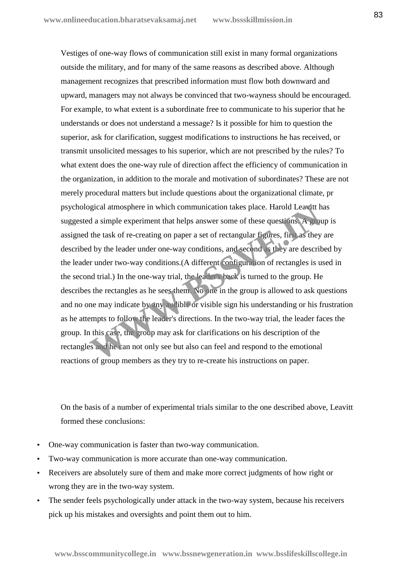Vestiges of one-way flows of communication still exist in many formal organizations outside the military, and for many of the same reasons as described above. Although management recognizes that prescribed information must flow both downward and upward, managers may not always be convinced that two-wayness should be encouraged. For example, to what extent is a subordinate free to communicate to his superior that he understands or does not understand a message? Is it possible for him to question the superior, ask for clarification, suggest modifications to instructions he has received, or transmit unsolicited messages to his superior, which are not prescribed by the rules? To what extent does the one-way rule of direction affect the efficiency of communication in the organization, in addition to the morale and motivation of subordinates? These are not merely procedural matters but include questions about the organizational climate, pr psychological atmosphere in which communication takes place. Harold Leavitt has suggested a simple experiment that helps answer some of these questions. **A group is** assigned the task of re-creating on paper a set of rectangular figures, first as they are described by the leader under one-way conditions, and second as they are described by the leader under two-way conditions.(A different configuration of rectangles is used in the second trial.) In the one-way trial, the leader's back is turned to the group. He describes the rectangles as he sees them. No one in the group is allowed to ask questions and no one may indicate by any audible or visible sign his understanding or his frustration as he attempts to follow the leader's directions. In the two-way trial, the leader faces the group. In this case, the group may ask for clarifications on his description of the rectangles and he can not only see but also can feel and respond to the emotional reactions of group members as they try to re-create his instructions on paper. gical atmosphere in which communication takes place. Harold Leavitt h<br>d a simple experiment that helps answer some of these questions.<br>the task of re-creating on paper a set of rectangular figures, first as they<br>d by the l

On the basis of a number of experimental trials similar to the one described above, Leavitt formed these conclusions:

- One-way communication is faster than two-way communication.
- Two-way communication is more accurate than one-way communication.
- Receivers are absolutely sure of them and make more correct judgments of how right or wrong they are in the two-way system.
- The sender feels psychologically under attack in the two-way system, because his receivers pick up his mistakes and oversights and point them out to him.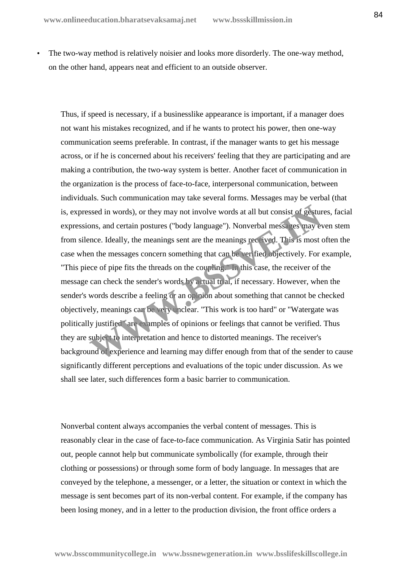The two-way method is relatively noisier and looks more disorderly. The one-way method, on the other hand, appears neat and efficient to an outside observer.

Thus, if speed is necessary, if a businesslike appearance is important, if a manager does not want his mistakes recognized, and if he wants to protect his power, then one-way communication seems preferable. In contrast, if the manager wants to get his message across, or if he is concerned about his receivers' feeling that they are participating and are making a contribution, the two-way system is better. Another facet of communication in the organization is the process of face-to-face, interpersonal communication, between individuals. Such communication may take several forms. Messages may be verbal (that is, expressed in words), or they may not involve words at all but consist of gestures, facial expressions, and certain postures ("body language"). Nonverbal messages may even stem from silence. Ideally, the meanings sent are the meanings received. This is most often the case when the messages concern something that can be verified objectively. For example, "This piece of pipe fits the threads on the coupling." In this case, the receiver of the message can check the sender's words by actual trial, if necessary. However, when the sender's words describe a feeling or an opinion about something that cannot be checked objectively, meanings can be very unclear. "This work is too hard" or "Watergate was politically justified" are examples of opinions or feelings that cannot be verified. Thus they are subject to interpretation and hence to distorted meanings. The receiver's background of experience and learning may differ enough from that of the sender to cause significantly different perceptions and evaluations of the topic under discussion. As we shall see later, such differences form a basic barrier to communication. ssed in words), or they may not involve words at all but consist of gestum<br>ons, and certain postures ("body language"). Nonverbal messages may exerce. Ideally, the meanings sent are the meanings received. This is most on<br>t

Nonverbal content always accompanies the verbal content of messages. This is reasonably clear in the case of face-to-face communication. As Virginia Satir has pointed out, people cannot help but communicate symbolically (for example, through their clothing or possessions) or through some form of body language. In messages that are conveyed by the telephone, a messenger, or a letter, the situation or context in which the message is sent becomes part of its non-verbal content. For example, if the company has been losing money, and in a letter to the production division, the front office orders a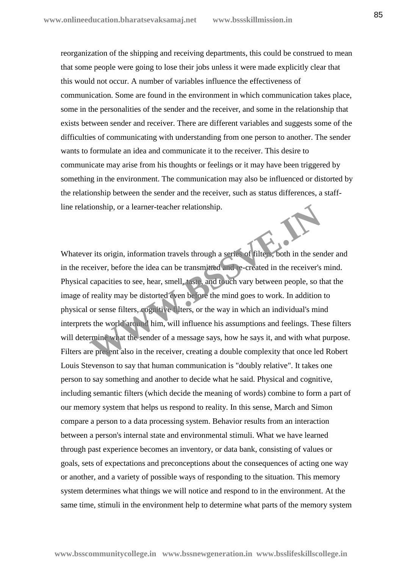reorganization of the shipping and receiving departments, this could be construed to mean that some people were going to lose their jobs unless it were made explicitly clear that this would not occur. A number of variables influence the effectiveness of communication. Some are found in the environment in which communication takes place, some in the personalities of the sender and the receiver, and some in the relationship that exists between sender and receiver. There are different variables and suggests some of the difficulties of communicating with understanding from one person to another. The sender wants to formulate an idea and communicate it to the receiver. This desire to communicate may arise from his thoughts or feelings or it may have been triggered by something in the environment. The communication may also be influenced or distorted by the relationship between the sender and the receiver, such as status differences, a staffline relationship, or a learner-teacher relationship.

Whatever its origin, information travels through a series of filters, both in the sender and in the receiver, before the idea can be transmitted and re-created in the receiver's mind. Physical capacities to see, hear, smell, taste, and touch vary between people, so that the image of reality may be distorted even before the mind goes to work. In addition to physical or sense filters, cognitive filters, or the way in which an individual's mind interprets the world around him, will influence his assumptions and feelings. These filters will determine what the sender of a message says, how he says it, and with what purpose. Filters are present also in the receiver, creating a double complexity that once led Robert Louis Stevenson to say that human communication is "doubly relative". It takes one person to say something and another to decide what he said. Physical and cognitive, including semantic filters (which decide the meaning of words) combine to form a part of our memory system that helps us respond to reality. In this sense, March and Simon compare a person to a data processing system. Behavior results from an interaction between a person's internal state and environmental stimuli. What we have learned through past experience becomes an inventory, or data bank, consisting of values or goals, sets of expectations and preconceptions about the consequences of acting one way or another, and a variety of possible ways of responding to the situation. This memory system determines what things we will notice and respond to in the environment. At the same time, stimuli in the environment help to determine what parts of the memory system The state of a message says, how he says it, and with what e present also in the receiver, capacities to see, hear, smell, as exampled and re-created in the receiver's capacities to see, hear, smell, as exampled and re-cre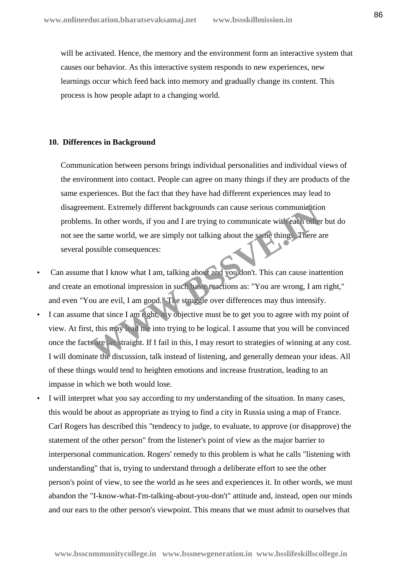will be activated. Hence, the memory and the environment form an interactive system that causes our behavior. As this interactive system responds to new experiences, new learnings occur which feed back into memory and gradually change its content. This process is how people adapt to a changing world.

#### **10. Differences in Background**

Communication between persons brings individual personalities and individual views of the environment into contact. People can agree on many things if they are products of the same experiences. But the fact that they have had different experiences may lead to disagreement. Extremely different backgrounds can cause serious communication problems. In other words, if you and I are trying to communicate with each other but do not see the same world, we are simply not talking about the same things. There are several possible consequences:

- Can assume that I know what I am, talking about and you don't. This can cause inattention and create an emotional impression in such basic reactions as: "You are wrong, I am right," and even "You are evil, I am good." The struggle over differences may thus intensify.
- I can assume that since I am right, my objective must be to get you to agree with my point of view. At first, this may lead me into trying to be logical. I assume that you will be convinced once the facts are set straight. If I fail in this, I may resort to strategies of winning at any cost. I will dominate the discussion, talk instead of listening, and generally demean your ideas. All of these things would tend to heighten emotions and increase frustration, leading to an impasse in which we both would lose. ment. Extremely different backgrounds can cause serious communications. In other words, if you and I are trying to communicate with each other the same world, we are simply not talking about the same things. There a cossib
- I will interpret what you say according to my understanding of the situation. In many cases, this would be about as appropriate as trying to find a city in Russia using a map of France. Carl Rogers has described this "tendency to judge, to evaluate, to approve (or disapprove) the statement of the other person" from the listener's point of view as the major barrier to interpersonal communication. Rogers' remedy to this problem is what he calls "listening with understanding" that is, trying to understand through a deliberate effort to see the other person's point of view, to see the world as he sees and experiences it. In other words, we must abandon the "I-know-what-I'm-talking-about-you-don't" attitude and, instead, open our minds and our ears to the other person's viewpoint. This means that we must admit to ourselves that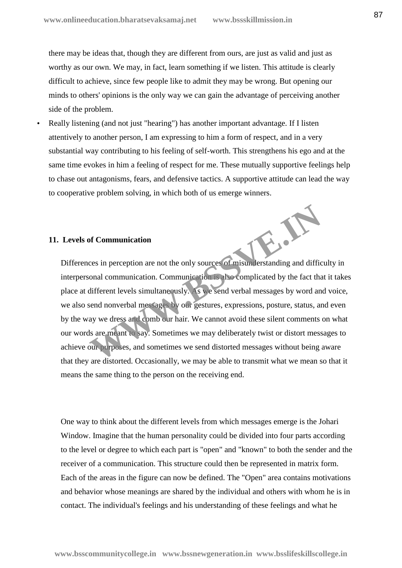there may be ideas that, though they are different from ours, are just as valid and just as worthy as our own. We may, in fact, learn something if we listen. This attitude is clearly difficult to achieve, since few people like to admit they may be wrong. But opening our minds to others' opinions is the only way we can gain the advantage of perceiving another side of the problem.

 Really listening (and not just "hearing") has another important advantage. If I listen attentively to another person, I am expressing to him a form of respect, and in a very substantial way contributing to his feeling of self-worth. This strengthens his ego and at the same time evokes in him a feeling of respect for me. These mutually supportive feelings help to chase out antagonisms, fears, and defensive tactics. A supportive attitude can lead the way to cooperative problem solving, in which both of us emerge winners.

### **11. Levels of Communication**

Differences in perception are not the only sources of misunderstanding and difficulty in interpersonal communication. Communication is also complicated by the fact that it takes place at different levels simultaneously. As we send verbal messages by word and voice, we also send nonverbal messages by our gestures, expressions, posture, status, and even by the way we dress and comb our hair. We cannot avoid these silent comments on what our words are meant to say. Sometimes we may deliberately twist or distort messages to achieve our purposes, and sometimes we send distorted messages without being aware that they are distorted. Occasionally, we may be able to transmit what we mean so that it means the same thing to the person on the receiving end. **WWW.BSSVE.IN**

One way to think about the different levels from which messages emerge is the Johari Window. Imagine that the human personality could be divided into four parts according to the level or degree to which each part is "open" and "known" to both the sender and the receiver of a communication. This structure could then be represented in matrix form. Each of the areas in the figure can now be defined. The "Open" area contains motivations and behavior whose meanings are shared by the individual and others with whom he is in contact. The individual's feelings and his understanding of these feelings and what he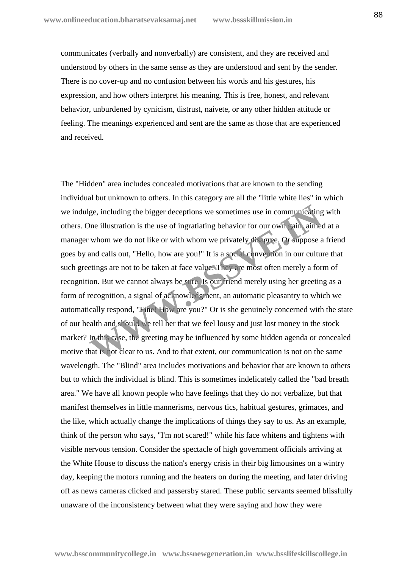communicates (verbally and nonverbally) are consistent, and they are received and understood by others in the same sense as they are understood and sent by the sender. There is no cover-up and no confusion between his words and his gestures, his expression, and how others interpret his meaning. This is free, honest, and relevant behavior, unburdened by cynicism, distrust, naivete, or any other hidden attitude or feeling. The meanings experienced and sent are the same as those that are experienced and received.

The "Hidden" area includes concealed motivations that are known to the sending individual but unknown to others. In this category are all the "little white lies" in which we indulge, including the bigger deceptions we sometimes use in communicating with others. One illustration is the use of ingratiating behavior for our own gain, aimed at a manager whom we do not like or with whom we privately disagree. Or suppose a friend goes by and calls out, "Hello, how are you!" It is a social convention in our culture that such greetings are not to be taken at face value. They are most often merely a form of recognition. But we cannot always be sure. Is our friend merely using her greeting as a form of recognition, a signal of acknowledgment, an automatic pleasantry to which we automatically respond, "Fine! How are you?" Or is she genuinely concerned with the state of our health and should we tell her that we feel lousy and just lost money in the stock market? In this case, the greeting may be influenced by some hidden agenda or concealed motive that is not clear to us. And to that extent, our communication is not on the same wavelength. The "Blind" area includes motivations and behavior that are known to others but to which the individual is blind. This is sometimes indelicately called the "bad breath area." We have all known people who have feelings that they do not verbalize, but that manifest themselves in little mannerisms, nervous tics, habitual gestures, grimaces, and the like, which actually change the implications of things they say to us. As an example, think of the person who says, "I'm not scared!" while his face whitens and tightens with visible nervous tension. Consider the spectacle of high government officials arriving at the White House to discuss the nation's energy crisis in their big limousines on a wintry day, keeping the motors running and the heaters on during the meeting, and later driving off as news cameras clicked and passersby stared. These public servants seemed blissfully unaware of the inconsistency between what they were saying and how they were ge, including the bigger deceptions we sometimes use in communicating<br>the illustration is the use of ingratiating behavior for our own gain, aimed<br>whom we do not like or with whom we privately diverge. Or suppose a<br>and cal

**www.bsscommunitycollege.in www.bssnewgeneration.in www.bsslifeskillscollege.in**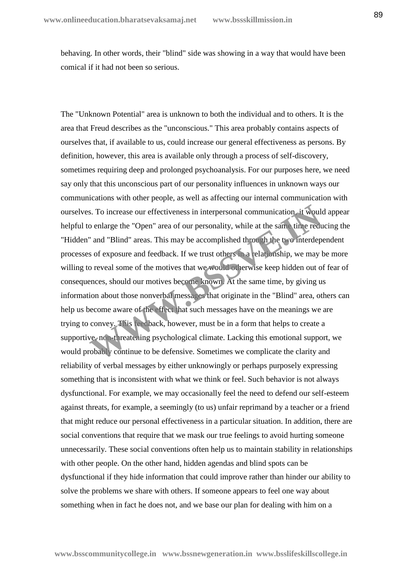behaving. In other words, their "blind" side was showing in a way that would have been comical if it had not been so serious.

The "Unknown Potential" area is unknown to both the individual and to others. It is the area that Freud describes as the "unconscious." This area probably contains aspects of ourselves that, if available to us, could increase our general effectiveness as persons. By definition, however, this area is available only through a process of self-discovery, sometimes requiring deep and prolonged psychoanalysis. For our purposes here, we need say only that this unconscious part of our personality influences in unknown ways our communications with other people, as well as affecting our internal communication with ourselves. To increase our effectiveness in interpersonal communication, it would appear helpful to enlarge the "Open" area of our personality, while at the same time reducing the "Hidden" and "Blind" areas. This may be accomplished through the two interdependent processes of exposure and feedback. If we trust others in a relationship, we may be more willing to reveal some of the motives that we would otherwise keep hidden out of fear of consequences, should our motives become known. At the same time, by giving us information about those nonverbal messages that originate in the "Blind" area, others can help us become aware of the effect that such messages have on the meanings we are trying to convey. This feedback, however, must be in a form that helps to create a supportive, non-threatening psychological climate. Lacking this emotional support, we would probably continue to be defensive. Sometimes we complicate the clarity and reliability of verbal messages by either unknowingly or perhaps purposely expressing something that is inconsistent with what we think or feel. Such behavior is not always dysfunctional. For example, we may occasionally feel the need to defend our self-esteem against threats, for example, a seemingly (to us) unfair reprimand by a teacher or a friend that might reduce our personal effectiveness in a particular situation. In addition, there are social conventions that require that we mask our true feelings to avoid hurting someone unnecessarily. These social conventions often help us to maintain stability in relationships with other people. On the other hand, hidden agendas and blind spots can be dysfunctional if they hide information that could improve rather than hinder our ability to solve the problems we share with others. If someone appears to feel one way about something when in fact he does not, and we base our plan for dealing with him on a S. To increase our effectiveness in interpersonal communication, it would o enlarge the "Open" area of our personality, while at the same time reduced and "Blind" areas. This may be accomplished through the two interdeptio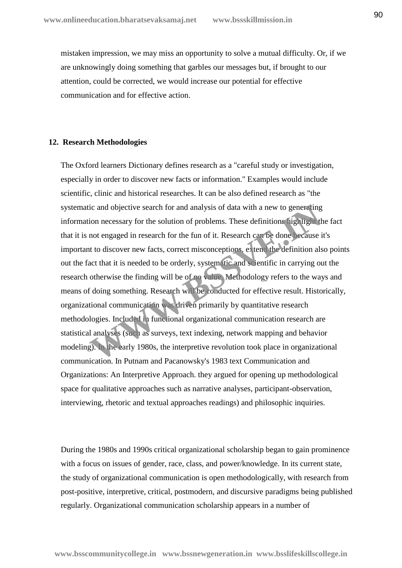mistaken impression, we may miss an opportunity to solve a mutual difficulty. Or, if we are unknowingly doing something that garbles our messages but, if brought to our attention, could be corrected, we would increase our potential for effective communication and for effective action.

#### **12. Research Methodologies**

The Oxford learners Dictionary defines research as a "careful study or investigation, especially in order to discover new facts or information." Examples would include scientific, clinic and historical researches. It can be also defined research as "the systematic and objective search for and analysis of data with a new to generating information necessary for the solution of problems. These definitions highlight the fact that it is not engaged in research for the fun of it. Research can be done because it's important to discover new facts, correct misconceptions, extend the definition also points out the fact that it is needed to be orderly, systematic and scientific in carrying out the research otherwise the finding will be of no value. Methodology refers to the ways and means of doing something. Research will be conducted for effective result. Historically, organizational communication was driven primarily by quantitative research methodologies. Included in functional organizational communication research are statistical analyses (such as surveys, text indexing, network mapping and behavior modeling). In the early 1980s, the interpretive revolution took place in organizational communication. In Putnam and Pacanowsky's 1983 text Communication and Organizations: An Interpretive Approach. they argued for opening up methodological space for qualitative approaches such as narrative analyses, participant-observation, interviewing, rhetoric and textual approaches readings) and philosophic inquiries. ic and objective search for and analysis of data with a new to generating<br>ion necessary for the solution of problems. These definitions highligated<br>not engaged in research for the fun of it. Research can be done because it

During the 1980s and 1990s critical organizational scholarship began to gain prominence with a focus on issues of gender, race, class, and power/knowledge. In its current state, the study of organizational communication is open methodologically, with research from post-positive, interpretive, critical, postmodern, and discursive paradigms being published regularly. Organizational communication scholarship appears in a number of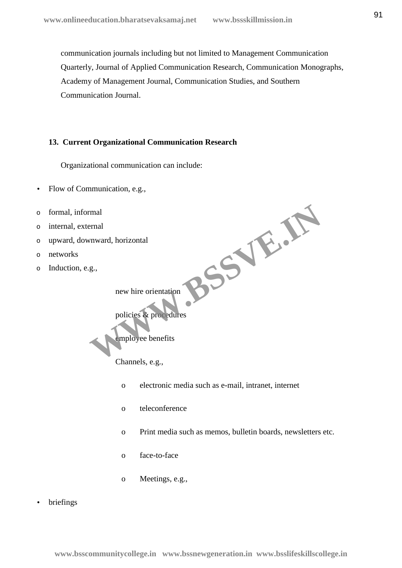communication journals including but not limited to Management Communication Quarterly, Journal of Applied Communication Research, Communication Monographs, Academy of Management Journal, Communication Studies, and Southern Communication Journal.

### **13. Current Organizational Communication Research**

Organizational communication can include:

- Flow of Communication, e.g.,
- o formal, informal
- o internal, external
- o upward, downward, horizontal
- o networks
- o Induction, e.g.,

new hire orientation

policies & procedures

employee benefits

Channels, e.g.,

- o electronic media such as e-mail, intranet, internet
- o teleconference
- o Print media such as memos, bulletin boards, newsletters etc.

**WWW.BSSVE.IN**

- o face-to-face
- o Meetings, e.g.,
- briefings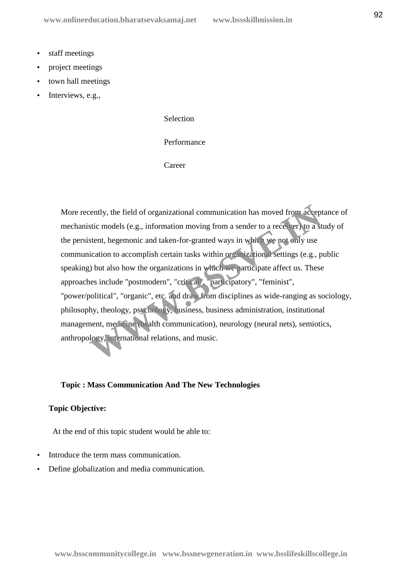- staff meetings
- project meetings
- town hall meetings
- Interviews, e.g.,

Selection

# Performance

# Career

More recently, the field of organizational communication has moved from acceptance of mechanistic models (e.g., information moving from a sender to a receiver) to a study of the persistent, hegemonic and taken-for-granted ways in which we not only use communication to accomplish certain tasks within organizational settings (e.g., public speaking) but also how the organizations in which we participate affect us. These approaches include "postmodern", "critical", "participatory", "feminist", "power/political", "organic", etc. and draw from disciplines as wide-ranging as sociology, philosophy, theology, psychology, business, business administration, institutional management, medicine (health communication), neurology (neural nets), semiotics, anthropology, international relations, and music. complete the field of organizational communication has moved from acceptive models (e.g., information moving from a sender to a reception of a stent, hegemonic and taken-for-granted ways in which we not only use ication to

# **Topic : Mass Communication And The New Technologies**

# **Topic Objective:**

At the end of this topic student would be able to:

- Introduce the term mass communication.
- Define globalization and media communication.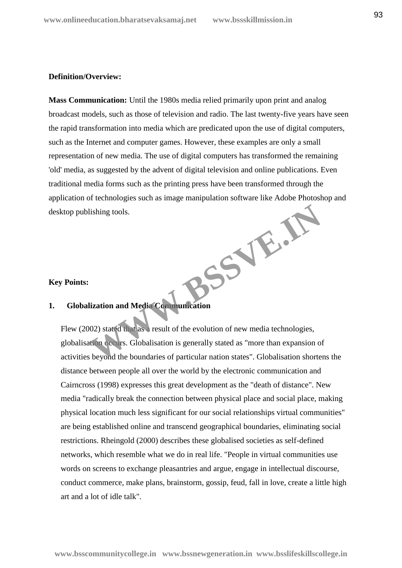### **Definition/Overview:**

**Mass Communication:** Until the 1980s media relied primarily upon print and analog broadcast models, such as those of television and radio. The last twenty-five years have seen the rapid transformation into media which are predicated upon the use of digital computers, such as the Internet and computer games. However, these examples are only a small representation of new media. The use of digital computers has transformed the remaining 'old' media, as suggested by the advent of digital television and online publications. Even traditional media forms such as the printing press have been transformed through the application of technologies such as image manipulation software like Adobe Photoshop and desktop publishing tools. **WWW.BSSVE.IN**

### **Key Points:**

# **1. Globalization and Media Communication**

Flew (2002) stated that as a result of the evolution of new media technologies, globalisation occurs. Globalisation is generally stated as "more than expansion of activities beyond the boundaries of particular nation states". Globalisation shortens the distance between people all over the world by the electronic communication and Cairncross (1998) expresses this great development as the "death of distance". New media "radically break the connection between physical place and social place, making physical location much less significant for our social relationships virtual communities" are being established online and transcend geographical boundaries, eliminating social restrictions. Rheingold (2000) describes these globalised societies as self-defined networks, which resemble what we do in real life. "People in virtual communities use words on screens to exchange pleasantries and argue, engage in intellectual discourse, conduct commerce, make plans, brainstorm, gossip, feud, fall in love, create a little high art and a lot of idle talk".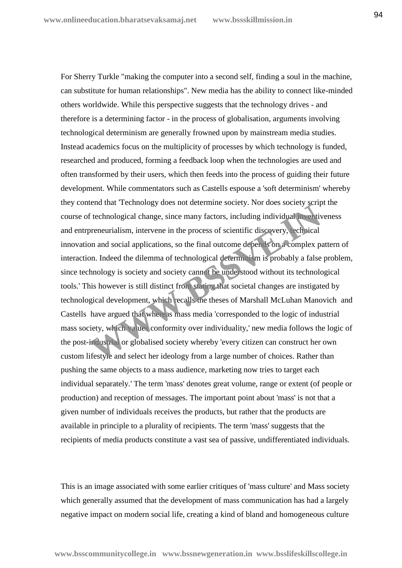For Sherry Turkle "making the computer into a second self, finding a soul in the machine, can substitute for human relationships". New media has the ability to connect like-minded others worldwide. While this perspective suggests that the technology drives - and therefore is a determining factor - in the process of globalisation, arguments involving technological determinism are generally frowned upon by mainstream media studies. Instead academics focus on the multiplicity of processes by which technology is funded, researched and produced, forming a feedback loop when the technologies are used and often transformed by their users, which then feeds into the process of guiding their future development. While commentators such as Castells espouse a 'soft determinism' whereby they contend that 'Technology does not determine society. Nor does society script the course of technological change, since many factors, including individual inventiveness and entrpreneurialism, intervene in the process of scientific discovery, technical innovation and social applications, so the final outcome depends on a complex pattern of interaction. Indeed the dilemma of technological determinism is probably a false problem, since technology is society and society cannot be understood without its technological tools.' This however is still distinct from stating that societal changes are instigated by technological development, which recalls the theses of Marshall McLuhan Manovich and Castells have argued that whereas mass media 'corresponded to the logic of industrial mass society, which values conformity over individuality,' new media follows the logic of the post-industrial or globalised society whereby 'every citizen can construct her own custom lifestyle and select her ideology from a large number of choices. Rather than pushing the same objects to a mass audience, marketing now tries to target each individual separately.' The term 'mass' denotes great volume, range or extent (of people or production) and reception of messages. The important point about 'mass' is not that a given number of individuals receives the products, but rather that the products are available in principle to a plurality of recipients. The term 'mass' suggests that the recipients of media products constitute a vast sea of passive, undifferentiated individuals. Freehnological change, since many factors, including individual inventives<br>preneurialism, intervene in the process of scientific discovery, echoical<br>on and social applications, so the final outcome depends on a complex par

This is an image associated with some earlier critiques of 'mass culture' and Mass society which generally assumed that the development of mass communication has had a largely negative impact on modern social life, creating a kind of bland and homogeneous culture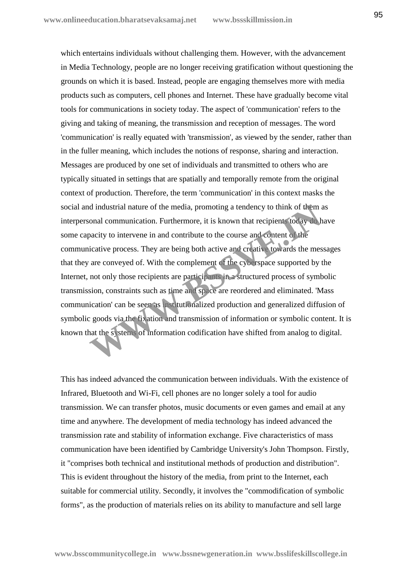which entertains individuals without challenging them. However, with the advancement in Media Technology, people are no longer receiving gratification without questioning the grounds on which it is based. Instead, people are engaging themselves more with media products such as computers, cell phones and Internet. These have gradually become vital tools for communications in society today. The aspect of 'communication' refers to the giving and taking of meaning, the transmission and reception of messages. The word 'communication' is really equated with 'transmission', as viewed by the sender, rather than in the fuller meaning, which includes the notions of response, sharing and interaction. Messages are produced by one set of individuals and transmitted to others who are typically situated in settings that are spatially and temporally remote from the original context of production. Therefore, the term 'communication' in this context masks the social and industrial nature of the media, promoting a tendency to think of them as interpersonal communication. Furthermore, it is known that recipients today do have some capacity to intervene in and contribute to the course and content of the communicative process. They are being both active and creative towards the messages that they are conveyed of. With the complement of the cyberspace supported by the Internet, not only those recipients are participants in a structured process of symbolic transmission, constraints such as time and space are reordered and eliminated. 'Mass communication' can be seen as institutionalized production and generalized diffusion of symbolic goods via the fixation and transmission of information or symbolic content. It is known that the systems of information codification have shifted from analog to digital. d industrial nature of the media, promoting a tendency to think of them a<br>onal communication. Furthermore, it is known that recipients focally<br>about to intervene in and contribute to the course and content of the<br>icative p

This has indeed advanced the communication between individuals. With the existence of Infrared, Bluetooth and Wi-Fi, cell phones are no longer solely a tool for audio transmission. We can transfer photos, music documents or even games and email at any time and anywhere. The development of media technology has indeed advanced the transmission rate and stability of information exchange. Five characteristics of mass communication have been identified by Cambridge University's John Thompson. Firstly, it "comprises both technical and institutional methods of production and distribution". This is evident throughout the history of the media, from print to the Internet, each suitable for commercial utility. Secondly, it involves the "commodification of symbolic forms", as the production of materials relies on its ability to manufacture and sell large